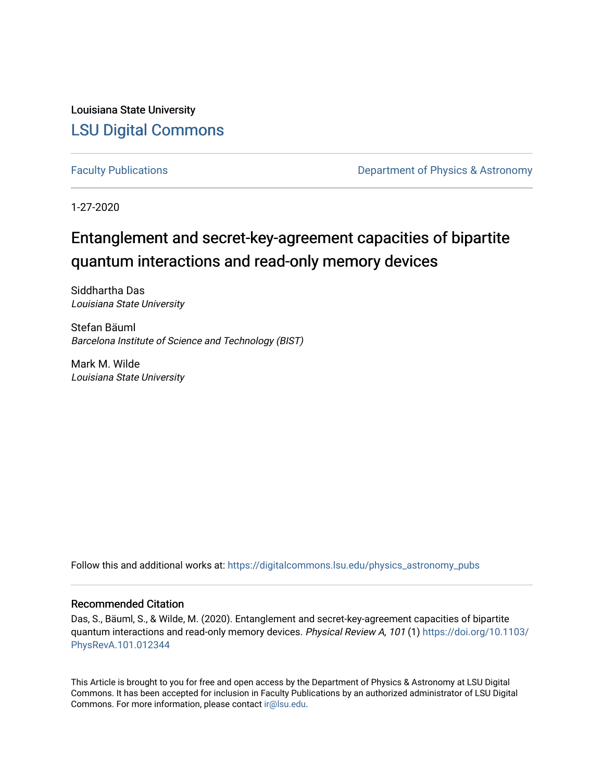Louisiana State University [LSU Digital Commons](https://digitalcommons.lsu.edu/)

[Faculty Publications](https://digitalcommons.lsu.edu/physics_astronomy_pubs) **Exercise 2 and Table 2 and Table 2 and Table 2 and Table 2 and Table 2 and Table 2 and Table 2 and Table 2 and Table 2 and Table 2 and Table 2 and Table 2 and Table 2 and Table 2 and Table 2 and Table** 

1-27-2020

# Entanglement and secret-key-agreement capacities of bipartite quantum interactions and read-only memory devices

Siddhartha Das Louisiana State University

Stefan Bäuml Barcelona Institute of Science and Technology (BIST)

Mark M. Wilde Louisiana State University

Follow this and additional works at: [https://digitalcommons.lsu.edu/physics\\_astronomy\\_pubs](https://digitalcommons.lsu.edu/physics_astronomy_pubs?utm_source=digitalcommons.lsu.edu%2Fphysics_astronomy_pubs%2F5609&utm_medium=PDF&utm_campaign=PDFCoverPages) 

# Recommended Citation

Das, S., Bäuml, S., & Wilde, M. (2020). Entanglement and secret-key-agreement capacities of bipartite quantum interactions and read-only memory devices. Physical Review A, 101 (1) [https://doi.org/10.1103/](https://doi.org/10.1103/PhysRevA.101.012344) [PhysRevA.101.012344](https://doi.org/10.1103/PhysRevA.101.012344)

This Article is brought to you for free and open access by the Department of Physics & Astronomy at LSU Digital Commons. It has been accepted for inclusion in Faculty Publications by an authorized administrator of LSU Digital Commons. For more information, please contact [ir@lsu.edu](mailto:ir@lsu.edu).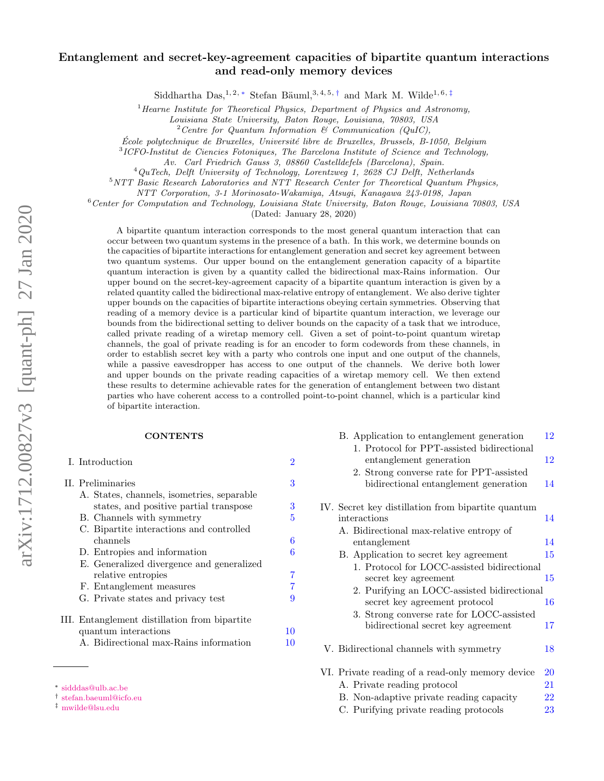## Entanglement and secret-key-agreement capacities of bipartite quantum interactions and read-only memory devices

Siddhartha Das,<sup>1, 2, [∗](#page-1-0)</sup> Stefan Bäuml,<sup>3, 4, 5, [†](#page-1-1)</sup> and Mark M. Wilde<sup>1, 6, [‡](#page-1-2)</sup>

 $1$ <sup>1</sup> Hearne Institute for Theoretical Physics, Department of Physics and Astronomy,

Louisiana State University, Baton Rouge, Louisiana, 70803, USA

 $2$  Centre for Quantum Information  $\mathcal C$  Communication (QuIC),

 $\acute{E}$ cole polytechnique de Bruxelles, Université libre de Bruxelles, Brussels, B-1050, Belgium

 $3$ ICFO-Institut de Ciencies Fotoniques, The Barcelona Institute of Science and Technology,

Av. Carl Friedrich Gauss 3, 08860 Castelldefels (Barcelona), Spain.

 ${}^{4}$ QuTech, Delft University of Technology, Lorentzweg 1, 2628 CJ Delft, Netherlands

<sup>5</sup>NTT Basic Research Laboratories and NTT Research Center for Theoretical Quantum Physics,

NTT Corporation, 3-1 Morinosato-Wakamiya, Atsugi, Kanagawa 243-0198, Japan

<sup>6</sup>Center for Computation and Technology, Louisiana State University, Baton Rouge, Louisiana 70803, USA

(Dated: January 28, 2020)

A bipartite quantum interaction corresponds to the most general quantum interaction that can occur between two quantum systems in the presence of a bath. In this work, we determine bounds on the capacities of bipartite interactions for entanglement generation and secret key agreement between two quantum systems. Our upper bound on the entanglement generation capacity of a bipartite quantum interaction is given by a quantity called the bidirectional max-Rains information. Our upper bound on the secret-key-agreement capacity of a bipartite quantum interaction is given by a related quantity called the bidirectional max-relative entropy of entanglement. We also derive tighter upper bounds on the capacities of bipartite interactions obeying certain symmetries. Observing that reading of a memory device is a particular kind of bipartite quantum interaction, we leverage our bounds from the bidirectional setting to deliver bounds on the capacity of a task that we introduce, called private reading of a wiretap memory cell. Given a set of point-to-point quantum wiretap channels, the goal of private reading is for an encoder to form codewords from these channels, in order to establish secret key with a party who controls one input and one output of the channels, while a passive eavesdropper has access to one output of the channels. We derive both lower and upper bounds on the private reading capacities of a wiretap memory cell. We then extend these results to determine achievable rates for the generation of entanglement between two distant parties who have coherent access to a controlled point-to-point channel, which is a particular kind of bipartite interaction.

#### **CONTENTS**

- I. Introduction [2](#page-2-0)
- II. Preliminaries [3](#page-3-0)

| A. States, channels, isometries, separable    |   |
|-----------------------------------------------|---|
| states, and positive partial transpose        | 3 |
| B. Channels with symmetry                     | 5 |
| C. Bipartite interactions and controlled      |   |
| channels                                      | 6 |
| D. Entropies and information                  | 6 |
| E. Generalized divergence and generalized     |   |
| relative entropies                            | 7 |
| F. Entanglement measures                      |   |
| G. Private states and privacy test            | 9 |
| III. Entanglement distillation from bipartite |   |
| quantum interactions                          |   |

|  | A. Bidirectional max-Rains information |  |  | 10 |
|--|----------------------------------------|--|--|----|
|--|----------------------------------------|--|--|----|

| B. Application to entanglement generation          | 12 |
|----------------------------------------------------|----|
| 1. Protocol for PPT-assisted bidirectional         |    |
| entanglement generation                            | 12 |
| 2. Strong converse rate for PPT-assisted           |    |
| bidirectional entanglement generation              | 14 |
| IV. Secret key distillation from bipartite quantum |    |
| interactions                                       | 14 |
| A. Bidirectional max-relative entropy of           |    |
| entanglement                                       | 14 |
| B. Application to secret key agreement             | 15 |
| 1. Protocol for LOCC-assisted bidirectional        |    |
| secret key agreement                               | 15 |
| 2. Purifying an LOCC-assisted bidirectional        |    |
| secret key agreement protocol                      | 16 |
| 3. Strong converse rate for LOCC-assisted          |    |
| bidirectional secret key agreement                 | 17 |
| V. Bidirectional channels with symmetry            | 18 |

- 
- VI. Private reading of a read-only memory device [20](#page-20-0) A. Private reading protocol [21](#page-21-0)
	-
	- B. Non-adaptive private reading capacity [22](#page-22-0)
	- C. Purifying private reading protocols [23](#page-23-0)

<span id="page-1-0"></span><sup>∗</sup> [sidddas@ulb.ac.be](mailto:sidddas@ulb.ac.be)

<span id="page-1-1"></span><sup>†</sup> [stefan.baeuml@icfo.eu](mailto:stefan.baeuml@icfo.eu)

<span id="page-1-2"></span><sup>‡</sup> [mwilde@lsu.edu](mailto:mwilde@lsu.edu)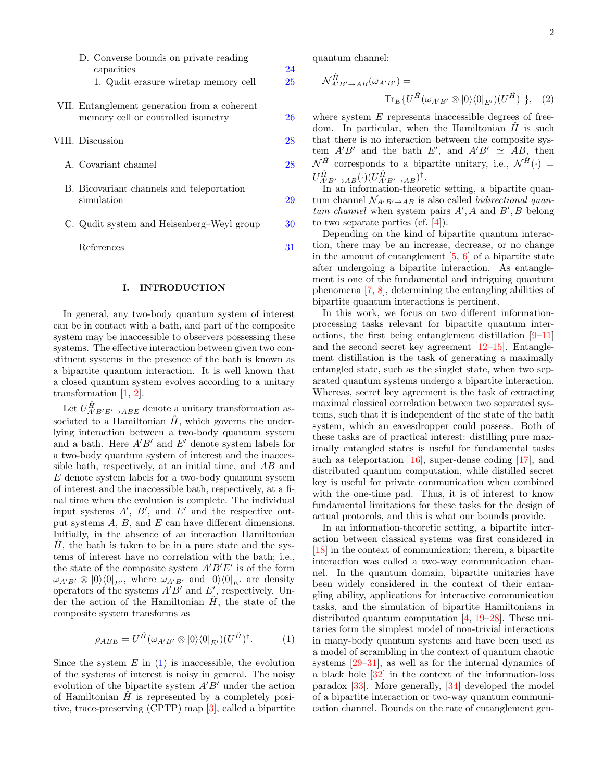| D. Converse bounds on private reading<br>capacities                                | 24 |
|------------------------------------------------------------------------------------|----|
| 1. Qudit erasure wiretap memory cell                                               | 25 |
| VII. Entanglement generation from a coherent<br>memory cell or controlled isometry | 26 |
| VIII. Discussion                                                                   | 28 |
| A. Covariant channel                                                               | 28 |
| B. Bicovariant channels and teleportation<br>simulation                            | 29 |

C. Qudit system and Heisenberg–Weyl group [30](#page-30-0)

References [31](#page-31-0)

## <span id="page-2-0"></span>I. INTRODUCTION

In general, any two-body quantum system of interest can be in contact with a bath, and part of the composite system may be inaccessible to observers possessing these systems. The effective interaction between given two constituent systems in the presence of the bath is known as a bipartite quantum interaction. It is well known that a closed quantum system evolves according to a unitary transformation [\[1,](#page-31-1) [2\]](#page-31-2).

Let  $U_{A'B'E'\rightarrow ABE}^{\hat{H}}$  denote a unitary transformation associated to a Hamiltonian  $\hat{H}$ , which governs the underlying interaction between a two-body quantum system and a bath. Here  $A'B'$  and E' denote system labels for a two-body quantum system of interest and the inaccessible bath, respectively, at an initial time, and AB and E denote system labels for a two-body quantum system of interest and the inaccessible bath, respectively, at a final time when the evolution is complete. The individual input systems  $A', B'$ , and  $E'$  and the respective output systems A, B, and E can have different dimensions. Initially, in the absence of an interaction Hamiltonian  $H$ , the bath is taken to be in a pure state and the systems of interest have no correlation with the bath; i.e., the state of the composite system  $A'B'E'$  is of the form  $\omega_{A'B'} \otimes |0\rangle\langle 0|_{E'},$  where  $\omega_{A'B'}$  and  $|0\rangle\langle 0|_{E'}$  are density operators of the systems  $A'B'$  and  $E'$ , respectively. Under the action of the Hamiltonian  $\hat{H}$ , the state of the composite system transforms as

<span id="page-2-1"></span>
$$
\rho_{ABE} = U^{\hat{H}}(\omega_{A'B'} \otimes |0\rangle\langle 0|_{E'}) (U^{\hat{H}})^{\dagger}.
$$
 (1)

Since the system  $E$  in  $(1)$  is inaccessible, the evolution of the systems of interest is noisy in general. The noisy evolution of the bipartite system  $A'B'$  under the action of Hamiltonian  $H$  is represented by a completely positive, trace-preserving (CPTP) map [\[3\]](#page-31-3), called a bipartite

quantum channel:

$$
\mathcal{N}_{A'B'\to AB}^{\hat{H}}(\omega_{A'B'}) =
$$
  
Tr<sub>E</sub>{ $U^{\hat{H}}(\omega_{A'B'} \otimes |0\rangle\langle 0|_{E'}) (U^{\hat{H}})^{\dagger}$ }, (2)

where system  $E$  represents inaccessible degrees of freedom. In particular, when the Hamiltonian  $\hat{H}$  is such that there is no interaction between the composite system  $A'B'$  and the bath E', and  $A'B' \simeq AB$ , then  $\mathcal{N}_{\hat{H}}^{\hat{H}}$  corresponds to a bipartite unitary, i.e.,  $\mathcal{N}^{\hat{H}}(\cdot)$  =  $U^{\hat{H}}_{A'B'\rightarrow AB}(\cdot)(U^{\hat{H}}_{A'B'\rightarrow AB})^{\dagger}$ .

In an information-theoretic setting, a bipartite quantum channel  $\mathcal{N}_{A'B'\to AB}$  is also called *bidirectional quan*tum channel when system pairs  $A', A$  and  $B', B$  belong to two separate parties (cf. [\[4\]](#page-31-4)).

Depending on the kind of bipartite quantum interaction, there may be an increase, decrease, or no change in the amount of entanglement  $[5, 6]$  $[5, 6]$  of a bipartite state after undergoing a bipartite interaction. As entanglement is one of the fundamental and intriguing quantum phenomena [\[7,](#page-31-7) [8\]](#page-31-8), determining the entangling abilities of bipartite quantum interactions is pertinent.

In this work, we focus on two different informationprocessing tasks relevant for bipartite quantum interactions, the first being entanglement distillation [\[9](#page-31-9)[–11\]](#page-31-10) and the second secret key agreement [\[12](#page-31-11)[–15\]](#page-31-12). Entanglement distillation is the task of generating a maximally entangled state, such as the singlet state, when two separated quantum systems undergo a bipartite interaction. Whereas, secret key agreement is the task of extracting maximal classical correlation between two separated systems, such that it is independent of the state of the bath system, which an eavesdropper could possess. Both of these tasks are of practical interest: distilling pure maximally entangled states is useful for fundamental tasks such as teleportation [\[16\]](#page-31-13), super-dense coding [\[17\]](#page-31-14), and distributed quantum computation, while distilled secret key is useful for private communication when combined with the one-time pad. Thus, it is of interest to know fundamental limitations for these tasks for the design of actual protocols, and this is what our bounds provide.

In an information-theoretic setting, a bipartite interaction between classical systems was first considered in [\[18\]](#page-31-15) in the context of communication; therein, a bipartite interaction was called a two-way communication channel. In the quantum domain, bipartite unitaries have been widely considered in the context of their entangling ability, applications for interactive communication tasks, and the simulation of bipartite Hamiltonians in distributed quantum computation [\[4,](#page-31-4) [19](#page-31-16)[–28\]](#page-32-0). These unitaries form the simplest model of non-trivial interactions in many-body quantum systems and have been used as a model of scrambling in the context of quantum chaotic systems [\[29](#page-32-1)[–31\]](#page-32-2), as well as for the internal dynamics of a black hole [\[32\]](#page-32-3) in the context of the information-loss paradox [\[33\]](#page-32-4). More generally, [\[34\]](#page-32-5) developed the model of a bipartite interaction or two-way quantum communication channel. Bounds on the rate of entanglement gen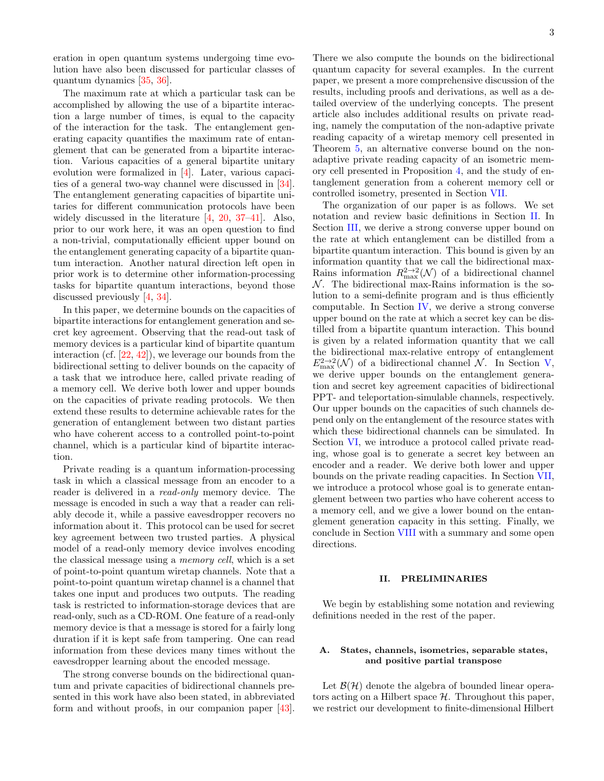eration in open quantum systems undergoing time evolution have also been discussed for particular classes of quantum dynamics [\[35,](#page-32-6) [36\]](#page-32-7).

The maximum rate at which a particular task can be accomplished by allowing the use of a bipartite interaction a large number of times, is equal to the capacity of the interaction for the task. The entanglement generating capacity quantifies the maximum rate of entanglement that can be generated from a bipartite interaction. Various capacities of a general bipartite unitary evolution were formalized in [\[4\]](#page-31-4). Later, various capacities of a general two-way channel were discussed in [\[34\]](#page-32-5). The entanglement generating capacities of bipartite unitaries for different communication protocols have been widely discussed in the literature [\[4,](#page-31-4) [20,](#page-31-17) [37–](#page-32-8)[41\]](#page-32-9). Also, prior to our work here, it was an open question to find a non-trivial, computationally efficient upper bound on the entanglement generating capacity of a bipartite quantum interaction. Another natural direction left open in prior work is to determine other information-processing tasks for bipartite quantum interactions, beyond those discussed previously [\[4,](#page-31-4) [34\]](#page-32-5).

In this paper, we determine bounds on the capacities of bipartite interactions for entanglement generation and secret key agreement. Observing that the read-out task of memory devices is a particular kind of bipartite quantum interaction (cf. [\[22,](#page-31-18) [42\]](#page-32-10)), we leverage our bounds from the bidirectional setting to deliver bounds on the capacity of a task that we introduce here, called private reading of a memory cell. We derive both lower and upper bounds on the capacities of private reading protocols. We then extend these results to determine achievable rates for the generation of entanglement between two distant parties who have coherent access to a controlled point-to-point channel, which is a particular kind of bipartite interaction.

Private reading is a quantum information-processing task in which a classical message from an encoder to a reader is delivered in a read-only memory device. The message is encoded in such a way that a reader can reliably decode it, while a passive eavesdropper recovers no information about it. This protocol can be used for secret key agreement between two trusted parties. A physical model of a read-only memory device involves encoding the classical message using a memory cell, which is a set of point-to-point quantum wiretap channels. Note that a point-to-point quantum wiretap channel is a channel that takes one input and produces two outputs. The reading task is restricted to information-storage devices that are read-only, such as a CD-ROM. One feature of a read-only memory device is that a message is stored for a fairly long duration if it is kept safe from tampering. One can read information from these devices many times without the eavesdropper learning about the encoded message.

The strong converse bounds on the bidirectional quantum and private capacities of bidirectional channels presented in this work have also been stated, in abbreviated form and without proofs, in our companion paper [\[43\]](#page-32-11).

There we also compute the bounds on the bidirectional quantum capacity for several examples. In the current paper, we present a more comprehensive discussion of the results, including proofs and derivations, as well as a detailed overview of the underlying concepts. The present article also includes additional results on private reading, namely the computation of the non-adaptive private reading capacity of a wiretap memory cell presented in Theorem [5,](#page-22-1) an alternative converse bound on the nonadaptive private reading capacity of an isometric memory cell presented in Proposition [4,](#page-24-1) and the study of entanglement generation from a coherent memory cell or controlled isometry, presented in Section [VII.](#page-26-0)

The organization of our paper is as follows. We set notation and review basic definitions in Section [II.](#page-3-0) In Section [III,](#page-10-0) we derive a strong converse upper bound on the rate at which entanglement can be distilled from a bipartite quantum interaction. This bound is given by an information quantity that we call the bidirectional max-Rains information  $R_{\text{max}}^{2\to 2}(\mathcal{N})$  of a bidirectional channel  $\mathcal N$ . The bidirectional max-Rains information is the solution to a semi-definite program and is thus efficiently computable. In Section [IV,](#page-14-1) we derive a strong converse upper bound on the rate at which a secret key can be distilled from a bipartite quantum interaction. This bound is given by a related information quantity that we call the bidirectional max-relative entropy of entanglement  $E_{\text{max}}^{2\to 2}(\mathcal{N})$  of a bidirectional channel  $\mathcal{N}$ . In Section [V,](#page-18-0) we derive upper bounds on the entanglement generation and secret key agreement capacities of bidirectional PPT- and teleportation-simulable channels, respectively. Our upper bounds on the capacities of such channels depend only on the entanglement of the resource states with which these bidirectional channels can be simulated. In Section [VI,](#page-20-0) we introduce a protocol called private reading, whose goal is to generate a secret key between an encoder and a reader. We derive both lower and upper bounds on the private reading capacities. In Section [VII,](#page-26-0) we introduce a protocol whose goal is to generate entanglement between two parties who have coherent access to a memory cell, and we give a lower bound on the entanglement generation capacity in this setting. Finally, we conclude in Section [VIII](#page-28-0) with a summary and some open directions.

#### <span id="page-3-0"></span>II. PRELIMINARIES

We begin by establishing some notation and reviewing definitions needed in the rest of the paper.

## <span id="page-3-1"></span>A. States, channels, isometries, separable states, and positive partial transpose

Let  $\mathcal{B}(\mathcal{H})$  denote the algebra of bounded linear operators acting on a Hilbert space  $H$ . Throughout this paper, we restrict our development to finite-dimensional Hilbert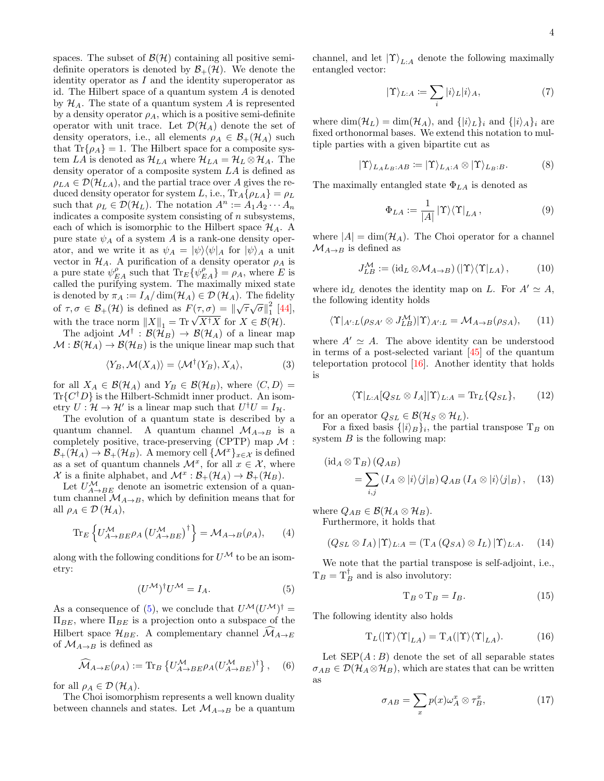spaces. The subset of  $\mathcal{B}(\mathcal{H})$  containing all positive semidefinite operators is denoted by  $\mathcal{B}_+(\mathcal{H})$ . We denote the identity operator as  $I$  and the identity superoperator as id. The Hilbert space of a quantum system A is denoted by  $\mathcal{H}_A$ . The state of a quantum system A is represented by a density operator  $\rho_A$ , which is a positive semi-definite operator with unit trace. Let  $\mathcal{D}(\mathcal{H}_A)$  denote the set of density operators, i.e., all elements  $\rho_A \in \mathcal{B}_+(\mathcal{H}_A)$  such that  $\text{Tr}\{\rho_A\} = 1$ . The Hilbert space for a composite system LA is denoted as  $\mathcal{H}_{LA}$  where  $\mathcal{H}_{LA} = \mathcal{H}_L \otimes \mathcal{H}_A$ . The density operator of a composite system LA is defined as  $\rho_{LA} \in \mathcal{D}(\mathcal{H}_{LA})$ , and the partial trace over A gives the reduced density operator for system L, i.e.,  $\text{Tr}_A\{\rho_{LA}\} = \rho_L$ such that  $\rho_L \in \mathcal{D}(\mathcal{H}_L)$ . The notation  $A^n := A_1 A_2 \cdots A_n$ indicates a composite system consisting of  $n$  subsystems, each of which is isomorphic to the Hilbert space  $\mathcal{H}_A$ . A pure state  $\psi_A$  of a system A is a rank-one density operator, and we write it as  $\psi_A = |\psi\rangle \langle \psi|_A$  for  $|\psi\rangle_A$  a unit vector in  $\mathcal{H}_A$ . A purification of a density operator  $\rho_A$  is a pure state  $\psi_{EA}^{\rho}$  such that  $\text{Tr}_{E} \{ \psi_{EA}^{\rho} \} = \rho_{A}$ , where E is called the purifying system. The maximally mixed state is denoted by  $\pi_A := I_A / \dim(\mathcal{H}_A) \in \mathcal{D}(\mathcal{H}_A)$ . The fidelity of  $\tau, \sigma \in \mathcal{B}_+(\mathcal{H})$  is defined as  $F(\tau, \sigma) = ||\sqrt{\tau}\sqrt{\sigma}||_1^2$  $\frac{2}{1}$  [\[44\]](#page-32-12), with the trace norm  $||X||_1 = \text{Tr} \sqrt{X^{\dagger}X}$  for  $X \in \mathcal{B}(\mathcal{H})$ .

The adjoint  $\mathcal{M}^{\dagger} : \mathcal{B}(\mathcal{H}_{B}) \to \mathcal{B}(\mathcal{H}_{A})$  of a linear map  $\mathcal{M}: \mathcal{B}(\mathcal{H}_A) \to \mathcal{B}(\mathcal{H}_B)$  is the unique linear map such that

$$
\langle Y_B, \mathcal{M}(X_A) \rangle = \langle \mathcal{M}^\dagger(Y_B), X_A \rangle, \tag{3}
$$

for all  $X_A \in \mathcal{B}(\mathcal{H}_A)$  and  $Y_B \in \mathcal{B}(\mathcal{H}_B)$ , where  $\langle C, D \rangle =$  $\text{Tr}\{C^\dagger D\}$  is the Hilbert-Schmidt inner product. An isometry  $U: \mathcal{H} \to \mathcal{H}'$  is a linear map such that  $U^{\dagger}U = I_{\mathcal{H}}$ .

The evolution of a quantum state is described by a quantum channel. A quantum channel  $\mathcal{M}_{A\rightarrow B}$  is a completely positive, trace-preserving (CPTP) map  $\mathcal M$ :  $\mathcal{B}_+(\mathcal{H}_A) \to \mathcal{B}_+(\mathcal{H}_B)$ . A memory cell  $\{\mathcal{M}^x\}_{x \in \mathcal{X}}$  is defined as a set of quantum channels  $\mathcal{M}^x$ , for all  $x \in \mathcal{X}$ , where  $\mathcal{X}$  is a finite alphabet, and  $\mathcal{M}^x : \mathcal{B}_+(\mathcal{H}_A) \to \mathcal{B}_+(\mathcal{H}_B)$ .

Let  $U_{A\rightarrow BE}^{\mathcal{M}}$  denote an isometric extension of a quantum channel  $\mathcal{M}_{A\to B}$ , which by definition means that for all  $\rho_A \in \mathcal{D}(\mathcal{H}_A)$ ,

$$
\operatorname{Tr}_{E}\left\{U_{A\to BE}^{\mathcal{M}}\rho_{A}\left(U_{A\to BE}^{\mathcal{M}}\right)^{\dagger}\right\}=\mathcal{M}_{A\to B}(\rho_{A}),\qquad(4)
$$

along with the following conditions for  $U^{\mathcal{M}}$  to be an isometry:

<span id="page-4-0"></span>
$$
(U^{\mathcal{M}})^{\dagger}U^{\mathcal{M}} = I_A. \tag{5}
$$

As a consequence of [\(5\)](#page-4-0), we conclude that  $U^{\mathcal{M}}(U^{\mathcal{M}})^{\dagger} =$  $\Pi_{BE}$ , where  $\Pi_{BE}$  is a projection onto a subspace of the Hilbert space  $\mathcal{H}_{BE}$ . A complementary channel  $\mathcal{M}_{A\rightarrow E}$ of  $\mathcal{M}_{A\rightarrow B}$  is defined as

$$
\widehat{\mathcal{M}}_{A\to E}(\rho_A) := \text{Tr}_B \left\{ U_{A\to BE}^{\mathcal{M}} \rho_A (U_{A\to BE}^{\mathcal{M}})^{\dagger} \right\}, \quad (6)
$$

for all  $\rho_A \in \mathcal{D}(\mathcal{H}_A)$ .

The Choi isomorphism represents a well known duality between channels and states. Let  $\mathcal{M}_{A\rightarrow B}$  be a quantum

channel, and let  $|\Upsilon\rangle_{L:A}$  denote the following maximally entangled vector:

$$
|\Upsilon\rangle_{L:A} := \sum_{i} |i\rangle_{L} |i\rangle_{A},\tag{7}
$$

where  $\dim(\mathcal{H}_L) = \dim(\mathcal{H}_A)$ , and  $\{|i\rangle_L\}_i$  and  $\{|i\rangle_A\}_i$  are fixed orthonormal bases. We extend this notation to multiple parties with a given bipartite cut as

$$
|\Upsilon\rangle_{L_A L_B:AB} := |\Upsilon\rangle_{L_A:A} \otimes |\Upsilon\rangle_{L_B:B}.
$$
 (8)

The maximally entangled state  $\Phi_{LA}$  is denoted as

$$
\Phi_{LA} := \frac{1}{|A|} |\Upsilon\rangle\langle\Upsilon|_{LA},\qquad(9)
$$

where  $|A| = \dim(\mathcal{H}_A)$ . The Choi operator for a channel  $\mathcal{M}_{A\rightarrow B}$  is defined as

$$
J_{LB}^{\mathcal{M}} := (\mathrm{id}_{L} \otimes \mathcal{M}_{A \to B}) (\vert \Upsilon \rangle \langle \Upsilon \vert_{LA}), \tag{10}
$$

where  $id_L$  denotes the identity map on L. For  $A' \simeq A$ , the following identity holds

<span id="page-4-5"></span>
$$
\langle \Upsilon |_{A':L} (\rho_{SA'} \otimes J_{LB}^{\mathcal{M}}) | \Upsilon \rangle_{A':L} = \mathcal{M}_{A \to B} (\rho_{SA}), \qquad (11)
$$

where  $A' \simeq A$ . The above identity can be understood in terms of a post-selected variant [\[45\]](#page-32-13) of the quantum teleportation protocol [\[16\]](#page-31-13). Another identity that holds is

<span id="page-4-3"></span>
$$
\langle \Upsilon |_{L:A}[Q_{SL} \otimes I_A] | \Upsilon \rangle_{L:A} = \text{Tr}_L \{ Q_{SL} \}, \qquad (12)
$$

for an operator  $Q_{SL} \in \mathcal{B}(\mathcal{H}_S \otimes \mathcal{H}_L)$ .

For a fixed basis  $\{|i\rangle_B\}_i$ , the partial transpose  $T_B$  on system  $B$  is the following map:

$$
(\mathrm{id}_A \otimes \mathrm{T}_B) (Q_{AB})
$$
  
=  $\sum_{i,j} (I_A \otimes |i\rangle\langle j|_B) Q_{AB} (I_A \otimes |i\rangle\langle j|_B),$  (13)

where  $Q_{AB} \in \mathcal{B}(\mathcal{H}_A \otimes \mathcal{H}_B)$ . Furthermore, it holds that

<span id="page-4-4"></span>
$$
(Q_{SL} \otimes I_A) | \Upsilon \rangle_{L:A} = (\mathcal{T}_A (Q_{SA}) \otimes I_L) | \Upsilon \rangle_{L:A}. \tag{14}
$$

We note that the partial transpose is self-adjoint, i.e.,  $T_B = T_B^{\dagger}$  and is also involutory:

<span id="page-4-1"></span>
$$
T_B \circ T_B = I_B. \tag{15}
$$

The following identity also holds

<span id="page-4-2"></span>
$$
T_L(|\Upsilon\rangle\langle\Upsilon|_{LA}) = T_A(|\Upsilon\rangle\langle\Upsilon|_{LA}). \tag{16}
$$

Let  $\text{SEP}(A:B)$  denote the set of all separable states  $\sigma_{AB} \in \mathcal{D}(\mathcal{H}_A \otimes \mathcal{H}_B)$ , which are states that can be written as

$$
\sigma_{AB} = \sum_{x} p(x)\omega_A^x \otimes \tau_B^x, \tag{17}
$$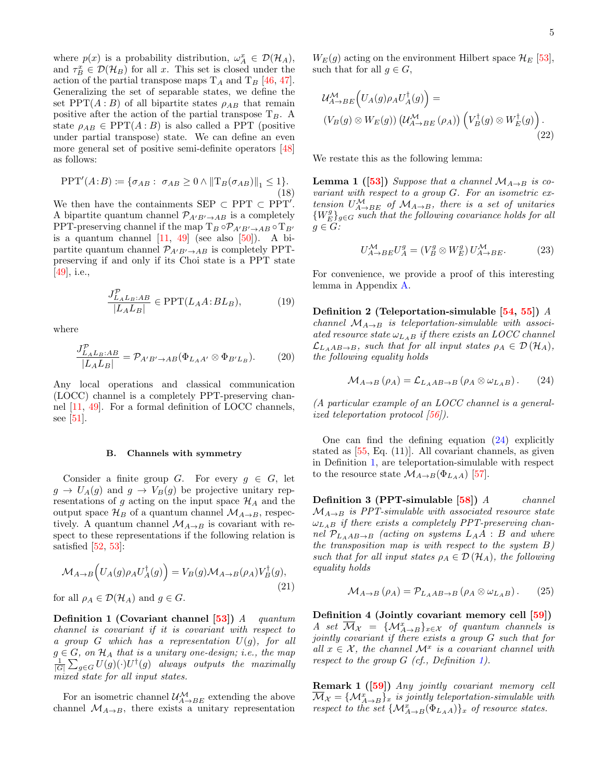where  $p(x)$  is a probability distribution,  $\omega_A^x \in \mathcal{D}(\mathcal{H}_A)$ , and  $\tau_B^x \in \mathcal{D}(\mathcal{H}_B)$  for all x. This set is closed under the action of the partial transpose maps  $T_A$  and  $T_B$  [\[46,](#page-32-14) [47\]](#page-32-15). Generalizing the set of separable states, we define the set  $PPT(A:B)$  of all bipartite states  $\rho_{AB}$  that remain positive after the action of the partial transpose  $T_B$ . A state  $\rho_{AB} \in \text{PPT}(A:B)$  is also called a PPT (positive under partial transpose) state. We can define an even more general set of positive semi-definite operators [\[48\]](#page-32-16) as follows:

$$
PPT'(A:B) \coloneqq \{ \sigma_{AB} : \ \sigma_{AB} \ge 0 \land ||T_B(\sigma_{AB})||_1 \le 1 \}. \tag{18}
$$

We then have the containments SEP  $\subset$  PPT  $\subset$  PPT<sup>'</sup>. A bipartite quantum channel  $\mathcal{P}_{A'B'\to AB}$  is a completely PPT-preserving channel if the map  $T_B \circ \mathcal{P}_{A'B' \to AB} \circ T_{B'}$ is a quantum channel  $[11, 49]$  $[11, 49]$  (see also  $[50]$ ). A bipartite quantum channel  $\mathcal{P}_{A'B'\to AB}$  is completely PPTpreserving if and only if its Choi state is a PPT state [\[49\]](#page-32-17), i.e.,

$$
\frac{J_{LAL_B:AB}^{\mathcal{P}}}{|L_AL_B|} \in \text{PPT}(L_A A:BL_B),\tag{19}
$$

where

$$
\frac{J_{L_A L_B:AB}^{\mathcal{P}}}{|L_A L_B|} = \mathcal{P}_{A'B' \to AB}(\Phi_{L_A A'} \otimes \Phi_{B'L_B}).\tag{20}
$$

Any local operations and classical communication (LOCC) channel is a completely PPT-preserving channel [\[11,](#page-31-10) [49\]](#page-32-17). For a formal definition of LOCC channels, see [\[51\]](#page-32-19).

#### <span id="page-5-0"></span>B. Channels with symmetry

Consider a finite group G. For every  $g \in G$ , let  $g \to U_A(g)$  and  $g \to V_B(g)$  be projective unitary representations of g acting on the input space  $\mathcal{H}_A$  and the output space  $\mathcal{H}_B$  of a quantum channel  $\mathcal{M}_{A\rightarrow B}$ , respectively. A quantum channel  $\mathcal{M}_{A\rightarrow B}$  is covariant with respect to these representations if the following relation is satisfied  $[52, 53]$  $[52, 53]$ :

<span id="page-5-2"></span>
$$
\mathcal{M}_{A \to B} \left( U_A(g) \rho_A U_A^{\dagger}(g) \right) = V_B(g) \mathcal{M}_{A \to B}(\rho_A) V_B^{\dagger}(g),
$$
\n(21)

for all 
$$
\rho_A \in \mathcal{D}(\mathcal{H}_A)
$$
 and  $g \in G$ .

Definition 1 (Covariant channel  $[53]$ ) A quantum channel is covariant if it is covariant with respect to a group G which has a representation  $U(q)$ , for all  $g \in G$ , on  $\mathcal{H}_A$  that is a unitary one-design; i.e., the map  $\frac{1}{|G|}\sum_{g\in G}U(g)(\cdot)U^{\dagger}(g)$  always outputs the maximally mixed state for all input states.

For an isometric channel  $\mathcal{U}_{A\to BE}^{\mathcal{M}}$  extending the above channel  $\mathcal{M}_{A\rightarrow B}$ , there exists a unitary representation

 $W_E(g)$  acting on the environment Hilbert space  $\mathcal{H}_E$  [\[53\]](#page-32-21), such that for all  $g \in G$ ,

$$
\mathcal{U}_{A\to BE}^{\mathcal{M}}\Big(U_{A}(g)\rho_{A}U_{A}^{\dagger}(g)\Big) =
$$
  
\n
$$
(V_{B}(g)\otimes W_{E}(g))\left(\mathcal{U}_{A\to BE}^{\mathcal{M}}(\rho_{A})\right)\left(V_{B}^{\dagger}(g)\otimes W_{E}^{\dagger}(g)\right).
$$
\n(22)

We restate this as the following lemma:

**Lemma 1 ([\[53\]](#page-32-21))** Suppose that a channel  $M_{A\rightarrow B}$  is covariant with respect to a group G. For an isometric extension  $U_{A\to BE}^{\mathcal{M}}$  of  $\mathcal{M}_{A\to B}$ , there is a set of unitaries  ${W_{E}^{g}}_{g \in G}$  such that the following covariance holds for all  $g \in G$ :

<span id="page-5-3"></span>
$$
U_{A \to BE}^{\mathcal{M}} U_A^g = (V_B^g \otimes W_E^g) U_{A \to BE}^{\mathcal{M}}.
$$
 (23)

For convenience, we provide a proof of this interesting lemma in Appendix [A.](#page-28-1)

Definition 2 (Teleportation-simulable [\[54,](#page-32-22) [55\]](#page-32-23)) A channel  $\mathcal{M}_{A\rightarrow B}$  is teleportation-simulable with associated resource state  $\omega_{L_{AB}}$  if there exists an LOCC channel  $\mathcal{L}_{L_{A}AB\rightarrow B}$ , such that for all input states  $\rho_{A} \in \mathcal{D}(\mathcal{H}_{A}),$ the following equality holds

<span id="page-5-1"></span>
$$
\mathcal{M}_{A\to B}(\rho_A) = \mathcal{L}_{L_AAB\to B}(\rho_A \otimes \omega_{L_AB}). \tag{24}
$$

(A particular example of an LOCC channel is a generalized teleportation protocol  $(56)$ .

One can find the defining equation  $(24)$  explicitly stated as [\[55,](#page-32-23) Eq. (11)]. All covariant channels, as given in Definition [1,](#page-5-2) are teleportation-simulable with respect to the resource state  $\mathcal{M}_{A\rightarrow B}(\Phi_{L_{A}A})$  [\[57\]](#page-32-25).

Definition 3 (PPT-simulable  $[58]$ ) A channel  $\mathcal{M}_{A\rightarrow B}$  is PPT-simulable with associated resource state  $\omega_{L_{AB}}$  if there exists a completely PPT-preserving channel  $\mathcal{P}_{L_{A}AB\rightarrow B}$  (acting on systems  $L_{A}A : B$  and where the transposition map is with respect to the system  $B$ ) such that for all input states  $\rho_A \in \mathcal{D}(\mathcal{H}_A)$ , the following equality holds

$$
\mathcal{M}_{A \to B} \left( \rho_A \right) = \mathcal{P}_{L_A A B \to B} \left( \rho_A \otimes \omega_{L_A B} \right). \tag{25}
$$

Definition 4 (Jointly covariant memory cell [\[59\]](#page-32-27)) A set  $\overline{\mathcal{M}}_{\mathcal{X}} = {\mathcal{M}}_{A\rightarrow B}^x\}_{x \in \mathcal{X}}$  of quantum channels is jointly covariant if there exists a group G such that for all  $x \in \mathcal{X}$ , the channel  $\mathcal{M}^x$  is a covariant channel with respect to the group  $G$  (cf., Definition [1\)](#page-5-2).

Remark 1 ([\[59\]](#page-32-27)) Any jointly covariant memory cell  $\overline{\mathcal{M}}_{\mathcal{X}} = {\{\mathcal{M}_{A \rightarrow B}^{x}}\}_{x}$  is jointly teleportation-simulable with respect to the set  $\{M_{A\rightarrow B}^x(\Phi_{L_A A})\}_x$  of resource states.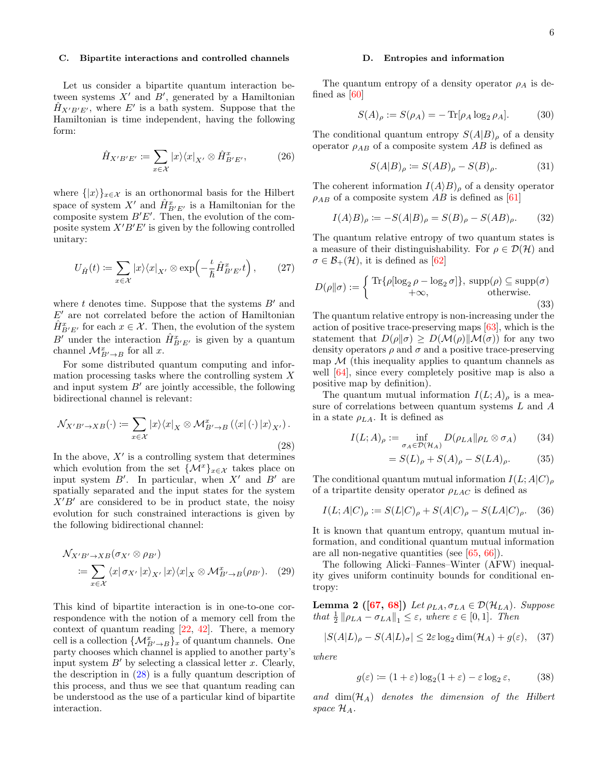#### <span id="page-6-0"></span>C. Bipartite interactions and controlled channels

Let us consider a bipartite quantum interaction between systems  $X'$  and  $B'$ , generated by a Hamiltonian  $\hat{H}_{X'B'E'}$ , where E' is a bath system. Suppose that the Hamiltonian is time independent, having the following form:

$$
\hat{H}_{X'B'E'} := \sum_{x \in \mathcal{X}} |x\rangle \langle x|_{X'} \otimes \hat{H}_{B'E'}^{x}, \tag{26}
$$

where  $\{|x\rangle\}_{x\in\mathcal{X}}$  is an orthonormal basis for the Hilbert space of system  $X'$  and  $\hat{H}_{B'E'}^x$  is a Hamiltonian for the composite system  $B'E'$ . Then, the evolution of the composite system  $X'B'E'$  is given by the following controlled unitary:

$$
U_{\hat{H}}(t) := \sum_{x \in \mathcal{X}} |x\rangle \langle x|_{X'} \otimes \exp\left(-\frac{\iota}{\hbar} \hat{H}_{B'E'}^x t\right), \qquad (27)
$$

where t denotes time. Suppose that the systems  $B'$  and  $E'$  are not correlated before the action of Hamiltonian  $\hat{H}_{B'E'}^x$  for each  $x \in \mathcal{X}$ . Then, the evolution of the system B' under the interaction  $\hat{H}_{B'E'}^x$  is given by a quantum channel  $\mathcal{M}_{B'\rightarrow B}^{x}$  for all x.

For some distributed quantum computing and information processing tasks where the controlling system  $X$ and input system  $B'$  are jointly accessible, the following bidirectional channel is relevant:

<span id="page-6-2"></span>
$$
\mathcal{N}_{X'B'\to XB}(\cdot) \coloneqq \sum_{x \in \mathcal{X}} |x\rangle \langle x|_X \otimes \mathcal{M}_{B'\to B}^x(\langle x | (\cdot) | x \rangle_{X'}).
$$
\n(28)

In the above,  $X'$  is a controlling system that determines which evolution from the set  $\{\mathcal{M}^x\}_{x\in\mathcal{X}}$  takes place on input system  $B'$ . In particular, when  $X'$  and  $B'$  are spatially separated and the input states for the system  $X'B'$  are considered to be in product state, the noisy evolution for such constrained interactions is given by the following bidirectional channel:

$$
\mathcal{N}_{X'B'\to XB}(\sigma_{X'}\otimes \rho_{B'})
$$
  
:= 
$$
\sum_{x\in \mathcal{X}} \langle x|\,\sigma_{X'}\,|x\rangle_{X'}\,|x\rangle\langle x|_X\otimes \mathcal{M}_{B'\to B}^x(\rho_{B'}).
$$
 (29)

This kind of bipartite interaction is in one-to-one correspondence with the notion of a memory cell from the context of quantum reading [\[22,](#page-31-18) [42\]](#page-32-10). There, a memory cell is a collection  $\{\mathcal{M}_{B'\to B}^x\}_x$  of quantum channels. One party chooses which channel is applied to another party's input system  $B'$  by selecting a classical letter x. Clearly, the description in  $(28)$  is a fully quantum description of this process, and thus we see that quantum reading can be understood as the use of a particular kind of bipartite interaction.

#### <span id="page-6-1"></span>D. Entropies and information

The quantum entropy of a density operator  $\rho_A$  is defined as [\[60\]](#page-32-28)

$$
S(A)_{\rho} := S(\rho_A) = -\text{Tr}[\rho_A \log_2 \rho_A].
$$
 (30)

The conditional quantum entropy  $S(A|B)$ <sub>ρ</sub> of a density operator  $\rho_{AB}$  of a composite system AB is defined as

$$
S(A|B)_{\rho} := S(AB)_{\rho} - S(B)_{\rho}.
$$
 (31)

The coherent information  $I(A \rangle B)$ <sub>ρ</sub> of a density operator  $\rho_{AB}$  of a composite system AB is defined as [\[61\]](#page-32-29)

<span id="page-6-4"></span>
$$
I(A \rangle B)_{\rho} := -S(A|B)_{\rho} = S(B)_{\rho} - S(AB)_{\rho}.
$$
 (32)

The quantum relative entropy of two quantum states is a measure of their distinguishability. For  $\rho \in \mathcal{D}(\mathcal{H})$  and  $\sigma \in \mathcal{B}_+(\mathcal{H})$ , it is defined as [\[62\]](#page-32-30)

$$
D(\rho \|\sigma) := \begin{cases} \text{Tr}\{\rho[\log_2 \rho - \log_2 \sigma]\}, \text{ supp}(\rho) \subseteq \text{supp}(\sigma) \\ +\infty, \text{ otherwise.} \end{cases}
$$
(33)

The quantum relative entropy is non-increasing under the action of positive trace-preserving maps [\[63\]](#page-33-0), which is the statement that  $D(\rho||\sigma) \geq D(\mathcal{M}(\rho)||\mathcal{M}(\sigma))$  for any two density operators  $\rho$  and  $\sigma$  and a positive trace-preserving map  $M$  (this inequality applies to quantum channels as well [\[64\]](#page-33-1), since every completely positive map is also a positive map by definition).

The quantum mutual information  $I(L; A)$ <sub>ρ</sub> is a measure of correlations between quantum systems  $L$  and  $A$ in a state  $\rho_{LA}$ . It is defined as

$$
I(L;A)_{\rho} := \inf_{\sigma_A \in \mathcal{D}(\mathcal{H}_A)} D(\rho_{LA} || \rho_L \otimes \sigma_A)
$$
 (34)

$$
= S(L)_{\rho} + S(A)_{\rho} - S(LA)_{\rho}.
$$
 (35)

The conditional quantum mutual information  $I(L; A|C)$ <sub>ρ</sub> of a tripartite density operator  $\rho_{LAC}$  is defined as

$$
I(L; A|C)_{\rho} := S(L|C)_{\rho} + S(A|C)_{\rho} - S(LA|C)_{\rho}.
$$
 (36)

It is known that quantum entropy, quantum mutual information, and conditional quantum mutual information are all non-negative quantities (see [\[65,](#page-33-2) [66\]](#page-33-3)).

<span id="page-6-3"></span>The following Alicki–Fannes–Winter (AFW) inequality gives uniform continuity bounds for conditional entropy:

**Lemma 2** ([\[67,](#page-33-4) [68\]](#page-33-5)) Let  $\rho_{LA}, \sigma_{LA} \in \mathcal{D}(\mathcal{H}_{LA})$ . Suppose that  $\frac{1}{2} \|\rho_{LA} - \sigma_{LA}\|_1 \leq \varepsilon$ , where  $\varepsilon \in [0, 1]$ . Then

$$
|S(A|L)_{\rho} - S(A|L)_{\sigma}| \le 2\varepsilon \log_2 \dim(\mathcal{H}_A) + g(\varepsilon), \quad (37)
$$

where

$$
g(\varepsilon) \coloneqq (1 + \varepsilon) \log_2(1 + \varepsilon) - \varepsilon \log_2 \varepsilon,\tag{38}
$$

and  $\dim(\mathcal{H}_A)$  denotes the dimension of the Hilbert space  $\mathcal{H}_A$ .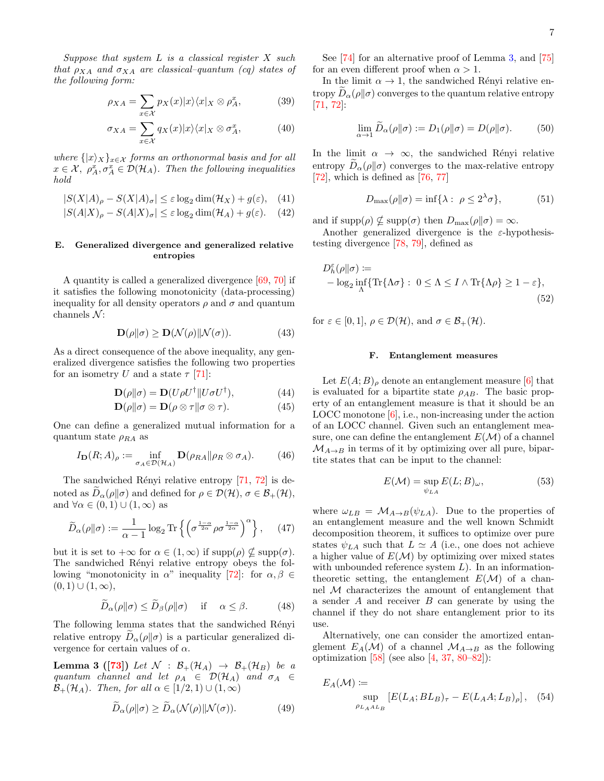Suppose that system  $L$  is a classical register  $X$  such that  $\rho_{XA}$  and  $\sigma_{XA}$  are classical–quantum (cq) states of the following form:

$$
\rho_{XA} = \sum_{x \in \mathcal{X}} p_X(x) |x\rangle \langle x|_X \otimes \rho_A^x,\tag{39}
$$

$$
\sigma_{XA} = \sum_{x \in \mathcal{X}} q_X(x)|x\rangle\langle x|_X \otimes \sigma_A^x,\tag{40}
$$

where  $\{|x\rangle_X\}_{x\in\mathcal{X}}$  forms an orthonormal basis and for all  $x \in \mathcal{X}, \ \rho_A^x, \sigma_A^x \in \mathcal{D}(\mathcal{H}_A)$ . Then the following inequalities hold

$$
|S(X|A)_{\rho} - S(X|A)_{\sigma}| \le \varepsilon \log_2 \dim(\mathcal{H}_X) + g(\varepsilon), \quad (41)
$$

$$
|S(A|X)_{\rho} - S(A|X)_{\sigma}| \le \varepsilon \log_2 \dim(\mathcal{H}_A) + g(\varepsilon). \quad (42)
$$

#### <span id="page-7-0"></span>E. Generalized divergence and generalized relative entropies

A quantity is called a generalized divergence [\[69,](#page-33-6) [70\]](#page-33-7) if it satisfies the following monotonicity (data-processing) inequality for all density operators  $\rho$  and  $\sigma$  and quantum channels  $\mathcal{N}$ :

$$
\mathbf{D}(\rho \| \sigma) \ge \mathbf{D}(\mathcal{N}(\rho) \| \mathcal{N}(\sigma)). \tag{43}
$$

As a direct consequence of the above inequality, any generalized divergence satisfies the following two properties for an isometry U and a state  $\tau$  [\[71\]](#page-33-8):

$$
\mathbf{D}(\rho \| \sigma) = \mathbf{D}(U\rho U^{\dagger} \| U\sigma U^{\dagger}), \tag{44}
$$

$$
\mathbf{D}(\rho||\sigma) = \mathbf{D}(\rho \otimes \tau||\sigma \otimes \tau). \tag{45}
$$

One can define a generalized mutual information for a quantum state  $\rho_{RA}$  as

$$
I_{\mathbf{D}}(R;A)_{\rho} := \inf_{\sigma_A \in \mathcal{D}(\mathcal{H}_A)} \mathbf{D}(\rho_{RA} \| \rho_R \otimes \sigma_A). \tag{46}
$$

The sandwiched Rényi relative entropy  $[71, 72]$  $[71, 72]$  is denoted as  $\widetilde{D}_{\alpha}(\rho||\sigma)$  and defined for  $\rho \in \mathcal{D}(\mathcal{H}), \sigma \in \mathcal{B}_{+}(\mathcal{H}),$ and  $\forall \alpha \in (0,1) \cup (1,\infty)$  as

$$
\widetilde{D}_{\alpha}(\rho\|\sigma) := \frac{1}{\alpha - 1} \log_2 \text{Tr}\left\{ \left( \sigma^{\frac{1 - \alpha}{2\alpha}} \rho \sigma^{\frac{1 - \alpha}{2\alpha}} \right)^{\alpha} \right\},\qquad(47)
$$

but it is set to  $+\infty$  for  $\alpha \in (1,\infty)$  if  $\text{supp}(\rho) \nsubseteq \text{supp}(\sigma)$ . The sandwiched Rényi relative entropy obeys the following "monotonicity in  $\alpha$ " inequality [\[72\]](#page-33-9): for  $\alpha, \beta \in$  $(0, 1) \cup (1, \infty),$ 

<span id="page-7-2"></span>
$$
\widetilde{D}_{\alpha}(\rho \| \sigma) \le \widetilde{D}_{\beta}(\rho \| \sigma) \quad \text{if} \quad \alpha \le \beta. \tag{48}
$$

The following lemma states that the sandwiched Rényi relative entropy  $D_{\alpha}(\rho\|\sigma)$  is a particular generalized divergence for certain values of  $\alpha$ .

**Lemma 3 ([\[73\]](#page-33-10))** Let  $\mathcal{N}$  :  $\mathcal{B}_+(\mathcal{H}_A) \rightarrow \mathcal{B}_+(\mathcal{H}_B)$  be a quantum channel and let  $\rho_A \in \mathcal{D}(\mathcal{H}_A)$  and  $\sigma_A \in$  $\mathcal{B}_{+}(\mathcal{H}_{A})$ . Then, for all  $\alpha \in [1/2, 1) \cup (1, \infty)$ 

$$
D_{\alpha}(\rho \| \sigma) \ge D_{\alpha}(\mathcal{N}(\rho) \| \mathcal{N}(\sigma)). \tag{49}
$$

See [\[74\]](#page-33-11) for an alternative proof of Lemma [3,](#page-7-2) and [\[75\]](#page-33-12) for an even different proof when  $\alpha > 1$ .

In the limit  $\alpha \to 1$ , the sandwiched Rényi relative entropy  $D_{\alpha}(\rho||\sigma)$  converges to the quantum relative entropy [\[71,](#page-33-8) [72\]](#page-33-9):

$$
\lim_{\alpha \to 1} \widetilde{D}_{\alpha}(\rho \| \sigma) := D_1(\rho \| \sigma) = D(\rho \| \sigma). \tag{50}
$$

In the limit  $\alpha \to \infty$ , the sandwiched Rényi relative entropy  $D_{\alpha}(\rho||\sigma)$  converges to the max-relative entropy [\[72\]](#page-33-9), which is defined as  $[76, 77]$  $[76, 77]$ 

$$
D_{\max}(\rho||\sigma) = \inf\{\lambda : \ \rho \le 2^{\lambda}\sigma\},\tag{51}
$$

and if  $\text{supp}(\rho) \nsubseteq \text{supp}(\sigma)$  then  $D_{\max}(\rho||\sigma) = \infty$ .

Another generalized divergence is the  $\varepsilon$ -hypothesistesting divergence [\[78,](#page-33-15) [79\]](#page-33-16), defined as

$$
D_h^{\varepsilon}(\rho \| \sigma) :=
$$
  
-  $\log_2 \inf_{\Lambda} \{ \text{Tr} \{ \Lambda \sigma \} : 0 \le \Lambda \le I \wedge \text{Tr} \{ \Lambda \rho \} \ge 1 - \varepsilon \},$  (52)

for  $\varepsilon \in [0,1], \rho \in \mathcal{D}(\mathcal{H}),$  and  $\sigma \in \mathcal{B}_{+}(\mathcal{H}).$ 

#### <span id="page-7-1"></span>F. Entanglement measures

Let  $E(A;B)$ <sub>ρ</sub> denote an entanglement measure [\[6\]](#page-31-6) that is evaluated for a bipartite state  $\rho_{AB}$ . The basic property of an entanglement measure is that it should be an LOCC monotone  $[6]$ , i.e., non-increasing under the action of an LOCC channel. Given such an entanglement measure, one can define the entanglement  $E(\mathcal{M})$  of a channel  $\mathcal{M}_{A\rightarrow B}$  in terms of it by optimizing over all pure, bipartite states that can be input to the channel:

<span id="page-7-4"></span>
$$
E(\mathcal{M}) = \sup_{\psi_{LA}} E(L; B)_{\omega}, \tag{53}
$$

where  $\omega_{LB} = \mathcal{M}_{A\rightarrow B}(\psi_{LA})$ . Due to the properties of an entanglement measure and the well known Schmidt decomposition theorem, it suffices to optimize over pure states  $\psi_{LA}$  such that  $L \simeq A$  (i.e., one does not achieve a higher value of  $E(\mathcal{M})$  by optimizing over mixed states with unbounded reference system  $L$ ). In an informationtheoretic setting, the entanglement  $E(\mathcal{M})$  of a channel M characterizes the amount of entanglement that a sender A and receiver B can generate by using the channel if they do not share entanglement prior to its use.

Alternatively, one can consider the amortized entanglement  $E_A(\mathcal{M})$  of a channel  $\mathcal{M}_{A\rightarrow B}$  as the following optimization [\[58\]](#page-32-26) (see also  $[4, 37, 80-82]$  $[4, 37, 80-82]$  $[4, 37, 80-82]$  $[4, 37, 80-82]$ ):

<span id="page-7-3"></span>
$$
E_A(\mathcal{M}) := \sup_{\rho_{L_A A L_B}} [E(L_A; BL_B)_{\tau} - E(L_A A; L_B)_{\rho}], \quad (54)
$$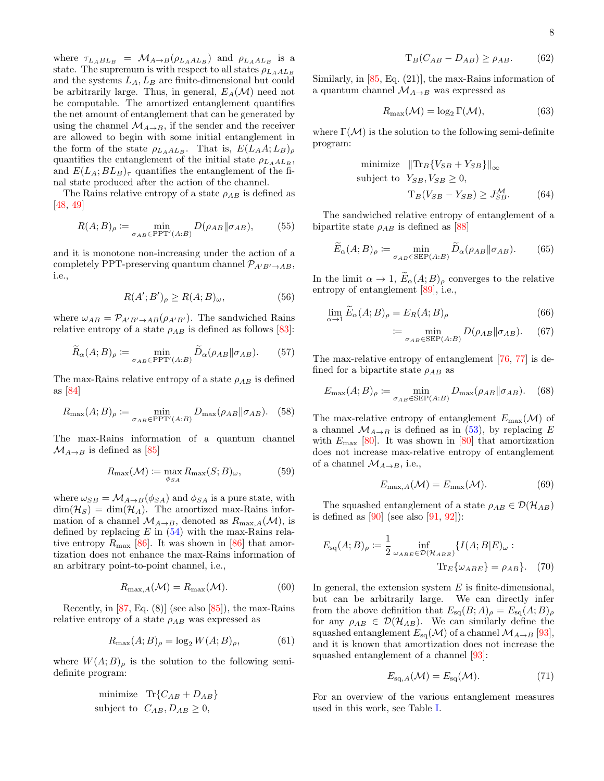where  $\tau_{L_A BL_B} = \mathcal{M}_{A\rightarrow B}(\rho_{L_A AL_B})$  and  $\rho_{L_A AL_B}$  is a state. The supremum is with respect to all states  $\rho_{L_{A}AL_{B}}$ and the systems  $L_A, L_B$  are finite-dimensional but could be arbitrarily large. Thus, in general,  $E_A(\mathcal{M})$  need not be computable. The amortized entanglement quantifies the net amount of entanglement that can be generated by using the channel  $\mathcal{M}_{A\rightarrow B}$ , if the sender and the receiver are allowed to begin with some initial entanglement in the form of the state  $\rho_{L_AAL_B}$ . That is,  $E(L_A A; L_B)$ <sub>ρ</sub> quantifies the entanglement of the initial state  $\rho_{L_{A}AL_{B}}$ , and  $E(L_A; BL_B)_{\tau}$  quantifies the entanglement of the final state produced after the action of the channel.

The Rains relative entropy of a state  $\rho_{AB}$  is defined as [\[48,](#page-32-16) [49\]](#page-32-17)

<span id="page-8-1"></span>
$$
R(A;B)_{\rho} := \min_{\sigma_{AB} \in \text{PPT}'(A:B)} D(\rho_{AB} \| \sigma_{AB}), \tag{55}
$$

and it is monotone non-increasing under the action of a completely PPT-preserving quantum channel  $\mathcal{P}_{A'B'\to AB}$ , i.e.,

$$
R(A';B')_{\rho} \ge R(A;B)_{\omega},\tag{56}
$$

where  $\omega_{AB} = \mathcal{P}_{A'B'\rightarrow AB}(\rho_{A'B'})$ . The sandwiched Rains relative entropy of a state  $\rho_{AB}$  is defined as follows [\[83\]](#page-33-19):

<span id="page-8-0"></span>
$$
\widetilde{R}_{\alpha}(A;B)_{\rho} \coloneqq \min_{\sigma_{AB} \in \text{PPT}'(A:B)} \widetilde{D}_{\alpha}(\rho_{AB} \| \sigma_{AB}). \tag{57}
$$

The max-Rains relative entropy of a state  $\rho_{AB}$  is defined as [\[84\]](#page-33-20)

$$
R_{\max}(A;B)_{\rho} := \min_{\sigma_{AB} \in \text{PPT}'(A:B)} D_{\max}(\rho_{AB} || \sigma_{AB}). \quad (58)
$$

The max-Rains information of a quantum channel  $\mathcal{M}_{A\rightarrow B}$  is defined as [\[85\]](#page-33-21)

<span id="page-8-3"></span>
$$
R_{\max}(\mathcal{M}) := \max_{\phi_{SA}} R_{\max}(S; B)_{\omega},\tag{59}
$$

where  $\omega_{SB} = \mathcal{M}_{A\rightarrow B}(\phi_{SA})$  and  $\phi_{SA}$  is a pure state, with  $\dim(\mathcal{H}_S) = \dim(\mathcal{H}_A)$ . The amortized max-Rains information of a channel  $\mathcal{M}_{A\rightarrow B}$ , denoted as  $R_{\text{max},A}(\mathcal{M})$ , is defined by replacing  $E$  in  $(54)$  with the max-Rains relative entropy  $R_{\text{max}}$  [\[86\]](#page-33-22). It was shown in [\[86\]](#page-33-22) that amortization does not enhance the max-Rains information of an arbitrary point-to-point channel, i.e.,

$$
R_{\max,A}(\mathcal{M}) = R_{\max}(\mathcal{M}).\tag{60}
$$

Recently, in  $[87, Eq. (8)]$  (see also  $[85]$ ), the max-Rains relative entropy of a state  $\rho_{AB}$  was expressed as

<span id="page-8-2"></span>
$$
R_{\max}(A;B)_{\rho} = \log_2 W(A;B)_{\rho},\tag{61}
$$

where  $W(A;B)_{\rho}$  is the solution to the following semidefinite program:

$$
\begin{array}{ll}\text{minimize} & \text{Tr}\{C_{AB} + D_{AB}\} \\ \text{subject to} & C_{AB}, D_{AB} \ge 0, \end{array}
$$

<span id="page-8-10"></span>
$$
T_B(C_{AB} - D_{AB}) \ge \rho_{AB}.
$$
 (62)

Similarly, in  $[85, Eq. (21)]$ , the max-Rains information of a quantum channel  $\mathcal{M}_{A\rightarrow B}$  was expressed as

<span id="page-8-9"></span><span id="page-8-8"></span>
$$
R_{\max}(\mathcal{M}) = \log_2 \Gamma(\mathcal{M}),\tag{63}
$$

where  $\Gamma(\mathcal{M})$  is the solution to the following semi-definite program:

minimize 
$$
||\text{Tr}_B\{V_{SB} + Y_{SB}\}||_{\infty}
$$
  
subject to  $Y_{SB}, V_{SB} \ge 0$ ,  
 $\text{T}_B(V_{SB} - Y_{SB}) \ge J_{SB}^{\mathcal{M}}$ . (64)

The sandwiched relative entropy of entanglement of a bipartite state  $\rho_{AB}$  is defined as [\[88\]](#page-33-24)

<span id="page-8-4"></span>
$$
\widetilde{E}_{\alpha}(A;B)_{\rho} := \min_{\sigma_{AB} \in \text{SEP}(A:B)} \widetilde{D}_{\alpha}(\rho_{AB} \| \sigma_{AB}). \tag{65}
$$

In the limit  $\alpha \to 1$ ,  $E_{\alpha}(A;B)_{\rho}$  converges to the relative entropy of entanglement [\[89\]](#page-33-25), i.e.,

$$
\lim_{\alpha \to 1} \widetilde{E}_{\alpha}(A;B)_{\rho} = E_R(A;B)_{\rho}
$$
\n(66)

<span id="page-8-5"></span>
$$
\coloneqq \min_{\sigma_{AB} \in \text{SEP}(A:B)} D(\rho_{AB} \| \sigma_{AB}). \tag{67}
$$

The max-relative entropy of entanglement [\[76,](#page-33-13) [77\]](#page-33-14) is defined for a bipartite state  $\rho_{AB}$  as

<span id="page-8-6"></span>
$$
E_{\max}(A;B)_{\rho} := \min_{\sigma_{AB} \in \text{SEP}(A:B)} D_{\max}(\rho_{AB} || \sigma_{AB}). \quad (68)
$$

The max-relative entropy of entanglement  $E_{\text{max}}(\mathcal{M})$  of a channel  $\mathcal{M}_{A\to B}$  is defined as in [\(53\)](#page-7-4), by replacing E with  $E_{\text{max}}$  [\[80\]](#page-33-17). It was shown in [\[80\]](#page-33-17) that amortization does not increase max-relative entropy of entanglement of a channel  $\mathcal{M}_{A\rightarrow B}$ , i.e.,

<span id="page-8-7"></span>
$$
E_{\max,A}(\mathcal{M}) = E_{\max}(\mathcal{M}).\tag{69}
$$

The squashed entanglement of a state  $\rho_{AB} \in \mathcal{D}(\mathcal{H}_{AB})$ is defined as  $[90]$  (see also  $[91, 92]$  $[91, 92]$ ):

$$
E_{\text{sq}}(A;B)_{\rho} := \frac{1}{2} \inf_{\omega_{ABE} \in \mathcal{D}(\mathcal{H}_{ABE})} \{ I(A;B|E)_{\omega} : \text{Tr}_{E}\{\omega_{ABE}\} = \rho_{AB} \}. \tag{70}
$$

In general, the extension system  $E$  is finite-dimensional, but can be arbitrarily large. We can directly infer from the above definition that  $E_{\text{sq}}(B;A)_{\rho} = E_{\text{sq}}(A;B)_{\rho}$ for any  $\rho_{AB} \in \mathcal{D}(\mathcal{H}_{AB})$ . We can similarly define the squashed entanglement  $E_{\text{sq}}(\mathcal{M})$  of a channel  $\mathcal{M}_{A\rightarrow B}$  [\[93\]](#page-33-29), and it is known that amortization does not increase the squashed entanglement of a channel [\[93\]](#page-33-29):

$$
E_{\text{sq},A}(\mathcal{M}) = E_{\text{sq}}(\mathcal{M}). \tag{71}
$$

For an overview of the various entanglement measures used in this work, see Table [I.](#page-9-1)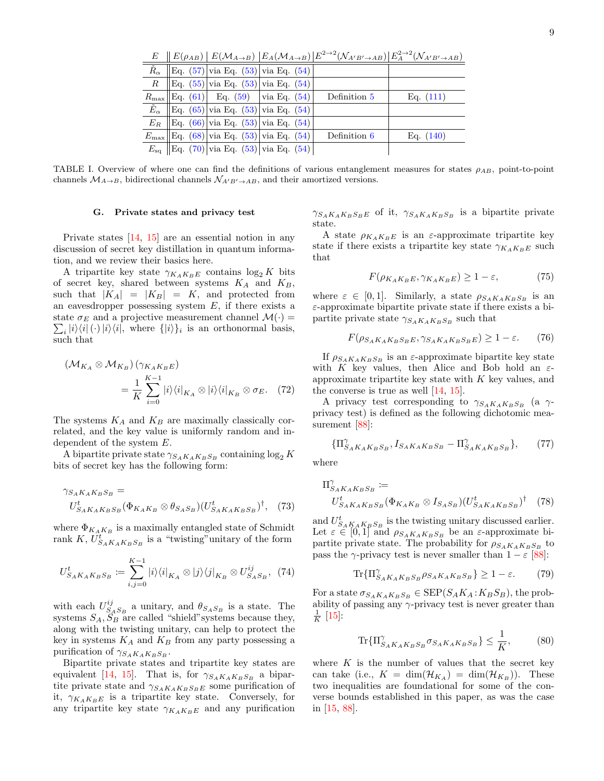|                    |  |                                                                                  | $\ E(\rho_{AB})\ E(\mathcal{M}_{A\rightarrow B})\ E_A(\mathcal{M}_{A\rightarrow B})\ E^{2\rightarrow 2}(\mathcal{N}_{A'B'\rightarrow AB})\ E^{2\rightarrow 2}_A(\mathcal{N}_{A'B'\rightarrow AB})$ |             |
|--------------------|--|----------------------------------------------------------------------------------|----------------------------------------------------------------------------------------------------------------------------------------------------------------------------------------------------|-------------|
| $\tilde{R}_\alpha$ |  | $\mathbb{E}[q. (57) \text{via Eq. (53)} \text{via Eq. (54)} $                    |                                                                                                                                                                                                    |             |
| $R_{\parallel}$    |  | $\ \text{Eq. (55)} $ via Eq. (53) via Eq. (54)                                   |                                                                                                                                                                                                    |             |
|                    |  | $R_{\text{max}}    \text{Eq. (61)}    \text{Eq. (59)}    \text{via Eq. (54)}   $ | Definition 5                                                                                                                                                                                       | Eq. $(111)$ |
|                    |  | $\tilde{E}_{\alpha}$   Eq. (65)   via Eq. (53)   via Eq. (54)                    |                                                                                                                                                                                                    |             |
|                    |  | $E_R$  Eq. (66) via Eq. (53) via Eq. (54)                                        |                                                                                                                                                                                                    |             |
|                    |  | $E_{\text{max}}$ Eq. (68) via Eq. (53) via Eq. (54)                              | Definition 6                                                                                                                                                                                       | Eq. $(140)$ |
|                    |  | $E_{\text{sq}}$   Eq. (70)   via Eq. (53)   via Eq. (54)                         |                                                                                                                                                                                                    |             |

 $2-2-2i$ 

<span id="page-9-1"></span>TABLE I. Overview of where one can find the definitions of various entanglement measures for states  $\rho_{AB}$ , point-to-point channels  $\mathcal{M}_{A\to B}$ , bidirectional channels  $\mathcal{N}_{A'B'\to AB}$ , and their amortized versions.

#### <span id="page-9-0"></span>G. Private states and privacy test

Private states [\[14,](#page-31-19) [15\]](#page-31-12) are an essential notion in any discussion of secret key distillation in quantum information, and we review their basics here.

A tripartite key state  $\gamma_{K_A K_B E}$  contains  $\log_2 K$  bits of secret key, shared between systems  $K_A$  and  $K_B$ , such that  $|K_A| = |K_B| = K$ , and protected from an eavesdropper possessing system  $E$ , if there exists a  $\sum_i |i\rangle\langle i| (\cdot) |i\rangle\langle i|$ , where  $\{|i\rangle\}_i$  is an orthonormal basis, state  $\sigma_E$  and a projective measurement channel  $\mathcal{M}(\cdot)$  = such that

$$
\begin{aligned} \left(\mathcal{M}_{K_A} \otimes \mathcal{M}_{K_B}\right) \left(\gamma_{K_A K_B E}\right) \\ &= \frac{1}{K} \sum_{i=0}^{K-1} |i\rangle \langle i|_{K_A} \otimes |i\rangle \langle i|_{K_B} \otimes \sigma_E. \end{aligned} \tag{72}
$$

The systems  $K_A$  and  $K_B$  are maximally classically correlated, and the key value is uniformly random and independent of the system E.

A bipartite private state  $\gamma_{S_A K_A K_B S_B}$  containing  $\log_2 K$ bits of secret key has the following form:

$$
\gamma_{S_A K_A K_B S_B} = U_{S_A K_A K_B S_B}^t (\Phi_{K_A K_B} \otimes \theta_{S_A S_B}) (U_{S_A K_A K_B S_B}^t)^{\dagger}, \quad (73)
$$

where  $\Phi_{K_A K_B}$  is a maximally entangled state of Schmidt rank K,  $\overline{U}_{SAK_{A}K_{B}S_{B}}^{t}$  is a "twisting" unitary of the form

$$
U_{S_A K_A K_B S_B}^t := \sum_{i,j=0}^{K-1} |i\rangle\langle i|_{K_A} \otimes |j\rangle\langle j|_{K_B} \otimes U_{S_A S_B}^{ij}, \tag{74}
$$

with each  $U_{S_A S_B}^{ij}$  a unitary, and  $\theta_{S_A S_B}$  is a state. The systems  $S_A$ ,  $S_B$  are called "shield" systems because they, along with the twisting unitary, can help to protect the key in systems  $K_A$  and  $K_B$  from any party possessing a purification of  $\gamma_{S_A K_A K_B S_B}$ .

Bipartite private states and tripartite key states are equivalent [\[14,](#page-31-19) [15\]](#page-31-12). That is, for  $\gamma_{S_A K_A K_B S_B}$  a bipartite private state and  $\gamma_{S_A K_A K_B S_B E}$  some purification of it,  $\gamma_{K_A K_B E}$  is a tripartite key state. Conversely, for any tripartite key state  $\gamma_{K_A K_B E}$  and any purification  $\gamma_{S_A K_A K_B S_B E}$  of it,  $\gamma_{S_A K_A K_B S_B}$  is a bipartite private state.

 $2-2-2i$ 

A state  $\rho_{K_A K_B E}$  is an  $\varepsilon$ -approximate tripartite key state if there exists a tripartite key state  $\gamma_{K_A K_B E}$  such that

$$
F(\rho_{K_A K_B E}, \gamma_{K_A K_B E}) \ge 1 - \varepsilon,\tag{75}
$$

where  $\varepsilon \in [0, 1]$ . Similarly, a state  $\rho_{S_A K_A K_B S_B}$  is an ε-approximate bipartite private state if there exists a bipartite private state  $\gamma_{S_A K_A K_B S_B}$  such that

$$
F(\rho_{S_A K_A K_B S_B E}, \gamma_{S_A K_A K_B S_B E}) \ge 1 - \varepsilon. \tag{76}
$$

If  $\rho_{S_A K_A K_B S_B}$  is an  $\varepsilon$ -approximate bipartite key state with K key values, then Alice and Bob hold an  $\varepsilon$ approximate tripartite key state with  $K$  key values, and the converse is true as well  $[14, 15]$  $[14, 15]$ .

A privacy test corresponding to  $\gamma_{S_A K_A K_B S_B}$  (a  $\gamma$ privacy test) is defined as the following dichotomic measurement [\[88\]](#page-33-24):

$$
\{\Pi_{S_A K_A K_B S_B}^{\gamma}, I_{S_A K_A K_B S_B} - \Pi_{S_A K_A K_B S_B}^{\gamma}\},\tag{77}
$$

where

$$
\Pi_{S_A K_A K_B S_B}^{\gamma} :=
$$
\n
$$
U_{S_A K_A K_B S_B}^t (\Phi_{K_A K_B} \otimes I_{S_A S_B}) (U_{S_A K_A K_B S_B}^t)^{\dagger}
$$
\n(78)

and  $U_{S_A K_A K_B S_B}^t$  is the twisting unitary discussed earlier. Let  $\varepsilon \in [0,1]$  and  $\rho_{S_A K_A K_B S_B}$  be an  $\varepsilon$ -approximate bipartite private state. The probability for  $\rho_{S_A K_A K_B S_B}$  to pass the  $\gamma$ -privacy test is never smaller than  $1 - \varepsilon$  [\[88\]](#page-33-24):

$$
\text{Tr}\{\Pi_{S_A K_A K_B S_B}^{\gamma} \rho_{S_A K_A K_B S_B}\} \ge 1 - \varepsilon. \tag{79}
$$

For a state  $\sigma_{S_A K_A K_B S_B} \in \text{SEP}(S_A K_A : K_B S_B)$ , the probability of passing any  $\gamma$ -privacy test is never greater than  $\frac{1}{K}$  [\[15\]](#page-31-12):

$$
\text{Tr}\{\Pi_{S_A K_A K_B S_B}^{\gamma} \sigma_{S_A K_A K_B S_B}\} \le \frac{1}{K},\tag{80}
$$

where  $K$  is the number of values that the secret key can take (i.e.,  $K = \dim(\mathcal{H}_{K_A}) = \dim(\mathcal{H}_{K_B})$ ). These two inequalities are foundational for some of the converse bounds established in this paper, as was the case in [\[15,](#page-31-12) [88\]](#page-33-24).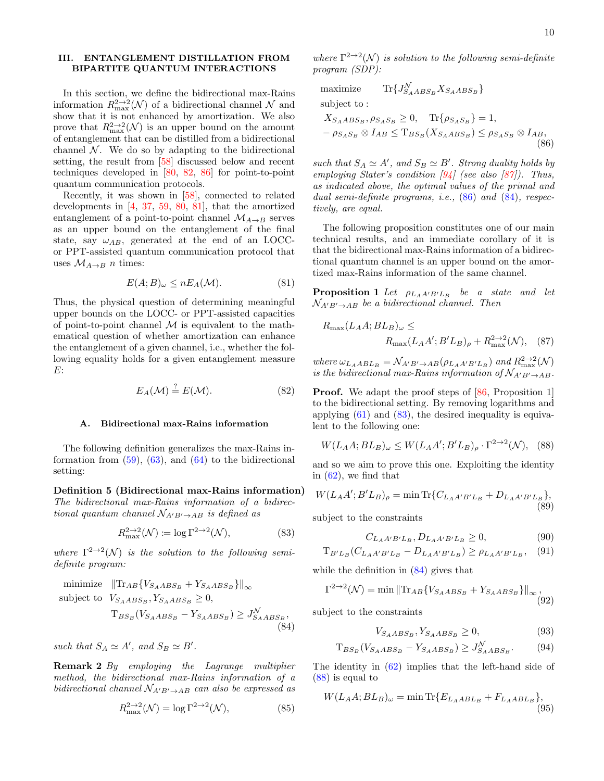## <span id="page-10-0"></span>III. ENTANGLEMENT DISTILLATION FROM BIPARTITE QUANTUM INTERACTIONS

In this section, we define the bidirectional max-Rains information  $R_{\max}^{2\to 2}(\mathcal{N})$  of a bidirectional channel  $\mathcal N$  and show that it is not enhanced by amortization. We also prove that  $R_{\max}^{2\to 2}(\mathcal{N})$  is an upper bound on the amount of entanglement that can be distilled from a bidirectional channel  $\mathcal N$ . We do so by adapting to the bidirectional setting, the result from [\[58\]](#page-32-26) discussed below and recent techniques developed in [\[80,](#page-33-17) [82,](#page-33-18) [86\]](#page-33-22) for point-to-point quantum communication protocols.

Recently, it was shown in [\[58\]](#page-32-26), connected to related developments in [\[4,](#page-31-4) [37,](#page-32-8) [59,](#page-32-27) [80,](#page-33-17) [81\]](#page-33-30), that the amortized entanglement of a point-to-point channel  $\mathcal{M}_{A\rightarrow B}$  serves as an upper bound on the entanglement of the final state, say  $\omega_{AB}$ , generated at the end of an LOCCor PPT-assisted quantum communication protocol that uses  $\mathcal{M}_{A\rightarrow B}$  *n* times:

$$
E(A;B)_{\omega} \le nE_A(\mathcal{M}).\tag{81}
$$

Thus, the physical question of determining meaningful upper bounds on the LOCC- or PPT-assisted capacities of point-to-point channel  $\mathcal M$  is equivalent to the mathematical question of whether amortization can enhance the entanglement of a given channel, i.e., whether the following equality holds for a given entanglement measure E:

$$
E_A(\mathcal{M}) \stackrel{?}{=} E(\mathcal{M}).\tag{82}
$$

#### <span id="page-10-1"></span>A. Bidirectional max-Rains information

The following definition generalizes the max-Rains information from  $(59)$ ,  $(63)$ , and  $(64)$  to the bidirectional setting:

## <span id="page-10-2"></span>Definition 5 (Bidirectional max-Rains information)

The bidirectional max-Rains information of a bidirectional quantum channel  $\mathcal{N}_{A'B'\to AB}$  is defined as

<span id="page-10-5"></span>
$$
R_{\max}^{2 \to 2}(\mathcal{N}) \coloneqq \log \Gamma^{2 \to 2}(\mathcal{N}),\tag{83}
$$

where  $\Gamma^{2\to 2}(\mathcal{N})$  is the solution to the following semidefinite program:

minimize 
$$
||\text{Tr}_{AB}\{V_{S_AABS_B} + Y_{S_AABS_B}\}||_{\infty}
$$
  
subject to  $V_{S_AABS_B}, Y_{S_AABS_B} \ge 0$ ,  
 $\text{Tr}_{BS_B}(V_{S_AABS_B} - Y_{S_AABS_B}) \ge J_{S_AABS_B}^{\mathcal{N}}$ ,  
(84)

such that  $S_A \simeq A'$ , and  $S_B \simeq B'$ .

Remark 2 By employing the Lagrange multiplier method, the bidirectional max-Rains information of a bidirectional channel  $\mathcal{N}_{A'B'\to AB}$  can also be expressed as

$$
R_{\max}^{2 \to 2}(\mathcal{N}) = \log \Gamma^{2 \to 2}(\mathcal{N}),\tag{85}
$$

where  $\Gamma^{2\to 2}(\mathcal{N})$  is solution to the following semi-definite program (SDP):

maximize subject to :

$$
X_{SAABS_B}, \rho_{SAS_B} \ge 0, \quad \text{Tr}\{\rho_{SAS_B}\} = 1,
$$
  
- 
$$
\rho_{SAS_B} \otimes I_{AB} \le \text{T}_{BS_B}(X_{SAABS_B}) \le \rho_{SAS_B} \otimes I_{AB},
$$
(86)

<span id="page-10-3"></span> $\frac{\mathcal{N}_{SAABS_{B}}}{S_{AA}BS_{B}}\}$ 

such that  $S_A \simeq A'$ , and  $S_B \simeq B'$ . Strong duality holds by employing Slater's condition  $[94]$  (see also  $[87]$ ). Thus, as indicated above, the optimal values of the primal and dual semi-definite programs, i.e.,  $(86)$  and  $(84)$ , respectively, are equal.

The following proposition constitutes one of our main technical results, and an immediate corollary of it is that the bidirectional max-Rains information of a bidirectional quantum channel is an upper bound on the amortized max-Rains information of the same channel.

<span id="page-10-8"></span>**Proposition 1** Let  $\rho_{L_A A'B'L_B}$  be a state and let  $\mathcal{N}_{A'B'\to AB}$  be a bidirectional channel. Then

$$
R_{\max}(L_A A; BL_B)_{\omega} \le
$$
  

$$
R_{\max}(L_A A'; B'L_B)_{\rho} + R_{\max}^{2 \to 2}(\mathcal{N}), \quad (87)
$$

where  $\omega_{L_{A}ABL_{B}} = \mathcal{N}_{A'B'\rightarrow AB}(\rho_{L_{A}A'B'L_{B}})$  and  $R_{\text{max}}^{2\rightarrow2}(\mathcal{N})$ is the bidirectional max-Rains information of  $\mathcal{N}_{A'B'\to AB}$ .

**Proof.** We adapt the proof steps of [\[86,](#page-33-22) Proposition 1] to the bidirectional setting. By removing logarithms and applying  $(61)$  and  $(83)$ , the desired inequality is equivalent to the following one:

<span id="page-10-6"></span>
$$
W(L_A A; BL_B)_{\omega} \le W(L_A A'; B'L_B)_{\rho} \cdot \Gamma^{2 \to 2}(\mathcal{N}), \tag{88}
$$

and so we aim to prove this one. Exploiting the identity in [\(62\)](#page-8-10), we find that

$$
W(L_A A'; B'L_B)_{\rho} = \min \text{Tr} \{ C_{L_A A'B'L_B} + D_{L_A A'B'L_B} \},
$$
\n(89)

subject to the constraints

$$
C_{L_A A'B'L_B}, D_{L_A A'B'L_B} \ge 0,
$$
\n(90)

$$
T_{B'L_B}(C_{LA A'B'L_B} - D_{LA A'B'L_B}) \ge \rho_{LA A'B'L_B}, \quad (91)
$$

while the definition in [\(84\)](#page-10-4) gives that

$$
\Gamma^{2\to 2}(\mathcal{N}) = \min \| \text{Tr}_{AB} \{ V_{SAABS_B} + Y_{SAABS_B} \} \|_{\infty},
$$
\n(92)

<span id="page-10-4"></span>subject to the constraints

<span id="page-10-7"></span>
$$
V_{S_AABS_B}, V_{S_AABS_B} \ge 0,\t\t(93)
$$

$$
T_{BS_B}(V_{S_AABS_B} - Y_{S_AABS_B}) \ge J_{S_AABS_B}^{\mathcal{N}}.\tag{94}
$$

The identity in [\(62\)](#page-8-10) implies that the left-hand side of [\(88\)](#page-10-6) is equal to

$$
W(L_A A; BL_B)_{\omega} = \min \text{Tr}\{E_{LAABL_B} + F_{LAABL_B}\},\tag{95}
$$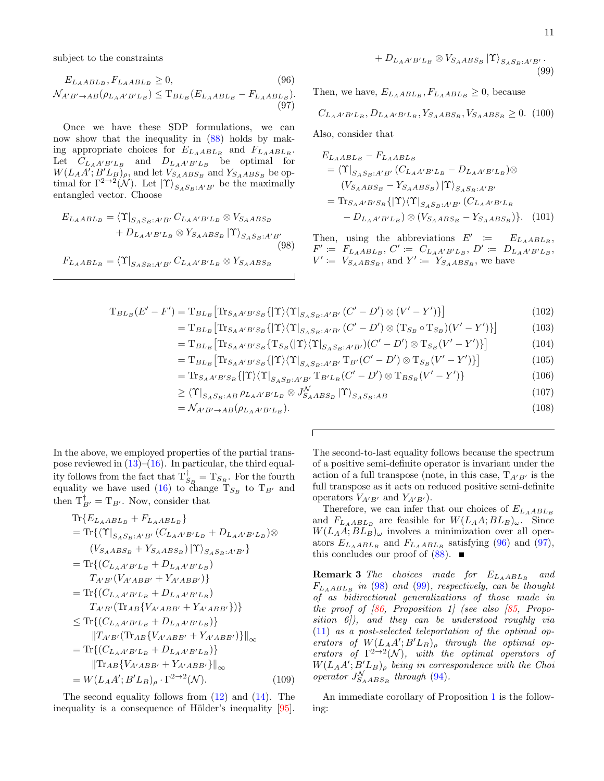subject to the constraints

$$
E_{L_A A B L_B}, F_{L_A A B L_B} \ge 0,
$$
\n
$$
\mathcal{N}_{A'B' \to AB}(\rho_{L_A A'B' L_B}) \le T_{B L_B}(E_{L_A A B L_B} - F_{L_A A B L_B}).
$$
\n
$$
(97)
$$

Once we have these SDP formulations, we can now show that the inequality in [\(88\)](#page-10-6) holds by making appropriate choices for  $E_{L_{A}ABL_{B}}$  and  $F_{L_{A}ABL_{B}}$ . Let  $C_{L_A A'B'L_B}$  and  $D_{L_A A'B'L_B}$  be optimal for  $W(L_A A'; B'L_B)_{\rho}$ , and let  $V_{S_AABS_B}$  and  $Y_{S_AABS_B}$  be optimal for  $\Gamma^{2\to 2}(\mathcal{N})$ . Let  $|\Upsilon\rangle_{S_A S_B:A'B'}$  be the maximally entangled vector. Choose

$$
E_{L_{A}ABL_{B}} = \langle \Upsilon |_{S_{A}S_{B}:A'B'} C_{L_{A}A'B'L_{B}} \otimes V_{S_{A}ABS_{B}} + D_{L_{A}A'B'L_{B}} \otimes Y_{S_{A}ABS_{B}} | \Upsilon \rangle_{S_{A}S_{B}:A'B'} (98)
$$

$$
F_{L_{A}ABL_{B}} = \langle \Upsilon |_{S_{A}S_{B}:A'B'} C_{L_{A}A'B'L_{B}} \otimes Y_{S_{A}ABS_{B}}
$$

<span id="page-11-3"></span>
$$
+ D_{L_A A'B'L_B} \otimes V_{S_A ABS_B} | \Upsilon \rangle_{S_A S_B:A'B'}.
$$
\n(99)

<span id="page-11-1"></span><span id="page-11-0"></span>Then, we have,  $E_{L_{A}ABL_{B}}$ ,  $F_{L_{A}ABL_{B}} \geq 0$ , because

$$
C_{L_A A'B'L_B}, D_{L_A A'B'L_B}, Y_{S_A ABS_B}, V_{S_A ABS_B} \ge 0. (100)
$$

Also, consider that

$$
E_{L_{A}ABL_{B}} - F_{L_{A}ABL_{B}}
$$
  
=  $\langle \Upsilon |_{S_{A}S_{B}:A'B'} (C_{L_{A}A'B'L_{B}} - D_{L_{A}A'B'L_{B}}) \otimes$   
 $(V_{S_{A}ABS_{B}} - Y_{S_{A}ABS_{B}}) | \Upsilon \rangle_{S_{A}S_{B}:A'B'}$   
=  $\text{Tr}_{S_{A}A'B'S_{B}} \{ | \Upsilon \rangle \langle \Upsilon |_{S_{A}S_{B}:A'B'} (C_{L_{A}A'B'L_{B}} - D_{L_{A}A'B'L_{B}) \otimes (V_{S_{A}ABS_{B}} - Y_{S_{A}ABS_{B}}) \}.$  (101)

<span id="page-11-2"></span>Then, using the abbreviations  $E' := E_{L_A A B L_B}$ ,  $F' := F_{L_A A B L_B}, C' := C_{L_A A' B' L_B}, D' := D_{L_A A' B' L_B},$  $V' \coloneqq V_{S_AABS_B}$ , and  $Y' \coloneqq Y_{S_AABS_B}$ , we have

$$
T_{BL_B}(E'-F') = T_{BL_B} \left[ \text{Tr}_{S_A A'B'S_B} \{ |\Upsilon\rangle\langle\Upsilon|_{S_A S_B:A'B'} (C'-D') \otimes (V'-Y') \} \right]
$$
(102)

$$
= \mathrm{T}_{BL_B} \left[ \mathrm{Tr}_{S_A A'B'S_B} \{ |\Upsilon\rangle\langle\Upsilon|_{S_A S_B:A'B'} (C'-D') \otimes (\mathrm{T}_{S_B} \circ \mathrm{T}_{S_B}) (V'-Y') \} \right] \tag{103}
$$

$$
= \mathrm{T}_{BL_B} \left[ \mathrm{Tr}_{S_A A'B'S_B} \{ \mathrm{T}_{S_B} (|\Upsilon\rangle\langle\Upsilon|_{S_A S_B:A'B'}) (C'-D') \otimes \mathrm{T}_{S_B} (V'-Y') \} \right] \tag{104}
$$

$$
= \mathrm{T}_{BL_B} \left[ \mathrm{Tr}_{S_A A'B'S_B} \{ |\Upsilon\rangle\langle\Upsilon|_{S_A S_B:A'B'} \mathrm{T}_{B'}(C'-D') \otimes \mathrm{T}_{S_B}(V'-Y') \} \right] \tag{105}
$$

$$
= \operatorname{Tr}_{S_A A'B'S_B} \{ |\Upsilon\rangle\langle \Upsilon|_{S_A S_B:A'B'} \operatorname{T}_{B'L_B}(C'-D') \otimes \operatorname{T}_{BS_B}(V'-Y') \} \tag{106}
$$

$$
\geq \langle \Upsilon |_{S_A S_B:AB} \rho_{L_A A'B' L_B} \otimes J_{S_A A B S_B}^{\mathcal{N}} | \Upsilon \rangle_{S_A S_B:AB}
$$
\n
$$
(107)
$$

$$
= \mathcal{N}_{A'B' \to AB}(\rho_{L_A A'B' L_B}). \tag{108}
$$

In the above, we employed properties of the partial transpose reviewed in  $(13)$ – $(16)$ . In particular, the third equality follows from the fact that  $T_{S_B}^{\dagger} = T_{S_B}$ . For the fourth equality we have used [\(16\)](#page-4-2) to change  $T_{S_B}$  to  $T_{B'}$  and then  $T_{B'}^{\dagger} = T_{B'}$ . Now, consider that

$$
\begin{split}\n& \text{Tr}\{E_{LAABL_B} + F_{LAABL_B}\} \\
&= \text{Tr}\{\langle \Upsilon|_{S_A S_B:A'B'}(C_{LAA'B'L_B} + D_{LAA'B'L_B})\otimes \\ & (V_{S_AABS_B} + Y_{S_AABS_B})|\Upsilon\rangle_{S_A S_B:A'B'}\} \\
&= \text{Tr}\{(C_{LAA'B'L_B} + D_{LAA'B'L_B}) \\
& T_{A'B'}(V_{A'ABB'} + Y_{A'ABB'})\} \\
&= \text{Tr}\{(C_{LAA'B'L_B} + D_{LAA'B'L_B}) \\
& T_{A'B'}(\text{Tr}_{AB}\{V_{A'ABB'} + Y_{A'ABB'}\})\} \\
&\leq \text{Tr}\{(C_{LAA'B'L_B} + D_{LAA'B'L_B})\} \\
& \|T_{A'B'}(\text{Tr}_{AB}\{V_{A'ABB'} + Y_{A'ABB'})\}\|_{\infty} \\
&= \text{Tr}\{(C_{LAA'B'L_B} + D_{LAA'B'L_B})\} \\
& \| \text{Tr}_{AB}\{V_{A'ABB'} + Y_{A'ABB'}\}\|_{\infty} \\
&= W(L_AA';B'L_B)_{\rho} \cdot \Gamma^{2 \to 2}(\mathcal{N}).\n\end{split} \tag{109}
$$

The second equality follows from  $(12)$  and  $(14)$ . The inequality is a consequence of Hölder's inequality  $[95]$ .

The second-to-last equality follows because the spectrum of a positive semi-definite operator is invariant under the action of a full transpose (note, in this case,  $T_{A'B'}$  is the full transpose as it acts on reduced positive semi-definite operators  $V_{A'B'}$  and  $Y_{A'B'}$ ).

Therefore, we can infer that our choices of  $E_{L_{A}ABL_{B}}$ and  $F_{L_{A}ABL_{B}}$  are feasible for  $W(L_{A}A; BL_{B})_{\omega}$ . Since  $W(L<sub>A</sub>A; BL<sub>B</sub>)<sub>\omega</sub>$  involves a minimization over all operators  $E_{L_{A}ABL_{B}}$  and  $F_{L_{A}ABL_{B}}$  satisfying [\(96\)](#page-11-0) and [\(97\)](#page-11-1), this concludes our proof of  $(88)$ .

**Remark 3** The choices made for  $E_{L_{A}ABL_{B}}$  and  $F_{L_{A}ABL_{B}}$  in [\(98\)](#page-11-2) and [\(99\)](#page-11-3), respectively, can be thought of as bidirectional generalizations of those made in the proof of  $[86,$  Proposition 1] (see also  $[85,$  Proposition 6]), and they can be understood roughly via [\(11\)](#page-4-5) as a post-selected teleportation of the optimal operators of  $W(L_A A'; B'L_B)_{\rho}$  through the optimal operators of  $\Gamma^{2\to 2}(\mathcal{N})$ , with the optimal operators of  $W(L_A A'; B'L_B)$ <sub>p</sub> being in correspondence with the Choi operator  $J_{S_{A}ABS_{B}}^{N}$  through [\(94\)](#page-10-7).

<span id="page-11-4"></span>An immediate corollary of Proposition [1](#page-10-8) is the following: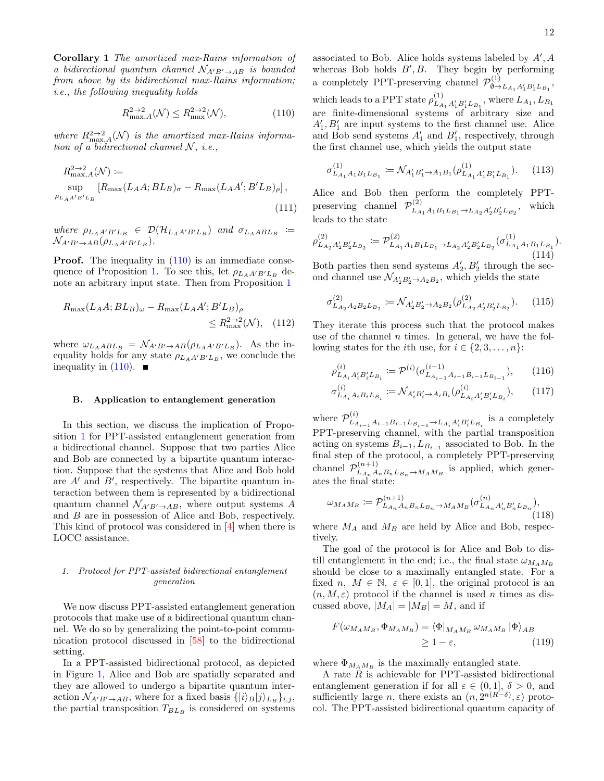<span id="page-12-3"></span>
$$
R_{\max,A}^{2\to 2}(\mathcal{N}) \le R_{\max}^{2\to 2}(\mathcal{N}),\tag{110}
$$

where  $R_{\max,A}^{2\to 2}(\mathcal{N})$  is the amortized max-Rains information of a bidirectional channel  $N$ , *i.e.*,

i.e., the following inequality holds

$$
R_{\max,A}^{2\to2}(\mathcal{N}) \coloneqq
$$
  
\n
$$
\sup_{\rho_{L_A A'B'L_B}} [R_{\max}(L_A A; BL_B)_{\sigma} - R_{\max}(L_A A'; B'L_B)_{\rho}],
$$
  
\n(111)

where  $\rho_{L_A A'B'L_B} \in \mathcal{D}(\mathcal{H}_{L_A A'B'L_B})$  and  $\sigma_{L_A ABL_B} :=$  $\mathcal{N}_{A'B'\rightarrow AB}(\rho_{L_A A'B'L_B}).$ 

**Proof.** The inequality in  $(110)$  is an immediate conse-quence of Proposition [1.](#page-10-8) To see this, let  $\rho_{L_A A'B'L_B}$  denote an arbitrary input state. Then from Proposition [1](#page-10-8)

$$
R_{\max}(L_A A; BL_B)_{\omega} - R_{\max}(L_A A'; B'L_B)_{\rho}
$$
  
\$\leq R\_{\max}^{2 \to 2}(\mathcal{N}), \quad (112)\$

where  $\omega_{L_A A B L_B} = \mathcal{N}_{A' B' \rightarrow A B} (\rho_{L_A A' B' L_B})$ . As the inequality holds for any state  $\rho_{L_A A'B'L_B}$ , we conclude the inequality in  $(110)$ .

#### <span id="page-12-0"></span>B. Application to entanglement generation

In this section, we discuss the implication of Proposition [1](#page-10-8) for PPT-assisted entanglement generation from a bidirectional channel. Suppose that two parties Alice and Bob are connected by a bipartite quantum interaction. Suppose that the systems that Alice and Bob hold are  $A'$  and  $B'$ , respectively. The bipartite quantum interaction between them is represented by a bidirectional quantum channel  $\mathcal{N}_{A'B'\to AB}$ , where output systems A and B are in possession of Alice and Bob, respectively. This kind of protocol was considered in [\[4\]](#page-31-4) when there is LOCC assistance.

#### <span id="page-12-1"></span>1. Protocol for PPT-assisted bidirectional entanglement generation

We now discuss PPT-assisted entanglement generation protocols that make use of a bidirectional quantum channel. We do so by generalizing the point-to-point communication protocol discussed in [\[58\]](#page-32-26) to the bidirectional setting.

In a PPT-assisted bidirectional protocol, as depicted in Figure [1,](#page-13-0) Alice and Bob are spatially separated and they are allowed to undergo a bipartite quantum interaction  $\mathcal{N}_{A'B'\to AB}$ , where for a fixed basis  $\{|i\rangle_B|j\rangle_{L_B }\}_{i,j}$ , the partial transposition  $T_{BL_B}$  is considered on systems

associated to Bob. Alice holds systems labeled by  $A', A$ whereas Bob holds  $B', B$ . They begin by performing a completely PPT-preserving channel  $\mathcal{P}_{\emptyset \rightarrow L_{A_1} A'_1 B'_1 L_{B_1}}^{(1)}$ , which leads to a PPT state  $\rho_{LA_1A_1B_1'LA_2}^{(1)}$ , where  $L_{A_1}, L_{B_1}$ are finite-dimensional systems of arbitrary size and  $A'_1, B'_1$  are input systems to the first channel use. Alice and Bob send systems  $A'_1$  and  $B'_1$ , respectively, through the first channel use, which yields the output state

$$
\sigma_{L_{A_1}A_1B_1L_{B_1}}^{(1)} := \mathcal{N}_{A'_1B'_1 \to A_1B_1}(\rho_{L_{A_1}A'_1B'_1L_{B_1}}^{(1)}).
$$
 (113)

<span id="page-12-2"></span>Alice and Bob then perform the completely PPTpreserving channel  $\mathcal{P}_{L_{A_1}A_1B_1L_{B_1}\rightarrow L_{A_2}A'_2B'_2L_{B_2}}^{(2)}$ , which leads to the state

$$
\rho_{L_{A_2}A'_2B'_2L_{B_2}}^{(2)} := \mathcal{P}_{L_{A_1}A_1B_1L_{B_1} \to L_{A_2}A'_2B'_2L_{B_2}}^{(2)}(\sigma_{L_{A_1}A_1B_1L_{B_1}}^{(1)}).
$$
\n(114)

Both parties then send systems  $A'_2, B'_2$  through the second channel use  $\mathcal{N}_{A_2'B_2' \to A_2B_2}$ , which yields the state

$$
\sigma_{L_{A_2}A_2B_2L_{B_2}}^{(2)} := \mathcal{N}_{A'_2B'_2 \to A_2B_2}(\rho_{L_{A_2}A'_2B'_2L_{B_2}}^{(2)}).
$$
 (115)

They iterate this process such that the protocol makes use of the channel  $n$  times. In general, we have the following states for the *i*th use, for  $i \in \{2, 3, ..., n\}$ :

$$
\rho_{L_{A_i} A'_i B'_i L_{B_i}}^{(i)} := \mathcal{P}^{(i)}(\sigma_{L_{A_{i-1}} A_{i-1} B_{i-1} L_{B_{i-1}}}^{(i-1)}), \qquad (116)
$$

$$
\sigma_{L_{A_i}A_iB_iL_{B_i}}^{(i)} := \mathcal{N}_{A_i'B_i' \to A_iB_i}(\rho_{L_{A_i}A_i'B_i'L_{B_i}}^{(i)}), \qquad (117)
$$

where  $\mathcal{P}_{L_{A_{i-1}}A_{i-1}B_{i-1}L_{B_{i-1}}\to L_{A_i}A'_iB'_iL_{B_i}}^{(i)}$  is a completely PPT-preserving channel, with the partial transposition acting on systems  $B_{i-1}, L_{B_{i-1}}$  associated to Bob. In the final step of the protocol, a completely PPT-preserving channel  $\mathcal{P}_{L_{A_n}A}^{(n+1)}$  $L_{A_n}^{(n+1)} A_n B_n L_{B_n} \rightarrow M_A M_B$  is applied, which generates the final state:

$$
\omega_{M_A M_B} := \mathcal{P}_{L_{A_n} A_n B_n L_{B_n} \to M_A M_B}^{(n+1)} (\sigma_{L_{A_n} A'_n B'_n L_{B_n}}^{(n)}),
$$
\n(118)

where  $M_A$  and  $M_B$  are held by Alice and Bob, respectively.

The goal of the protocol is for Alice and Bob to distill entanglement in the end; i.e., the final state  $\omega_{M_A M_B}$ should be close to a maximally entangled state. For a fixed n,  $M \in \mathbb{N}$ ,  $\varepsilon \in [0,1]$ , the original protocol is an  $(n, M, \varepsilon)$  protocol if the channel is used n times as discussed above,  $|M_A| = |M_B| = M$ , and if

$$
F(\omega_{M_A M_B}, \Phi_{M_A M_B}) = \langle \Phi|_{M_A M_B} \omega_{M_A M_B} | \Phi \rangle_{AB}
$$
  
\n
$$
\geq 1 - \varepsilon,
$$
 (119)

where  $\Phi_{M_A M_B}$  is the maximally entangled state.

A rate  $R$  is achievable for PPT-assisted bidirectional entanglement generation if for all  $\varepsilon \in (0,1], \delta > 0$ , and sufficiently large *n*, there exists an  $(n, 2^{n(R-\delta)}, \varepsilon)$  protocol. The PPT-assisted bidirectional quantum capacity of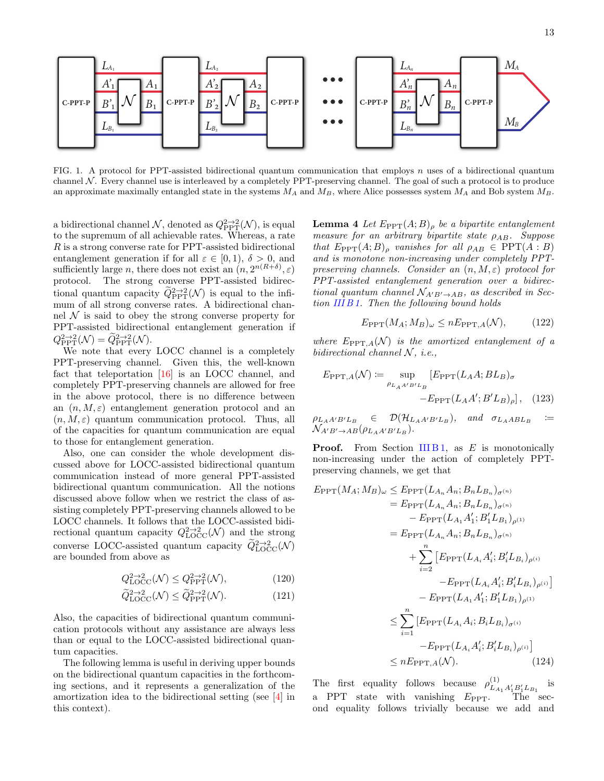

<span id="page-13-0"></span>FIG. 1. A protocol for PPT-assisted bidirectional quantum communication that employs n uses of a bidirectional quantum channel  $\mathcal N$ . Every channel use is interleaved by a completely PPT-preserving channel. The goal of such a protocol is to produce an approximate maximally entangled state in the systems  $M_A$  and  $M_B$ , where Alice possesses system  $M_A$  and Bob system  $M_B$ .

a bidirectional channel  $\mathcal{N}$ , denoted as  $Q_{\text{PPT}}^{2\to 2}(\mathcal{N})$ , is equal to the supremum of all achievable rates. Whereas, a rate R is a strong converse rate for PPT-assisted bidirectional entanglement generation if for all  $\varepsilon \in [0,1)$ ,  $\delta > 0$ , and sufficiently large *n*, there does not exist an  $(n, 2^{n(R+\delta)}, \varepsilon)$ protocol. The strong converse PPT-assisted bidirectional quantum capacity  $\widetilde{Q}_{\text{PPT}}^{2\to 2}(\mathcal{N})$  is equal to the infimum of all strong converse rates. A bidirectional channel  $\mathcal N$  is said to obey the strong converse property for PPT-assisted bidirectional entanglement generation if  $Q_{\rm PPT}^{2\to 2}(\mathcal{N}) = \widetilde{Q}_{\rm PPT}^{2\to 2}(\mathcal{N}).$ 

We note that every LOCC channel is a completely PPT-preserving channel. Given this, the well-known fact that teleportation [\[16\]](#page-31-13) is an LOCC channel, and completely PPT-preserving channels are allowed for free in the above protocol, there is no difference between an  $(n, M, \varepsilon)$  entanglement generation protocol and an  $(n, M, \varepsilon)$  quantum communication protocol. Thus, all of the capacities for quantum communication are equal to those for entanglement generation.

Also, one can consider the whole development discussed above for LOCC-assisted bidirectional quantum communication instead of more general PPT-assisted bidirectional quantum communication. All the notions discussed above follow when we restrict the class of assisting completely PPT-preserving channels allowed to be LOCC channels. It follows that the LOCC-assisted bidirectional quantum capacity  $Q_{\text{LOCC}}^{2\to 2}(\mathcal{N})$  and the strong converse LOCC-assisted quantum capacity  $\widetilde{Q}_{\text{LOCC}}^{2\to 2}(\mathcal{N})$ are bounded from above as

$$
Q_{\text{LOCC}}^{2 \to 2}(\mathcal{N}) \le Q_{\text{PPT}}^{2 \to 2}(\mathcal{N}),\tag{120}
$$

$$
\widetilde{Q}_{\text{LOCC}}^{2 \to 2}(\mathcal{N}) \le \widetilde{Q}_{\text{PPT}}^{2 \to 2}(\mathcal{N}).\tag{121}
$$

Also, the capacities of bidirectional quantum communication protocols without any assistance are always less than or equal to the LOCC-assisted bidirectional quantum capacities.

<span id="page-13-2"></span>The following lemma is useful in deriving upper bounds on the bidirectional quantum capacities in the forthcoming sections, and it represents a generalization of the amortization idea to the bidirectional setting (see [\[4\]](#page-31-4) in this context).

**Lemma 4** Let  $E_{\text{PPT}}(A;B)$ <sub>ρ</sub> be a bipartite entanglement measure for an arbitrary bipartite state  $\rho_{AB}$ . Suppose that  $E_{\text{PPT}}(A;B)_{\rho}$  vanishes for all  $\rho_{AB} \in \text{PPT}(A:B)$ and is monotone non-increasing under completely PPTpreserving channels. Consider an  $(n, M, \varepsilon)$  protocol for PPT-assisted entanglement generation over a bidirectional quantum channel  $\mathcal{N}_{A'B'\to AB}$ , as described in Section  $IIIB1$ . Then the following bound holds

<span id="page-13-1"></span>
$$
E_{\rm PPT}(M_A; M_B)_{\omega} \le nE_{\rm PPT, A}(\mathcal{N}),\tag{122}
$$

where  $E_{\text{PPT},A}(\mathcal{N})$  is the amortized entanglement of a bidirectional channel  $N$ , *i.e.*,

$$
E_{\text{PPT},A}(\mathcal{N}) := \sup_{\rho_{L_A A'B'L_B}} [E_{\text{PPT}}(L_A A; BL_B)_{\sigma} -E_{\text{PPT}}(L_A A'; B'L_B)_{\rho}], \quad (123)
$$

 $\rho_{L_A A'B'L_B}$   $\in$   $\mathcal{D}(\mathcal{H}_{L_A A'B'L_B}),$  and  $\sigma_{L_A ABL_B}$ :=  $\mathcal{N}_{A'B'\rightarrow AB}(\rho_{L_A A'B'L_B}).$ 

**Proof.** From Section [III B 1,](#page-12-1) as  $E$  is monotonically non-increasing under the action of completely PPTpreserving channels, we get that

$$
E_{\rm PPT}(M_A; M_B)_{\omega} \leq E_{\rm PPT}(L_{A_n} A_n; B_n L_{B_n})_{\sigma^{(n)}}
$$
  
\n
$$
= E_{\rm PPT}(L_{A_n} A_n; B_n L_{B_n})_{\sigma^{(n)}}
$$
  
\n
$$
- E_{\rm PPT}(L_{A_1} A'_1; B'_1 L_{B_1})_{\rho^{(1)}}
$$
  
\n
$$
= E_{\rm PPT}(L_{A_n} A_n; B_n L_{B_n})_{\sigma^{(n)}}
$$
  
\n
$$
+ \sum_{i=2}^n \left[ E_{\rm PPT}(L_{A_i} A'_i; B'_i L_{B_i})_{\rho^{(i)}} \right]
$$
  
\n
$$
- E_{\rm PPT}(L_{A_1} A'_1; B'_1 L_{B_1})_{\rho^{(1)}}
$$
  
\n
$$
\leq \sum_{i=1}^n \left[ E_{\rm PPT}(L_{A_i} A_i; B_i L_{B_i})_{\sigma^{(i)}} \right]
$$
  
\n
$$
- E_{\rm PPT}(L_{A_i} A'_i; B'_i L_{B_i})_{\rho^{(i)}} \right]
$$
  
\n
$$
\leq n E_{\rm PPT,A}(M). \qquad (124)
$$

The first equality follows because  $\rho_{L_{A_1}A'_1B'_1L_{B_1}}^{(1)}$ is a PPT state with vanishing  $E_{\text{PPT}}$ . The second equality follows trivially because we add and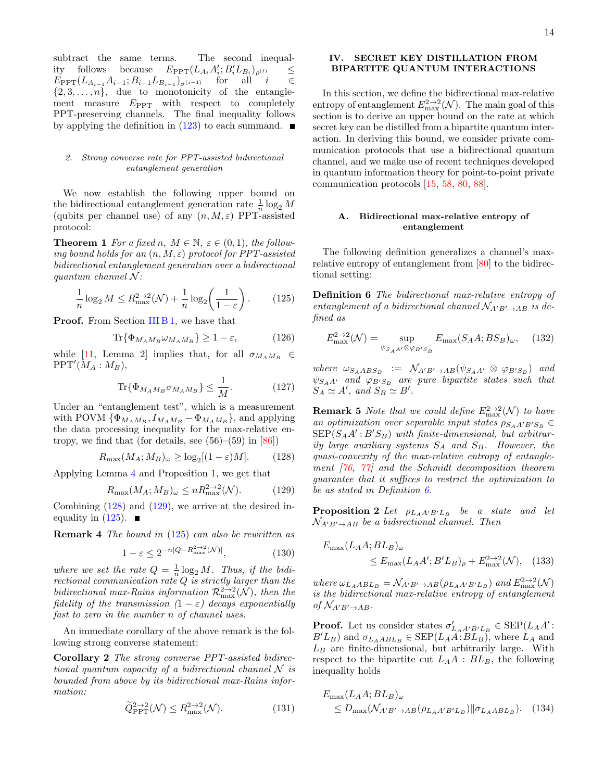subtract the same terms. The second inequality follows because  $E_{\text{PPT}}(L_{A_i}A'_i; B'_i L_{B_i})_{\rho^{(i)}} \leq$  $E_{\text{PPT}}(L_{A_{i-1}}A_{i-1};B_{i-1}L_{B_{i-1}})_{\sigma^{(i-1)}}$  for all  $i \in$  $\{2, 3, \ldots, n\}$ , due to monotonicity of the entanglement measure  $E_{\text{PPT}}$  with respect to completely PPT-preserving channels. The final inequality follows by applying the definition in [\(123\)](#page-13-1) to each summand.  $\blacksquare$ 

## <span id="page-14-0"></span>2. Strong converse rate for PPT-assisted bidirectional entanglement generation

We now establish the following upper bound on the bidirectional entanglement generation rate  $\frac{1}{n} \log_2 M$ (qubits per channel use) of any  $(n, M, \varepsilon)$  PPT-assisted protocol:

<span id="page-14-9"></span>**Theorem 1** For a fixed n,  $M \in \mathbb{N}$ ,  $\varepsilon \in (0,1)$ , the following bound holds for an  $(n, M, \varepsilon)$  protocol for PPT-assisted bidirectional entanglement generation over a bidirectional quantum channel  $N$ :

<span id="page-14-6"></span>
$$
\frac{1}{n}\log_2 M \le R_{\max}^{2\to 2}(\mathcal{N}) + \frac{1}{n}\log_2\left(\frac{1}{1-\varepsilon}\right). \tag{125}
$$

**Proof.** From Section [III B 1,](#page-12-1) we have that

$$
\text{Tr}\{\Phi_{M_A M_B} \omega_{M_A M_B}\} \ge 1 - \varepsilon,\tag{126}
$$

while [\[11,](#page-31-10) Lemma 2] implies that, for all  $\sigma_{M_A M_B}$  ∈  $\operatorname{PPT}^{\prime}(\stackrel{.}{M}_A : M_B),$ 

$$
\text{Tr}\{\Phi_{M_A M_B} \sigma_{M_A M_B}\} \le \frac{1}{M}.\tag{127}
$$

Under an "entanglement test", which is a measurement with POVM  $\{\Phi_{M_A M_B}, I_{M_A M_B} - \Phi_{M_A M_B}\}$ , and applying the data processing inequality for the max-relative entropy, we find that (for details, see  $(56)$ – $(59)$  in  $[86]$ )

<span id="page-14-4"></span>
$$
R_{\max}(M_A; M_B)_{\omega} \ge \log_2[(1-\varepsilon)M].\tag{128}
$$

Applying Lemma [4](#page-13-2) and Proposition [1,](#page-10-8) we get that

<span id="page-14-5"></span>
$$
R_{\max}(M_A; M_B)_{\omega} \le nR_{\max}^{2 \to 2}(\mathcal{N}).\tag{129}
$$

Combining  $(128)$  and  $(129)$ , we arrive at the desired inequality in  $(125)$ .

Remark 4 The bound in [\(125\)](#page-14-6) can also be rewritten as

$$
1 - \varepsilon \le 2^{-n[Q - R_{\text{max}}^{2 \to 2}(\mathcal{N})]},\tag{130}
$$

where we set the rate  $Q = \frac{1}{n} \log_2 M$ . Thus, if the bidirectional communication rate  $Q$  is strictly larger than the bidirectional max-Rains information  $\mathcal{R}_{\max}^{2\to 2}(\mathcal{N})$ , then the fidelity of the transmission  $(1 - \varepsilon)$  decays exponentially fast to zero in the number n of channel uses.

An immediate corollary of the above remark is the following strong converse statement:

Corollary 2 The strong converse PPT-assisted bidirectional quantum capacity of a bidirectional channel  $N$  is bounded from above by its bidirectional max-Rains information:

$$
\widetilde{Q}_{\text{PPT}}^{2 \to 2}(\mathcal{N}) \le R_{\text{max}}^{2 \to 2}(\mathcal{N}).\tag{131}
$$

## <span id="page-14-1"></span>IV. SECRET KEY DISTILLATION FROM BIPARTITE QUANTUM INTERACTIONS

In this section, we define the bidirectional max-relative entropy of entanglement  $E_{\text{max}}^{2\to 2}(\mathcal{N})$ . The main goal of this section is to derive an upper bound on the rate at which secret key can be distilled from a bipartite quantum interaction. In deriving this bound, we consider private communication protocols that use a bidirectional quantum channel, and we make use of recent techniques developed in quantum information theory for point-to-point private communication protocols [\[15,](#page-31-12) [58,](#page-32-26) [80,](#page-33-17) [88\]](#page-33-24).

## <span id="page-14-2"></span>A. Bidirectional max-relative entropy of entanglement

The following definition generalizes a channel's maxrelative entropy of entanglement from [\[80\]](#page-33-17) to the bidirectional setting:

<span id="page-14-3"></span>Definition 6 The bidirectional max-relative entropy of entanglement of a bidirectional channel  $\mathcal{N}_{A'B'\to AB}$  is defined as

$$
E_{\text{max}}^{2 \to 2}(\mathcal{N}) = \sup_{\psi_{S_A A'} \otimes \varphi_{B'S_B}} E_{\text{max}}(S_A A; B S_B)_{\omega}, \quad (132)
$$

where  $\omega_{S_AABS_B}$  :=  $\mathcal{N}_{A'B'\rightarrow AB}(\psi_{S_A A'} \otimes \varphi_{B'S_B})$  and  $\psi_{S_A A'}$  and  $\varphi_{B'S_B}$  are pure bipartite states such that  $S_A \simeq A'$ , and  $S_B \simeq B'$ .

<span id="page-14-7"></span>**Remark 5** Note that we could define  $E_{\text{max}}^{2\rightarrow2}(\mathcal{N})$  to have an optimization over separable input states  $\rho_{S_A A'B'S_B}$  $\text{SEP}(S_A A':B'S_B)$  with finite-dimensional, but arbitrarily large auxiliary systems  $S_A$  and  $S_B$ . However, the quasi-convexity of the max-relative entropy of entanglement [\[76,](#page-33-13) [77\]](#page-33-14) and the Schmidt decomposition theorem guarantee that it suffices to restrict the optimization to be as stated in Definition [6.](#page-14-3)

<span id="page-14-8"></span>**Proposition 2** Let  $\rho_{L_A A'B'L_B}$  be a state and let  $\mathcal{N}_{A'B'\rightarrow AB}$  be a bidirectional channel. Then

$$
E_{\text{max}}(L_A A; BL_B)_{\omega}
$$
  
\n
$$
\leq E_{\text{max}}(L_A A'; B'L_B)_{\rho} + E_{\text{max}}^{2 \to 2}(\mathcal{N}), \quad (133)
$$

where  $\omega_{L_AABL_B} = \mathcal{N}_{A'B'\to AB}(\rho_{L_A A'B'L_B})$  and  $E_{\text{max}}^{2\to 2}(\mathcal{N})$ is the bidirectional max-relative entropy of entanglement of  $\mathcal{N}_{A'B'\rightarrow AB}$ .

**Proof.** Let us consider states  $\sigma'_{LAA'B'L_B} \in \text{SEP}(LAA')$  $B'L_B$ ) and  $\sigma_{L_{A}ABL_B} \in \text{SEP}(L_{A}A:BL_B)$ , where  $L_{A}$  and  $L_B$  are finite-dimensional, but arbitrarily large. With respect to the bipartite cut  $L_A A : BL_B$ , the following inequality holds

$$
E_{\max}(L_A A; BL_B)_{\omega}
$$
  
\n
$$
\leq D_{\max}(\mathcal{N}_{A'B'\to AB}(\rho_{L_A A'B'L_B})||\sigma_{L_A ABL_B}).
$$
 (134)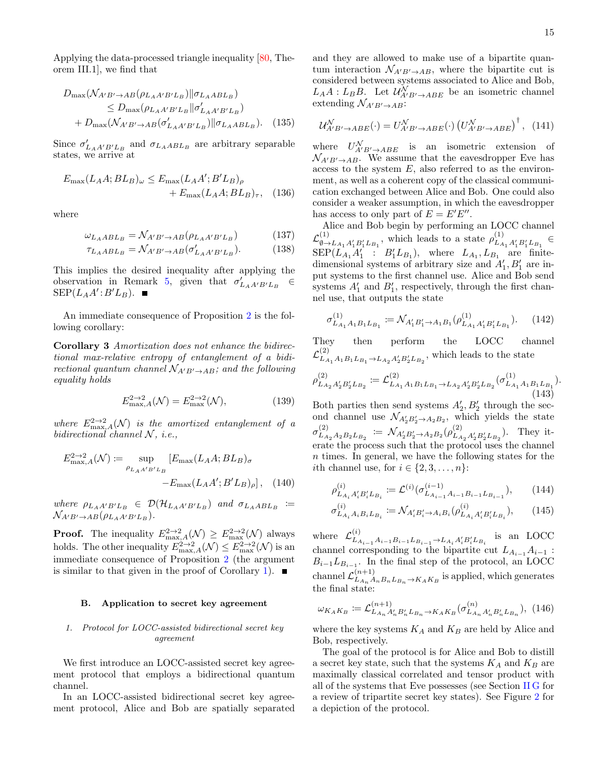Applying the data-processed triangle inequality [\[80,](#page-33-17) Theorem III.1], we find that

$$
D_{\max}(\mathcal{N}_{A'B'\to AB}(\rho_{LAA'B'L_B})||\sigma_{LAABL_B})
$$
  
\n
$$
\leq D_{\max}(\rho_{LAA'B'L_B}||\sigma'_{LAA'B'L_B})
$$
  
\n
$$
+ D_{\max}(\mathcal{N}_{A'B'\to AB}(\sigma'_{LAA'B'L_B})||\sigma_{LAABL_B}). \quad (135)
$$

Since  $\sigma'_{L_A A' B' L_B}$  and  $\sigma_{L_A A B L_B}$  are arbitrary separable states, we arrive at

$$
E_{\text{max}}(L_A A; BL_B)_{\omega} \le E_{\text{max}}(L_A A'; B'L_B)_{\rho}
$$
  
+  $E_{\text{max}}(L_A A; BL_B)_{\tau}$ , (136)

where

$$
\omega_{L_A A B L_B} = \mathcal{N}_{A' B' \to A B} (\rho_{L_A A' B' L_B}) \tag{137}
$$

$$
\tau_{L_{A}ABL_{B}} = \mathcal{N}_{A'B' \to AB}(\sigma'_{L_{A}A'B'L_{B}}). \tag{138}
$$

This implies the desired inequality after applying the observation in Remark [5,](#page-14-7) given that  $\sigma'_{L_A A'B'L_B}$   $\in$  $\text{SEP}(L_A A':B'L_B).$ 

<span id="page-15-3"></span>An immediate consequence of Proposition [2](#page-14-8) is the following corollary:

Corollary 3 Amortization does not enhance the bidirectional max-relative entropy of entanglement of a bidirectional quantum channel  $\mathcal{N}_{A'B'\rightarrow AB}$ ; and the following equality holds

$$
E_{\max,A}^{2 \to 2}(\mathcal{N}) = E_{\max}^{2 \to 2}(\mathcal{N}),\tag{139}
$$

where  $E_{\max,A}^{2\to 2}(\mathcal{N})$  is the amortized entanglement of a bidirectional channel  $N$ , *i.e.*,

$$
E_{\max,A}^{2\to 2}(\mathcal{N}) \coloneqq \sup_{\rho_{L_A A'B'L_B}} [E_{\max}(L_A A; BL_B)_{\sigma}
$$

$$
-E_{\max}(L_A A'; B'L_B)_{\rho}], \quad (140)
$$

where  $\rho_{L_A A'B'L_B} \in \mathcal{D}(\mathcal{H}_{L_A A'B'L_B})$  and  $\sigma_{L_A ABL_B} :=$  $\mathcal{N}_{A'B'\rightarrow AB}(\rho_{L_A A'B'L_B}).$ 

**Proof.** The inequality  $E_{\max,A}^{2\to 2}(\mathcal{N}) \ge E_{\max}^{2\to 2}(\mathcal{N})$  always holds. The other inequality  $E_{\max,A}^{2\to 2}(\mathcal{N}) \leq E_{\max}^{2\to 2}(\mathcal{N})$  is an immediate consequence of Proposition [2](#page-14-8) (the argument is similar to that given in the proof of Corollary [1\)](#page-11-4).  $\blacksquare$ 

#### <span id="page-15-0"></span>B. Application to secret key agreement

## <span id="page-15-1"></span>1. Protocol for LOCC-assisted bidirectional secret key agreement

We first introduce an LOCC-assisted secret key agreement protocol that employs a bidirectional quantum channel.

In an LOCC-assisted bidirectional secret key agreement protocol, Alice and Bob are spatially separated and they are allowed to make use of a bipartite quantum interaction  $\mathcal{N}_{A'B'\to AB}$ , where the bipartite cut is considered between systems associated to Alice and Bob,  $L_A A: L_B B$ . Let  $\mathcal{U}_{A'B'\to ABE}^{\mathcal{N}}$  be an isometric channel extending  $\mathcal{N}_{A'B'\to AB}$ :

$$
\mathcal{U}_{A'B'\to ABE}^{\mathcal{N}}(\cdot) = U_{A'B'\to ABE}^{\mathcal{N}}(\cdot) (U_{A'B'\to ABE}^{\mathcal{N}})^{\dagger}, (141)
$$

where  $U_{A'B'\to ABE}^{\mathcal{N}}$  is an isometric extension of  $\mathcal{N}_{A'B'\rightarrow AB}$ . We assume that the eavesdropper Eve has access to the system  $E$ , also referred to as the environment, as well as a coherent copy of the classical communication exchanged between Alice and Bob. One could also consider a weaker assumption, in which the eavesdropper has access to only part of  $E = E'E''$ .

Alice and Bob begin by performing an LOCC channel  $\mathcal{L}_{\emptyset \to L_{A_1} A'_1 B'_1 L_{B_1}}^{(1)}$ , which leads to a state  $\rho_{L_{A_1} A'_1 B'_1 L_{B_1}}^{(1)} \in$  $\text{SEP}(L_{A_1}A_1')$  :  $B_1'L_{B_1}$ ), where  $L_{A_1}, L_{B_1}$  are finitedimensional systems of arbitrary size and  $A'_1, B'_1$  are input systems to the first channel use. Alice and Bob send systems  $A'_1$  and  $B'_1$ , respectively, through the first channel use, that outputs the state

$$
\sigma_{L_{A_1}A_1B_1L_{B_1}}^{(1)} := \mathcal{N}_{A'_1B'_1 \to A_1B_1}(\rho_{L_{A_1}A'_1B'_1L_{B_1}}^{(1)}).
$$
 (142)

They then perform the LOCC channel  $\mathcal{L}_{L_{A_1}A_1B_1L_{B_1} \to L_{A_2}A'_2B'_2L_{B_2}}^{(2)}$ , which leads to the state

$$
\rho_{L_{A_2}A'_2B'_2L_{B_2}}^{(2)} := \mathcal{L}_{L_{A_1}A_1B_1L_{B_1} \to L_{A_2}A'_2B'_2L_{B_2}}^{(2)}(\sigma_{L_{A_1}A_1B_1L_{B_1}}^{(1)}).
$$
\n(143)

Both parties then send systems  $A'_2, B'_2$  through the second channel use  $\mathcal{N}_{A_2'B_2' \to A_2B_2}$ , which yields the state  $\sigma^{(2)}_{L_A}$  $L_{A_2 A_2 B_2 L_{B_2}} \coloneqq \mathcal{N}_{A'_2 B'_2 \to A_2 B_2} (\rho^{(2)}_{L_{A_2} A'_2 B'_2 L_{B_2}}).$  They iterate the process such that the protocol uses the channel n times. In general, we have the following states for the *i*th channel use, for  $i \in \{2, 3, \ldots, n\}$ :

<span id="page-15-2"></span>
$$
\rho_{L_{A_i}A'_iB'_iL_{B_i}}^{(i)} := \mathcal{L}^{(i)}(\sigma_{L_{A_{i-1}}A_{i-1}B_{i-1}L_{B_{i-1}}}^{(i-1)}),\qquad(144)
$$

$$
\sigma_{L_{A_i}A_iB_iL_{B_i}}^{(i)} := \mathcal{N}_{A_i'B_i' \to A_iB_i}(\rho_{L_{A_i}A_i'B_i'L_{B_i}}^{(i)}), \qquad (145)
$$

where  $\mathcal{L}_{L_{A_{i-1}}A_{i-1}B_{i-1}L_{B_{i-1}} \to L_{A_i}A'_iB'_iL_{B_i}}^{(i)}$  is an LOCC channel corresponding to the bipartite cut  $L_{A_{i-1}}A_{i-1}$ :  $B_{i-1}L_{B_{i-1}}$ . In the final step of the protocol, an LOCC channel  $\mathcal{L}_{L_{A_n}A}^{(n+1)}$  $(L_{A_n}^{(n+1)} A_n B_n L_{B_n} \rightarrow K_A K_B$  is applied, which generates the final state:

$$
\omega_{K_A K_B} := \mathcal{L}_{L_{A_n} A'_n B'_n L_{B_n} \to K_A K_B}^{(n+1)} (\sigma_{L_{A_n} A'_n B'_n L_{B_n}}^{(n)}), (146)
$$

where the key systems  $K_A$  and  $K_B$  are held by Alice and Bob, respectively.

The goal of the protocol is for Alice and Bob to distill a secret key state, such that the systems  $K_A$  and  $K_B$  are maximally classical correlated and tensor product with all of the systems that Eve possesses (see Section [II G](#page-9-0) for a review of tripartite secret key states). See Figure [2](#page-16-1) for a depiction of the protocol.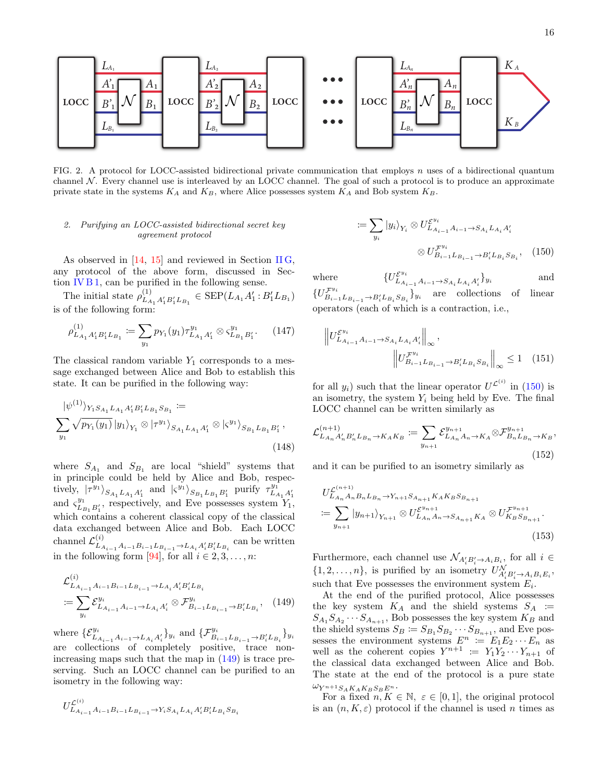

<span id="page-16-1"></span>FIG. 2. A protocol for LOCC-assisted bidirectional private communication that employs n uses of a bidirectional quantum channel  $N$ . Every channel use is interleaved by an LOCC channel. The goal of such a protocol is to produce an approximate private state in the systems  $K_A$  and  $K_B$ , where Alice possesses system  $K_A$  and Bob system  $K_B$ .

## <span id="page-16-0"></span>2. Purifying an LOCC-assisted bidirectional secret key agreement protocol

As observed in [\[14,](#page-31-19) [15\]](#page-31-12) and reviewed in Section [II G,](#page-9-0) any protocol of the above form, discussed in Section [IV B 1,](#page-15-1) can be purified in the following sense.

The initial state  $\rho_{L_{A_1}A'_1B'_1L_{B_1}}^{(1)} \in \text{SEP}(L_{A_1}A'_1:B'_1L_{B_1})$ is of the following form:

$$
\rho_{L_{A_1}A'_1B'_1L_{B_1}}^{(1)} := \sum_{y_1} p_{Y_1}(y_1) \tau_{L_{A_1}A'_1}^{y_1} \otimes \varsigma_{L_{B_1}B'_1}^{y_1}. \tag{147}
$$

The classical random variable  $Y_1$  corresponds to a message exchanged between Alice and Bob to establish this state. It can be purified in the following way:

$$
|\psi^{(1)}\rangle_{Y_1 S_{A_1} L_{A_1} A'_1 B'_1 L_{B_1} S_{B_1}} :=\n\sum_{y_1} \sqrt{p_{Y_1}(y_1)} |y_1\rangle_{Y_1} \otimes |\tau^{y_1}\rangle_{S_{A_1} L_{A_1} A'_1} \otimes |\varsigma^{y_1}\rangle_{S_{B_1} L_{B_1} B'_1},
$$
\n(148)

where  $S_{A_1}$  and  $S_{B_1}$  are local "shield" systems that in principle could be held by Alice and Bob, respectively,  $|\tau^{y_1}\rangle_{S_{A_1}L_{A_1}A'_1}$  and  $|\varsigma^{y_1}\rangle_{S_{B_1}L_{B_1}B'_1}$  purify  $\tau^{y_1}_{L_{A_1}A'_1}$ <br>and  $\varsigma^{y_1}_{L_{B_1}B'_1}$ , respectively, and Eve possesses system  $Y_1$ , which contains a coherent classical copy of the classical data exchanged between Alice and Bob. Each LOCC channel  $\mathcal{L}_{L_{A_{i-1}}A_{i-1}B_{i-1}L_{B_{i-1}} \to L_{A_i}A_i'B_i'L_{B_i}}^{(i)}$  can be written in the following form [\[94\]](#page-33-31), for all  $i \in 2, 3, \ldots, n$ :

$$
\mathcal{L}_{L_{A_{i-1}}A_{i-1}B_{i-1}L_{B_{i-1}}\to L_{A_i}A'_iB'_iL_{B_i}}^{(i)}\n \coloneqq \sum_{y_i} \mathcal{E}_{L_{A_{i-1}}A_{i-1}\to L_{A_i}A'_i}^{y_i} \otimes \mathcal{F}_{B_{i-1}L_{B_{i-1}}\to B'_iL_{B_i}}^{y_i}, \quad (149)
$$

where  $\{\mathcal{E}_{L_{A_{i-1}}A_{i-1}\to L_{A_i}A'_i}\}$  and  $\{\mathcal{F}_{B_{i-1}L_{B_{i-1}}\to B'_iL_{B_i}}^{y_i}\}$  y<sub>i</sub> are collections of completely positive, trace nonincreasing maps such that the map in [\(149\)](#page-16-2) is trace preserving. Such an LOCC channel can be purified to an isometry in the following way:

$$
U_{L_{A_{i-1}}A_{i-1}B_{i-1}L_{B_{i-1}} \to Y_i S_{A_i}L_{A_i}A'_i B'_i L_{B_i}S_{B_i}}
$$

<span id="page-16-3"></span>
$$
\begin{aligned} \coloneqq \sum_{y_i} |y_i\rangle_{Y_i} \otimes U_{LA_{i-1}A_{i-1}\to SA_iLA_iA'_i}^{\mathcal{E}^{y_i}} \\ \otimes U_{B_{i-1}L_{B_{i-1}}\to B'_iL_{B_i}S_{B_i}}^{\mathcal{F}^{y_i}}, \end{aligned} \tag{150}
$$

where  $\mathcal{L}^{y_i}_{A_{i-1}A_{i-1}\rightarrow S_{A_i}L_{A_i}A'_i}$ and  $\{U_{B_{i-1}L_{B_{i-1}} \to B_i'L_{B_i}S_{B_i}}^{J^{y_i}}\}_{y_i}$  are collections of linear operators (each of which is a contraction, i.e.,

$$
\left\| U_{LA_{i-1}A_{i-1}\to SA_i}^{E^{y_i}} L_{A_i} A'_i \right\|_{\infty},
$$

$$
\left\| U_{B_{i-1}LB_{i-1}\to B'_i}^{F^{y_i}} - B'_i L_{B_i} S_{B_i} \right\|_{\infty} \le 1 \quad (151)
$$

for all  $y_i$ ) such that the linear operator  $U^{\mathcal{L}^{(i)}}$  in [\(150\)](#page-16-3) is an isometry, the system  $Y_i$  being held by Eve. The final LOCC channel can be written similarly as

$$
\mathcal{L}_{L_{A_n}A'_nB'_nL_{B_n}\to K_AK_B}^{(n+1)} := \sum_{y_{n+1}} \mathcal{E}_{L_{A_n}A_n\to K_A}^{y_{n+1}} \otimes \mathcal{F}_{B_nL_{B_n}\to K_B}^{y_{n+1}},
$$
\n(152)

and it can be purified to an isometry similarly as

$$
U_{L_{A_n}A_nB_nL_{B_n}}^{\mathcal{L}^{(n+1)}} = \sum_{y_{n+1}} |y_{n+1}\rangle_{Y_{n+1}} \otimes U_{L_{A_n}A_n \to S_{A_{n+1}}K_A}^{\mathcal{L}^{y_{n+1}}} \otimes U_{K_B S_{B_{n+1}}}^{\mathcal{L}^{y_{n+1}}}.
$$
\n(153)

Furthermore, each channel use  $\mathcal{N}_{A_i'B_i' \to A_iB_i}$ , for all  $i \in$  $\{1, 2, \ldots, n\}$ , is purified by an isometry  $U^{\mathcal{N}}_{A'_i B'_i \to A_i B_i E_i}$ , such that Eve possesses the environment system  $E_i$ .

<span id="page-16-2"></span>At the end of the purified protocol, Alice possesses the key system  $K_A$  and the shield systems  $S_A$  :=  $S_{A_1} S_{A_2} \cdots S_{A_{n+1}}$ , Bob possesses the key system  $K_B$  and the shield systems  $S_B \coloneqq S_{B_1} S_{B_2} \cdots S_{B_{n+1}}$ , and Eve possesses the environment systems  $E^n := E_1E_2 \cdots E_n$  as well as the coherent copies  $Y^{n+1} := Y_1 Y_2 \cdots Y_{n+1}$  of the classical data exchanged between Alice and Bob. The state at the end of the protocol is a pure state  $\omega_{Y^{n+1}S_A K_A K_B S_B E^n}.$ 

For a fixed  $n, K \in \mathbb{N}, \varepsilon \in [0, 1]$ , the original protocol is an  $(n, K, \varepsilon)$  protocol if the channel is used n times as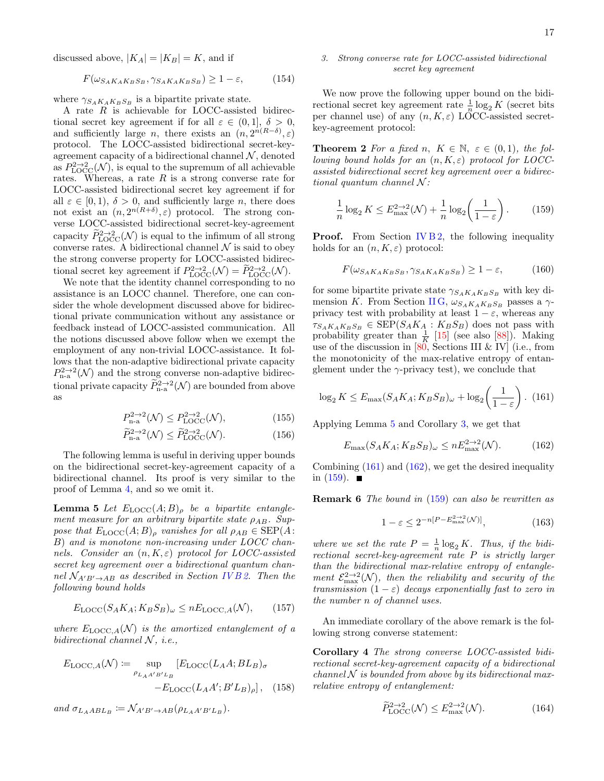discussed above,  $|K_A| = |K_B| = K$ , and if

$$
F(\omega_{S_A K_A K_B S_B}, \gamma_{S_A K_A K_B S_B}) \ge 1 - \varepsilon, \tag{154}
$$

where  $\gamma_{S_A K_A K_B S_B}$  is a bipartite private state.

A rate R is achievable for LOCC-assisted bidirectional secret key agreement if for all  $\varepsilon \in (0,1], \delta > 0$ , and sufficiently large *n*, there exists an  $(n, 2^{n(R-\delta)}, \varepsilon)$ protocol. The LOCC-assisted bidirectional secret-keyagreement capacity of a bidirectional channel  $N$ , denoted as  $P_{\text{LOCC}}^{2\to2}(\mathcal{N})$ , is equal to the supremum of all achievable rates. Whereas, a rate  $R$  is a strong converse rate for LOCC-assisted bidirectional secret key agreement if for all  $\varepsilon \in [0,1)$ ,  $\delta > 0$ , and sufficiently large *n*, there does not exist an  $(n, 2^{n(R+\delta)}, \varepsilon)$  protocol. The strong converse LOCC-assisted bidirectional secret-key-agreement capacity  $\widetilde{P}_{\text{LOCC}}^{2\to 2}(\mathcal{N})$  is equal to the infimum of all strong converse rates. A bidirectional channel  $\mathcal N$  is said to obey the strong converse property for LOCC-assisted bidirectional secret key agreement if  $P_{\text{LOCC}}^{2\to 2}(\mathcal{N}) = \widetilde{P}_{\text{LOCC}}^{2\to 2}(\mathcal{N}).$ 

We note that the identity channel corresponding to no assistance is an LOCC channel. Therefore, one can consider the whole development discussed above for bidirectional private communication without any assistance or feedback instead of LOCC-assisted communication. All the notions discussed above follow when we exempt the employment of any non-trivial LOCC-assistance. It follows that the non-adaptive bidirectional private capacity  $P_{\text{n-a}}^{2\to 2}(\mathcal{N})$  and the strong converse non-adaptive bidirectional private capacity  $\tilde{P}_{n-a}^{2 \to 2}(\mathcal{N})$  are bounded from above as

$$
P_{\text{n-a}}^{2 \to 2}(\mathcal{N}) \le P_{\text{LOCC}}^{2 \to 2}(\mathcal{N}),\tag{155}
$$

$$
\widetilde{P}_{\text{n-a}}^{2 \to 2}(\mathcal{N}) \le \widetilde{P}_{\text{LOCC}}^{2 \to 2}(\mathcal{N}).\tag{156}
$$

The following lemma is useful in deriving upper bounds on the bidirectional secret-key-agreement capacity of a bidirectional channel. Its proof is very similar to the proof of Lemma [4,](#page-13-2) and so we omit it.

**Lemma 5** Let  $E_{\text{LOCC}}(A;B)_{\rho}$  be a bipartite entanglement measure for an arbitrary bipartite state  $\rho_{AB}$ . Suppose that  $E_{\text{LOCC}}(A;B)_{\rho}$  vanishes for all  $\rho_{AB} \in \text{SEP}(A:$ B) and is monotone non-increasing under LOCC channels. Consider an  $(n, K, \varepsilon)$  protocol for LOCC-assisted secret key agreement over a bidirectional quantum channel  $\mathcal{N}_{A'B'\rightarrow AB}$  as described in Section [IV B 2.](#page-16-0) Then the following bound holds

$$
E_{\text{LOCC}}(S_A K_A; K_B S_B)_{\omega} \le nE_{\text{LOCC},A}(\mathcal{N}),\qquad(157)
$$

where  $E_{\text{LOCC},A}(\mathcal{N})$  is the amortized entanglement of a bidirectional channel  $N$ , *i.e.*,

$$
E_{\text{LOCC},A}(\mathcal{N}) := \sup_{\rho_{L_A A'B'L_B}} [E_{\text{LOCC}}(L_A A; BL_B)_{\sigma} -E_{\text{LOCC}}(L_A A'; B'L_B)_{\rho}], \quad (158)
$$

and  $\sigma_{L_{A}ABL_{B}} \coloneqq \mathcal{N}_{A'B' \rightarrow AB}(\rho_{L_{A}A'B'L_{B}}).$ 

## <span id="page-17-0"></span>3. Strong converse rate for LOCC-assisted bidirectional secret key agreement

We now prove the following upper bound on the bidirectional secret key agreement rate  $\frac{1}{n} \log_2 K$  (secret bits per channel use) of any  $(n, K, \varepsilon)$  LOCC-assisted secretkey-agreement protocol:

<span id="page-17-5"></span>**Theorem 2** For a fixed n,  $K \in \mathbb{N}$ ,  $\varepsilon \in (0,1)$ , the following bound holds for an  $(n, K, \varepsilon)$  protocol for LOCCassisted bidirectional secret key agreement over a bidirectional quantum channel  $N$ :

<span id="page-17-4"></span>
$$
\frac{1}{n}\log_2 K \le E_{\max}^{2\to 2}(\mathcal{N}) + \frac{1}{n}\log_2\left(\frac{1}{1-\varepsilon}\right). \tag{159}
$$

**Proof.** From Section [IV B 2,](#page-16-0) the following inequality holds for an  $(n, K, \varepsilon)$  protocol:

$$
F(\omega_{S_A K_A K_B S_B}, \gamma_{S_A K_A K_B S_B}) \ge 1 - \varepsilon, \tag{160}
$$

for some bipartite private state  $\gamma_{S_A K_A K_B S_B}$  with key di-mension K. From Section [II G,](#page-9-0)  $\omega_{S_A K_A K_B S_B}$  passes a  $\gamma$ privacy test with probability at least  $1 - \varepsilon$ , whereas any  $\tau_{S_A K_A K_B S_B} \in \text{SEP}(S_A K_A : K_B S_B)$  does not pass with probability greater than  $\frac{1}{K}$  [\[15\]](#page-31-12) (see also [\[88\]](#page-33-24)). Making use of the discussion in  $[80, \text{Sections III} \& \text{IV}]$  (i.e., from the monotonicity of the max-relative entropy of entanglement under the  $\gamma$ -privacy test), we conclude that

<span id="page-17-2"></span>
$$
\log_2 K \le E_{\max}(S_A K_A; K_B S_B)_{\omega} + \log_2 \left(\frac{1}{1-\varepsilon}\right). (161)
$$

Applying Lemma [5](#page-17-1) and Corollary [3,](#page-15-3) we get that

<span id="page-17-3"></span>
$$
E_{\max}(S_A K_A; K_B S_B)_{\omega} \le n E_{\max}^{2 \to 2}(\mathcal{N}). \tag{162}
$$

Combining  $(161)$  and  $(162)$ , we get the desired inequality in  $(159)$ .

<span id="page-17-1"></span>Remark 6 The bound in [\(159\)](#page-17-4) can also be rewritten as

$$
1 - \varepsilon \le 2^{-n[P - E_{\text{max}}^{2 \to 2}(\mathcal{N})]},\tag{163}
$$

where we set the rate  $P = \frac{1}{n} \log_2 K$ . Thus, if the bidirectional secret-key-agreement rate P is strictly larger than the bidirectional max-relative entropy of entanglement  $\mathcal{E}_{\max}^{2\to 2}(\mathcal{N})$ , then the reliability and security of the transmission  $(1 - \varepsilon)$  decays exponentially fast to zero in the number n of channel uses.

An immediate corollary of the above remark is the following strong converse statement:

Corollary 4 The strong converse LOCC-assisted bidirectional secret-key-agreement capacity of a bidirectional channel  $N$  is bounded from above by its bidirectional maxrelative entropy of entanglement:

$$
\widetilde{P}_{\text{LOCC}}^{2 \to 2}(\mathcal{N}) \le E_{\text{max}}^{2 \to 2}(\mathcal{N}).\tag{164}
$$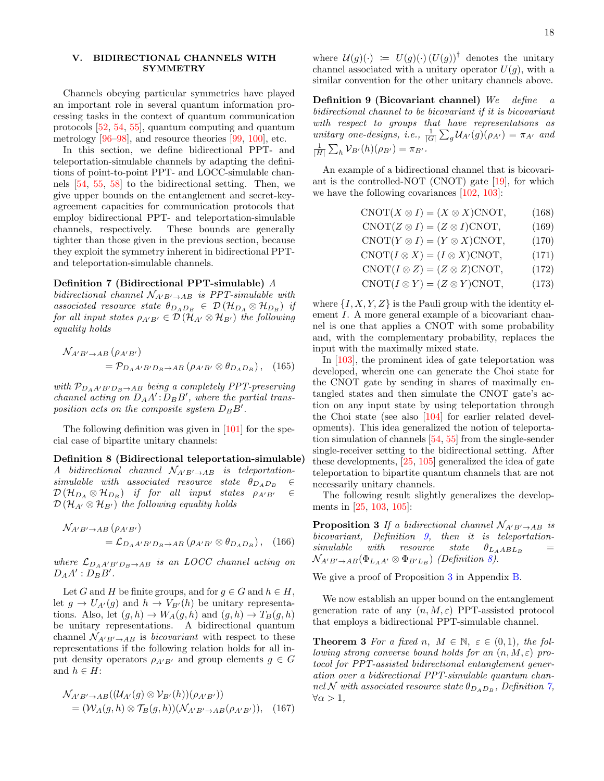## <span id="page-18-0"></span>V. BIDIRECTIONAL CHANNELS WITH SYMMETRY

Channels obeying particular symmetries have played an important role in several quantum information processing tasks in the context of quantum communication protocols [\[52,](#page-32-20) [54,](#page-32-22) [55\]](#page-32-23), quantum computing and quantum metrology [\[96–](#page-33-33)[98\]](#page-34-0), and resource theories [\[99,](#page-34-1) [100\]](#page-34-2), etc.

In this section, we define bidirectional PPT- and teleportation-simulable channels by adapting the definitions of point-to-point PPT- and LOCC-simulable channels [\[54,](#page-32-22) [55,](#page-32-23) [58\]](#page-32-26) to the bidirectional setting. Then, we give upper bounds on the entanglement and secret-keyagreement capacities for communication protocols that employ bidirectional PPT- and teleportation-simulable channels, respectively. These bounds are generally tighter than those given in the previous section, because they exploit the symmetry inherent in bidirectional PPTand teleportation-simulable channels.

#### <span id="page-18-4"></span>Definition 7 (Bidirectional PPT-simulable) A

bidirectional channel  $\mathcal{N}_{A'B'\to AB}$  is PPT-simulable with associated resource state  $\theta_{D_A D_B} \in \mathcal{D}(\mathcal{H}_{D_A} \otimes \mathcal{H}_{D_B})$  if for all input states  $\rho_{A'B'} \in \mathcal{D}(\mathcal{H}_{A'} \otimes \mathcal{H}_{B'})$  the following equality holds

$$
\mathcal{N}_{A'B' \to AB} (\rho_{A'B'}) = \mathcal{P}_{DA A'B'D_B \to AB} (\rho_{A'B'} \otimes \theta_{D_A D_B}), \quad (165)
$$

with  $\mathcal{P}_{D_A A'B'D_B\rightarrow AB}$  being a completely PPT-preserving channel acting on  $D_A A'$ :  $D_B B'$ , where the partial transposition acts on the composite system  $D_B B'$ .

The following definition was given in [\[101\]](#page-34-3) for the special case of bipartite unitary channels:

Definition 8 (Bidirectional teleportation-simulable) A bidirectional channel  $\mathcal{N}_{A'B'\to AB}$  is teleportation-<br>simulable with associated resource state  $\theta_{D_{A}D_{B}} \in$  $simulable \twith \t associated \tresource \tstate \t \theta_{D_A D_B}$  $\mathcal{D}(\mathcal{H}_{D_A} \otimes \mathcal{H}_{D_B})$  if for all input states  $\rho_{A'B'} \in$  $\mathcal{D}(\mathcal{H}_{A'} \otimes \mathcal{H}_{B'})$  the following equality holds

$$
\mathcal{N}_{A'B' \to AB} (\rho_{A'B'}) = \mathcal{L}_{DAA'B'D_B \to AB} (\rho_{A'B'} \otimes \theta_{D_A D_B}), \quad (166)
$$

where  $\mathcal{L}_{D_A A' B' D_B \rightarrow AB}$  is an LOCC channel acting on  $D_A A' : D_B B'$ .

Let G and H be finite groups, and for  $g \in G$  and  $h \in H$ , let  $g \to U_{A'}(g)$  and  $h \to V_{B'}(h)$  be unitary representations. Also, let  $(g, h) \to W_A(g, h)$  and  $(g, h) \to T_B(g, h)$ be unitary representations. A bidirectional quantum channel  $\mathcal{N}_{A'B'\rightarrow AB}$  is *bicovariant* with respect to these representations if the following relation holds for all input density operators  $\rho_{A'B'}$  and group elements  $g \in G$ and  $h \in H$ :

$$
\mathcal{N}_{A'B'\to AB}((\mathcal{U}_{A'}(g)\otimes \mathcal{V}_{B'}(h))(\rho_{A'B'})=(\mathcal{W}_A(g,h)\otimes \mathcal{T}_B(g,h))(\mathcal{N}_{A'B'\to AB}(\rho_{A'B'})), \quad (167)
$$

where  $\mathcal{U}(g)(\cdot) := U(g)(\cdot) (U(g))^{\dagger}$  denotes the unitary channel associated with a unitary operator  $U(g)$ , with a similar convention for the other unitary channels above.

<span id="page-18-1"></span>**Definition 9 (Bicovariant channel)** We define a bidirectional channel to be bicovariant if it is bicovariant with respect to groups that have representations as unitary one-designs, i.e.,  $\frac{1}{|G|}\sum_{g} \mathcal{U}_{A'}(g)(\rho_{A'}) = \pi_{A'}$  and  $\frac{1}{|H|}\sum_{h}\mathcal{V}_{B'}(h)(\rho_{B'}) = \pi_{B'}.$ 

An example of a bidirectional channel that is bicovariant is the controlled-NOT (CNOT) gate [\[19\]](#page-31-16), for which we have the following covariances [\[102,](#page-34-4) [103\]](#page-34-5):

$$
CNOT(X \otimes I) = (X \otimes X)CNOT, \qquad (168)
$$

CNOT( $Z \otimes I$ ) = ( $Z \otimes I$ )CNOT, (169)

$$
CNOT(Y \otimes I) = (Y \otimes X)CNOT, \qquad (170)
$$

CNOT $(I \otimes X) = (I \otimes X)$ CNOT, (171)

CNOT $(I \otimes Z) = (Z \otimes Z)$ CNOT, (172)<br>CNOT $(I \otimes Y) = (Z \otimes Y)$ CNOT  $CNOT(I \otimes V) = (Z \otimes V)CNOT$ 

$$
CNOT(I \otimes Y) = (Z \otimes Y)CNOT, \qquad (173)
$$

where  $\{I, X, Y, Z\}$  is the Pauli group with the identity element I. A more general example of a bicovariant channel is one that applies a CNOT with some probability and, with the complementary probability, replaces the input with the maximally mixed state.

In [\[103\]](#page-34-5), the prominent idea of gate teleportation was developed, wherein one can generate the Choi state for the CNOT gate by sending in shares of maximally entangled states and then simulate the CNOT gate's action on any input state by using teleportation through the Choi state (see also [\[104\]](#page-34-6) for earlier related developments). This idea generalized the notion of teleportation simulation of channels [\[54,](#page-32-22) [55\]](#page-32-23) from the single-sender single-receiver setting to the bidirectional setting. After these developments, [\[25,](#page-31-20) [105\]](#page-34-7) generalized the idea of gate teleportation to bipartite quantum channels that are not necessarily unitary channels.

<span id="page-18-3"></span><span id="page-18-2"></span>The following result slightly generalizes the developments in [\[25,](#page-31-20) [103,](#page-34-5) [105\]](#page-34-7):

**Proposition 3** If a bidirectional channel  $\mathcal{N}_{A'B'\to AB}$  is bicovariant, Definition [9,](#page-18-1) then it is teleportation $simulate \quad with \quad resource \quad state \quad \theta_{L_{A}ABL_{B}}$  $\mathcal{N}_{A'B'\rightarrow AB}(\Phi_{L_AA'}\otimes \Phi_{B'L_B})$  (Definition [8\)](#page-18-2).

We give a proof of Proposition [3](#page-18-3) in Appendix [B.](#page-29-0)

We now establish an upper bound on the entanglement generation rate of any  $(n, M, \varepsilon)$  PPT-assisted protocol that employs a bidirectional PPT-simulable channel.

<span id="page-18-5"></span>**Theorem 3** For a fixed n,  $M \in \mathbb{N}$ ,  $\varepsilon \in (0,1)$ , the following strong converse bound holds for an  $(n, M, \varepsilon)$  protocol for PPT-assisted bidirectional entanglement generation over a bidirectional PPT-simulable quantum channel N with associated resource state  $\theta_{D_A D_B}$ , Definition  $\gamma$ ,  $\forall \alpha > 1,$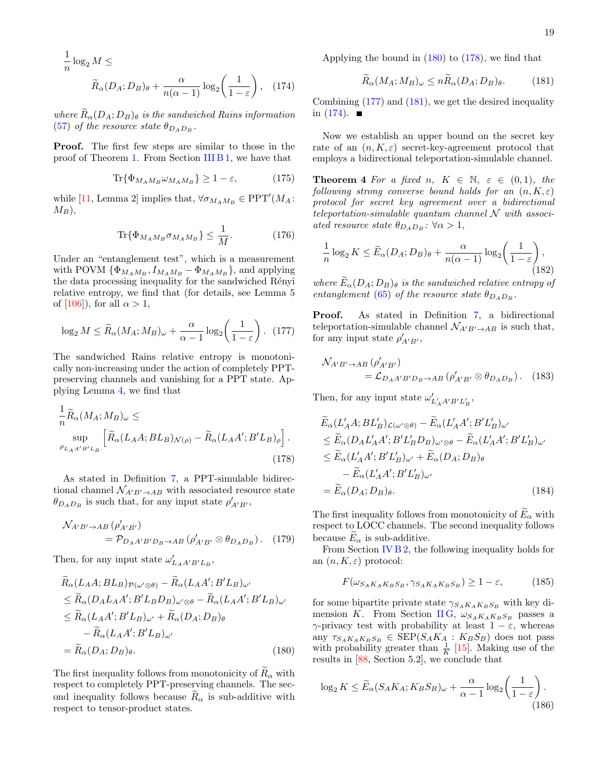$$
\frac{1}{n}\log_2 M \le \tilde{R}_{\alpha}(D_A; D_B)_{\theta} + \frac{\alpha}{n(\alpha - 1)}\log_2\left(\frac{1}{1 - \varepsilon}\right), \quad (174)
$$

where  $\widetilde{R}_{\alpha}(D_A;D_B)_{\theta}$  is the sandwiched Rains information [\(57\)](#page-8-0) of the resource state  $\theta_{D_A D_B}$ .

Proof. The first few steps are similar to those in the proof of Theorem [1.](#page-14-9) From Section [III B 1,](#page-12-1) we have that

$$
\text{Tr}\{\Phi_{M_A M_B} \omega_{M_A M_B}\} \ge 1 - \varepsilon,\tag{175}
$$

while [\[11,](#page-31-10) Lemma 2] implies that,  $\forall \sigma_{M_A M_B} \in \text{PPT}'(M_A)$ :  $M_B$ ),

$$
\text{Tr}\{\Phi_{M_A M_B} \sigma_{M_A M_B}\} \le \frac{1}{M}.\tag{176}
$$

Under an "entanglement test", which is a measurement with POVM  $\{\Phi_{M_A M_B}, I_{M_A M_B} - \Phi_{M_A M_B}\}\$ , and applying the data processing inequality for the sandwiched Rényi relative entropy, we find that (for details, see Lemma 5 of  $[106]$ , for all  $\alpha > 1$ ,

<span id="page-19-2"></span>
$$
\log_2 M \le \widetilde{R}_{\alpha}(M_A; M_B)_{\omega} + \frac{\alpha}{\alpha - 1} \log_2 \left( \frac{1}{1 - \varepsilon} \right). \tag{177}
$$

The sandwiched Rains relative entropy is monotonically non-increasing under the action of completely PPTpreserving channels and vanishing for a PPT state. Applying Lemma [4,](#page-13-2) we find that

$$
\frac{1}{n}\widetilde{R}_{\alpha}(M_A; M_B)_{\omega} \le
$$
  
\n
$$
\sup_{\rho_{L_A A'B'L_B}} \left[ \widetilde{R}_{\alpha}(L_A; BL_B)_{\mathcal{N}(\rho)} - \widetilde{R}_{\alpha}(L_A A'; B'L_B)_{\rho} \right].
$$
\n(178)

As stated in Definition [7,](#page-18-4) a PPT-simulable bidirectional channel  $\mathcal{N}_{A'B'\to AB}$  with associated resource state  $\theta_{D_A D_B}$  is such that, for any input state  $\rho'_{A'B'}$ ,

$$
\mathcal{N}_{A'B' \to AB} (\rho'_{A'B'}) = \mathcal{P}_{DA A'B'D_B \to AB} (\rho'_{A'B'} \otimes \theta_{D_A D_B}). \quad (179)
$$

Then, for any input state  $\omega'_{LA A'B' L_B}$ ,

$$
\widetilde{R}_{\alpha}(L_A A; BL_B)_{\mathcal{P}(\omega' \otimes \theta)} - \widetilde{R}_{\alpha}(L_A A'; B'L_B)_{\omega'}
$$
\n
$$
\leq \widetilde{R}_{\alpha}(D_A L_A A'; B'L_B D_B)_{\omega' \otimes \theta} - \widetilde{R}_{\alpha}(L_A A'; B'L_B)_{\omega'}
$$
\n
$$
\leq \widetilde{R}_{\alpha}(L_A A'; B'L_B)_{\omega'} + \widetilde{R}_{\alpha}(D_A; D_B)_{\theta}
$$
\n
$$
- \widetilde{R}_{\alpha}(L_A A'; B'L_B)_{\omega'}
$$
\n
$$
= \widetilde{R}_{\alpha}(D_A; D_B)_{\theta}.
$$
\n(180)

The first inequality follows from monotonicity of  $R_{\alpha}$  with respect to completely PPT-preserving channels. The second inequality follows because  $R_{\alpha}$  is sub-additive with respect to tensor-product states.

Applying the bound in  $(180)$  to  $(178)$ , we find that

<span id="page-19-3"></span>
$$
\widetilde{R}_{\alpha}(M_A; M_B)_{\omega} \le n \widetilde{R}_{\alpha}(D_A; D_B)_{\theta}.
$$
 (181)

<span id="page-19-4"></span>Combining [\(177\)](#page-19-2) and [\(181\)](#page-19-3), we get the desired inequality in  $(174)$ .

Now we establish an upper bound on the secret key rate of an  $(n, K, \varepsilon)$  secret-key-agreement protocol that employs a bidirectional teleportation-simulable channel.

<span id="page-19-6"></span>**Theorem 4** For a fixed n,  $K \in \mathbb{N}$ ,  $\varepsilon \in (0,1)$ , the following strong converse bound holds for an  $(n, K, \varepsilon)$ protocol for secret key agreement over a bidirectional teleportation-simulable quantum channel  $\mathcal N$  with associated resource state  $\theta_{D_A D_B}$ :  $\forall \alpha > 1$ ,

<span id="page-19-5"></span>
$$
\frac{1}{n}\log_2 K \le \widetilde{E}_{\alpha}(D_A; D_B)_{\theta} + \frac{\alpha}{n(\alpha - 1)}\log_2\left(\frac{1}{1 - \varepsilon}\right),\tag{182}
$$

where  $E_{\alpha}(D_A; D_B)_{\theta}$  is the sandwiched relative entropy of entanglement [\(65\)](#page-8-4) of the resource state  $\theta_{DAD_B}$ .

Proof. As stated in Definition [7,](#page-18-4) a bidirectional teleportation-simulable channel  $\mathcal{N}_{A'B'\to AB}$  is such that, for any input state  $\rho'_{A'B'}$ ,

$$
\mathcal{N}_{A'B' \to AB} (\rho'_{A'B'}) = \mathcal{L}_{DAA'B'D_B \to AB} (\rho'_{A'B'} \otimes \theta_{D_A D_B}).
$$
 (183)

Then, for any input state  $\omega'_{L'_A A' B' L'_B}$ ,

<span id="page-19-1"></span>
$$
\widetilde{E}_{\alpha}(L'_{A}A; BL'_{B})_{\mathcal{L}(\omega'\otimes\theta)} - \widetilde{E}_{\alpha}(L'_{A}A'; B'L'_{B})_{\omega'}
$$
\n
$$
\leq \widetilde{E}_{\alpha}(D_{A}L'_{A}A'; B'L'_{B}D_{B})_{\omega'\otimes\theta} - \widetilde{E}_{\alpha}(L'_{A}A'; B'L'_{B})_{\omega'}
$$
\n
$$
\leq \widetilde{E}_{\alpha}(L'_{A}A'; B'L'_{B})_{\omega'} + \widetilde{E}_{\alpha}(D_{A}; D_{B})_{\theta}
$$
\n
$$
- \widetilde{E}_{\alpha}(L'_{A}A'; B'L'_{B})_{\omega'}
$$
\n
$$
= \widetilde{E}_{\alpha}(D_{A}; D_{B})_{\theta}.
$$
\n(184)

The first inequality follows from monotonicity of  $\widetilde{E}_{\alpha}$  with respect to LOCC channels. The second inequality follows because  $E_{\alpha}$  is sub-additive.

From Section [IV B 2,](#page-16-0) the following inequality holds for an  $(n, K, \varepsilon)$  protocol:

$$
F(\omega_{S_A K_A K_B S_B}, \gamma_{S_A K_A K_B S_B}) \ge 1 - \varepsilon,\tag{185}
$$

<span id="page-19-0"></span>for some bipartite private state  $\gamma_{S_A K_A K_B S_B}$  with key di-mension K. From Section [II G,](#page-9-0)  $\omega_{S_A K_A K_B S_B}$  passes a  $\gamma$ -privacy test with probability at least  $1 - \varepsilon$ , whereas any  $\tau_{S_A K_A K_B S_B} \in \text{SEP}(S_A K_A : K_B S_B)$  does not pass with probability greater than  $\frac{1}{K}$  [\[15\]](#page-31-12). Making use of the results in [\[88,](#page-33-24) Section 5.2], we conclude that

$$
\log_2 K \le \widetilde{E}_{\alpha}(S_A K_A; K_B S_B)_{\omega} + \frac{\alpha}{\alpha - 1} \log_2 \left( \frac{1}{1 - \varepsilon} \right). \tag{186}
$$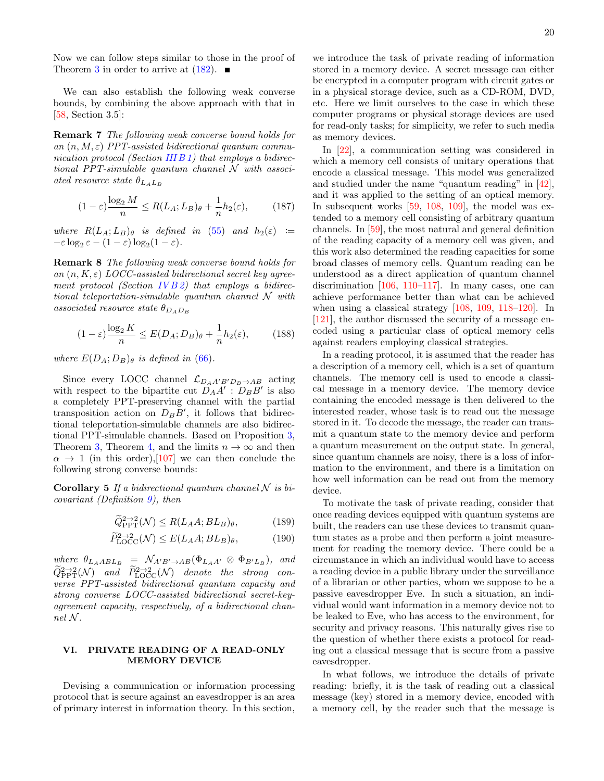Now we can follow steps similar to those in the proof of Theorem [3](#page-18-5) in order to arrive at  $(182)$ .

We can also establish the following weak converse bounds, by combining the above approach with that in [\[58,](#page-32-26) Section 3.5]:

Remark 7 The following weak converse bound holds for an  $(n, M, \varepsilon)$  PPT-assisted bidirectional quantum commu-nication protocol (Section [III B 1\)](#page-12-1) that employs a bidirectional PPT-simulable quantum channel  $\mathcal N$  with associated resource state  $\theta_{L_A L_B}$ 

$$
(1 - \varepsilon) \frac{\log_2 M}{n} \le R(L_A; L_B)_{\theta} + \frac{1}{n} h_2(\varepsilon), \tag{187}
$$

where  $R(L_A; L_B)_{\theta}$  is defined in [\(55\)](#page-8-1) and  $h_2(\varepsilon) :=$  $-\varepsilon \log_2 \varepsilon - (1-\varepsilon) \log_2 (1-\varepsilon).$ 

Remark 8 The following weak converse bound holds for an  $(n, K, \varepsilon)$  LOCC-assisted bidirectional secret key agreement protocol (Section IVB2) that employs a bidirectional teleportation-simulable quantum channel  $\mathcal N$  with associated resource state  $\theta_{D_A D_B}$ 

$$
(1 - \varepsilon) \frac{\log_2 K}{n} \le E(D_A; D_B)_{\theta} + \frac{1}{n} h_2(\varepsilon), \tag{188}
$$

where  $E(D_A; D_B)_{\theta}$  is defined in [\(66\)](#page-8-5).

Since every LOCC channel  $\mathcal{L}_{D_A A'B'D_B\rightarrow AB}$  acting with respect to the bipartite cut  $\ddot{D}_A A'$ :  $\ddot{D}_B B'$  is also a completely PPT-preserving channel with the partial transposition action on  $D_B B'$ , it follows that bidirectional teleportation-simulable channels are also bidirectional PPT-simulable channels. Based on Proposition [3,](#page-18-3) Theorem [3,](#page-18-5) Theorem [4,](#page-19-6) and the limits  $n \to \infty$  and then  $\alpha \rightarrow 1$  (in this order), [\[107\]](#page-34-9) we can then conclude the following strong converse bounds:

**Corollary 5** If a bidirectional quantum channel  $N$  is bicovariant (Definition [9\)](#page-18-1), then

<span id="page-20-1"></span>
$$
\widetilde{Q}_{\text{PPT}}^{2\to 2}(\mathcal{N}) \le R(L_A A; BL_B)_{\theta},\tag{189}
$$

$$
\widetilde{P}_{\text{LOCC}}^{2\to 2}(\mathcal{N}) \le E(L_A A; BL_B)_{\theta},\tag{190}
$$

where  $\theta_{L_{A}ABL_{B}} = \mathcal{N}_{A'B'\rightarrow AB}(\Phi_{L_{A}A'} \otimes \Phi_{B'L_{B}}),$  and  $\widetilde{Q}_{\text{PPT}}^{2\to2}(\mathcal{N})$  and  $\widetilde{P}_{\text{LOCC}}^{2\to2}(\mathcal{N})$  denote the strong converse PPT-assisted bidirectional quantum capacity and strong converse LOCC-assisted bidirectional secret-keyagreement capacity, respectively, of a bidirectional chan $nelN$ .

## <span id="page-20-0"></span>VI. PRIVATE READING OF A READ-ONLY MEMORY DEVICE

Devising a communication or information processing protocol that is secure against an eavesdropper is an area of primary interest in information theory. In this section,

we introduce the task of private reading of information stored in a memory device. A secret message can either be encrypted in a computer program with circuit gates or in a physical storage device, such as a CD-ROM, DVD, etc. Here we limit ourselves to the case in which these computer programs or physical storage devices are used for read-only tasks; for simplicity, we refer to such media as memory devices.

In [\[22\]](#page-31-18), a communication setting was considered in which a memory cell consists of unitary operations that encode a classical message. This model was generalized and studied under the name "quantum reading" in [\[42\]](#page-32-10), and it was applied to the setting of an optical memory. In subsequent works [\[59,](#page-32-27) [108,](#page-34-10) [109\]](#page-34-11), the model was extended to a memory cell consisting of arbitrary quantum channels. In [\[59\]](#page-32-27), the most natural and general definition of the reading capacity of a memory cell was given, and this work also determined the reading capacities for some broad classes of memory cells. Quantum reading can be understood as a direct application of quantum channel discrimination [\[106,](#page-34-8) [110](#page-34-12)[–117\]](#page-34-13). In many cases, one can achieve performance better than what can be achieved when using a classical strategy [\[108,](#page-34-10) [109,](#page-34-11) [118](#page-34-14)[–120\]](#page-34-15). In [\[121\]](#page-34-16), the author discussed the security of a message encoded using a particular class of optical memory cells against readers employing classical strategies.

In a reading protocol, it is assumed that the reader has a description of a memory cell, which is a set of quantum channels. The memory cell is used to encode a classical message in a memory device. The memory device containing the encoded message is then delivered to the interested reader, whose task is to read out the message stored in it. To decode the message, the reader can transmit a quantum state to the memory device and perform a quantum measurement on the output state. In general, since quantum channels are noisy, there is a loss of information to the environment, and there is a limitation on how well information can be read out from the memory device.

To motivate the task of private reading, consider that once reading devices equipped with quantum systems are built, the readers can use these devices to transmit quantum states as a probe and then perform a joint measurement for reading the memory device. There could be a circumstance in which an individual would have to access a reading device in a public library under the surveillance of a librarian or other parties, whom we suppose to be a passive eavesdropper Eve. In such a situation, an individual would want information in a memory device not to be leaked to Eve, who has access to the environment, for security and privacy reasons. This naturally gives rise to the question of whether there exists a protocol for reading out a classical message that is secure from a passive eavesdropper.

In what follows, we introduce the details of private reading: briefly, it is the task of reading out a classical message (key) stored in a memory device, encoded with a memory cell, by the reader such that the message is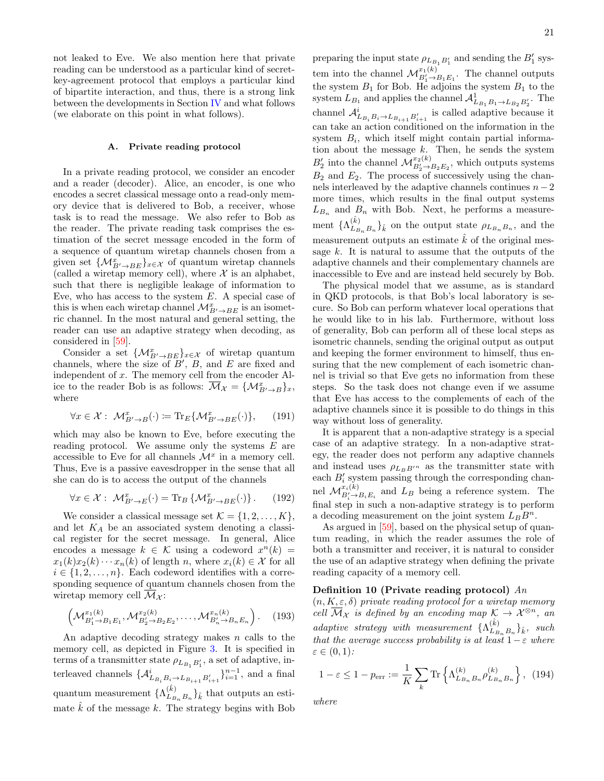not leaked to Eve. We also mention here that private reading can be understood as a particular kind of secretkey-agreement protocol that employs a particular kind of bipartite interaction, and thus, there is a strong link between the developments in Section [IV](#page-14-1) and what follows (we elaborate on this point in what follows).

#### <span id="page-21-0"></span>A. Private reading protocol

In a private reading protocol, we consider an encoder and a reader (decoder). Alice, an encoder, is one who encodes a secret classical message onto a read-only memory device that is delivered to Bob, a receiver, whose task is to read the message. We also refer to Bob as the reader. The private reading task comprises the estimation of the secret message encoded in the form of a sequence of quantum wiretap channels chosen from a given set  $\{\mathcal{M}_{B'\to BE}^{x}\}_{x\in\mathcal{X}}$  of quantum wiretap channels (called a wiretap memory cell), where  $X$  is an alphabet, such that there is negligible leakage of information to Eve, who has access to the system  $E$ . A special case of this is when each wiretap channel  $\mathcal{M}^x_{B'\to BE}$  is an isometric channel. In the most natural and general setting, the reader can use an adaptive strategy when decoding, as considered in [\[59\]](#page-32-27).

Consider a set  $\{\mathcal{M}_{B'\to BE}^x\}_{x\in\mathcal{X}}$  of wiretap quantum channels, where the size of  $B'$ ,  $B$ , and  $E$  are fixed and independent of x. The memory cell from the encoder Alice to the reader Bob is as follows:  $\overline{\mathcal{M}}_{\mathcal{X}} = {\{\mathcal{M}_{B'\to B}^x\}}_x$ , where

$$
\forall x \in \mathcal{X}: \ \mathcal{M}_{B' \to B}^{x}(\cdot) \coloneqq \text{Tr}_{E} \{ \mathcal{M}_{B' \to BE}^{x}(\cdot) \}, \qquad (191)
$$

which may also be known to Eve, before executing the reading protocol. We assume only the systems  $E$  are accessible to Eve for all channels  $\mathcal{M}^x$  in a memory cell. Thus, Eve is a passive eavesdropper in the sense that all she can do is to access the output of the channels

$$
\forall x \in \mathcal{X} : \ \mathcal{M}_{B' \to E}^{x}(\cdot) = \text{Tr}_{B} \left\{ \mathcal{M}_{B' \to BE}^{x}(\cdot) \right\}. \tag{192}
$$

We consider a classical message set  $\mathcal{K} = \{1, 2, \ldots, K\},\$ and let  $K_A$  be an associated system denoting a classical register for the secret message. In general, Alice encodes a message  $k \in \mathcal{K}$  using a codeword  $x^n(k) =$  $x_1(k)x_2(k)\cdots x_n(k)$  of length n, where  $x_i(k) \in \mathcal{X}$  for all  $i \in \{1, 2, \ldots, n\}$ . Each codeword identifies with a corresponding sequence of quantum channels chosen from the wiretap memory cell  $\overline{\mathcal{M}}_{\mathcal{X}}$ :

$$
\left(\mathcal{M}_{B'_1 \to B_1 E_1}^{x_1(k)}, \mathcal{M}_{B'_2 \to B_2 E_2}^{x_2(k)}, \dots, \mathcal{M}_{B'_n \to B_n E_n}^{x_n(k)}\right). \tag{193}
$$

An adaptive decoding strategy makes  $n$  calls to the memory cell, as depicted in Figure [3.](#page-22-2) It is specified in terms of a transmitter state  $\rho_{L_{B_1}B_1'}$ , a set of adaptive, interleaved channels  $\{\mathcal{A}_{L_{B_i}B_i \to L_{B_{i+1}}B_{i+1}'}^{i}\}_{i=1}^{n-1}$ , and a final quantum measurement $\{\Lambda_{L_B}^{(\hat k)}$  $\{E_{B_n},E_n\}_{\hat{k}}$  that outputs an estimate  $k$  of the message  $k$ . The strategy begins with Bob

preparing the input state  $\rho_{L_{B_1}B_1'}$  and sending the  $B_1'$  system into the channel  ${\mathcal M}_{B'_1\rightarrow B_1 E_1}^{x_1(k)}$ . The channel outputs the system  $B_1$  for Bob. He adjoins the system  $B_1$  to the system  $L_{B_1}$  and applies the channel  $\mathcal{A}^1_{L_{B_1}B_1 \to L_{B_2}B'_2}$ . The channel  $\mathcal{A}_{L_{B_i}B_i \to L_{B_{i+1}}B_{i+1}'}^{i}$  is called adaptive because it can take an action conditioned on the information in the system  $B_i$ , which itself might contain partial information about the message  $k$ . Then, he sends the system  $B_2'$  into the channel  $\mathcal{M}_{B_2'\rightarrow B_2E_2}^{x_2(k)}$ , which outputs systems  $B_2$  and  $E_2$ . The process of successively using the channels interleaved by the adaptive channels continues  $n-2$ more times, which results in the final output systems  $L_{B_n}$  and  $B_n$  with Bob. Next, he performs a measurement  $\{\Lambda_{L_B}^{(\hat{k})}$  $\binom{k}{L_{B_n}}_{B_n}$  on the output state  $\rho_{L_{B_n}}_{B_n}$ , and the measurement outputs an estimate  $\hat{k}$  of the original message  $k$ . It is natural to assume that the outputs of the adaptive channels and their complementary channels are inaccessible to Eve and are instead held securely by Bob.

The physical model that we assume, as is standard in QKD protocols, is that Bob's local laboratory is secure. So Bob can perform whatever local operations that he would like to in his lab. Furthermore, without loss of generality, Bob can perform all of these local steps as isometric channels, sending the original output as output and keeping the former environment to himself, thus ensuring that the new complement of each isometric channel is trivial so that Eve gets no information from these steps. So the task does not change even if we assume that Eve has access to the complements of each of the adaptive channels since it is possible to do things in this way without loss of generality.

It is apparent that a non-adaptive strategy is a special case of an adaptive strategy. In a non-adaptive strategy, the reader does not perform any adaptive channels and instead uses  $\rho_{L_{B}B^{\prime n}}$  as the transmitter state with each  $B_i'$  system passing through the corresponding channel  $\mathcal{M}_{B_i' \to B_i E_i}^{x_i(k)}$  and  $L_B$  being a reference system. The final step in such a non-adaptive strategy is to perform a decoding measurement on the joint system  $L_B B^n$ .

As argued in [\[59\]](#page-32-27), based on the physical setup of quantum reading, in which the reader assumes the role of both a transmitter and receiver, it is natural to consider the use of an adaptive strategy when defining the private reading capacity of a memory cell.

## <span id="page-21-1"></span>Definition 10 (Private reading protocol) An

 $(n, K, \varepsilon, \delta)$  private reading protocol for a wiretap memory cell  $\overline{\mathcal{M}}_{\mathcal{X}}$  is defined by an encoding map  $\mathcal{K} \to \mathcal{X}^{\otimes n}$ , an  $\emph{adaptive strategy with measurement }$  { $\Lambda_{L_B}^{(\hat{k})}$  $\binom{K}{L_{B_n}}_{B_n}$ ; such that the average success probability is at least  $1-\varepsilon$  where  $\varepsilon \in (0,1)$ :

$$
1 - \varepsilon \le 1 - p_{\text{err}} := \frac{1}{K} \sum_{k} \text{Tr} \left\{ \Lambda_{L_{B_n}B_n}^{(k)} \rho_{L_{B_n}B_n}^{(k)} \right\}, (194)
$$

where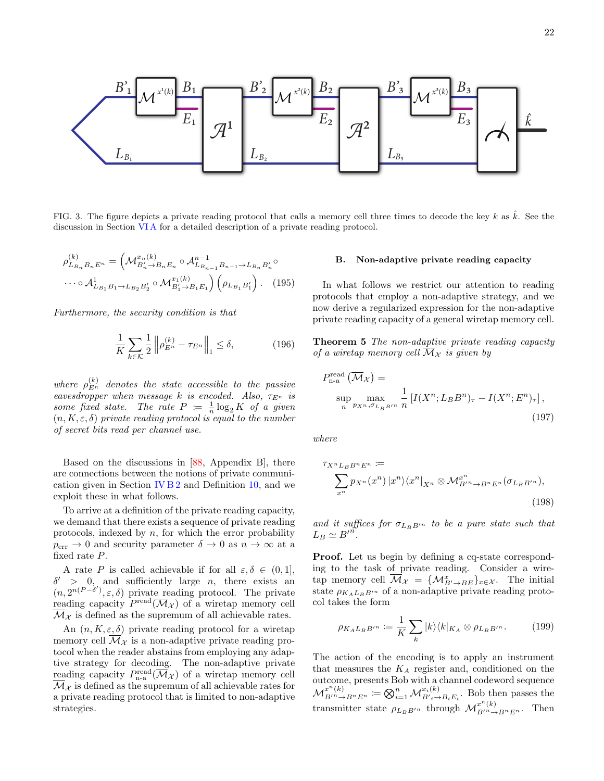

<span id="page-22-2"></span>FIG. 3. The figure depicts a private reading protocol that calls a memory cell three times to decode the key k as  $\hat{k}$ . See the discussion in Section [VI A](#page-21-0) for a detailed description of a private reading protocol.

$$
\rho_{L_{B_n}B_nE^n}^{(k)} = \left(\mathcal{M}_{B'_n \to B_nE_n}^{x_n(k)} \circ \mathcal{A}_{L_{B_{n-1}}B_{n-1} \to L_{B_n}B'_n}^{n-1} \circ \mathcal{A}_{L_{B_n}B_1}^{n-1} \circ \mathcal{A}_{L_{B_1}B_1 \to L_{B_2}B'_2}^{n-1} \circ \mathcal{M}_{B'_1 \to B_1E_1}^{x_1(k)} \right) \left(\rho_{L_{B_1}B'_1}\right). \tag{195}
$$

Furthermore, the security condition is that

$$
\frac{1}{K} \sum_{k \in \mathcal{K}} \frac{1}{2} \left\| \rho_{E^n}^{(k)} - \tau_{E^n} \right\|_1 \le \delta, \tag{196}
$$

where  $\rho_{E^n}^{(k)}$  denotes the state accessible to the passive eavesdropper when message k is encoded. Also,  $\tau_{E^n}$  is some fixed state. The rate  $P := \frac{1}{n} \log_2 K$  of a given  $(n, K, \varepsilon, \delta)$  private reading protocol is equal to the number of secret bits read per channel use.

Based on the discussions in [\[88,](#page-33-24) Appendix B], there are connections between the notions of private communication given in Section IV  $B2$  and Definition [10,](#page-21-1) and we exploit these in what follows.

To arrive at a definition of the private reading capacity, we demand that there exists a sequence of private reading protocols, indexed by  $n$ , for which the error probability  $p_{\text{err}} \rightarrow 0$  and security parameter  $\delta \rightarrow 0$  as  $n \rightarrow \infty$  at a fixed rate P.

A rate P is called achievable if for all  $\varepsilon, \delta \in (0, 1],$ δ  $> 0$ , and sufficiently large *n*, there exists an  $(n, 2^{n(P-\delta')}, \varepsilon, \delta)$  private reading protocol. The private reading capacity  $P^{\text{read}}(\overline{\mathcal{M}}_{\mathcal{X}})$  of a wiretap memory cell  $\overline{\mathcal{M}}_{\mathcal{X}}$  is defined as the supremum of all achievable rates.

An  $(n, K, \varepsilon, \delta)$  private reading protocol for a wiretap memory cell  $\overline{\mathcal{M}}_{\mathcal{X}}$  is a non-adaptive private reading protocol when the reader abstains from employing any adaptive strategy for decoding. The non-adaptive private reading capacity  $P_{n-a}^{\text{read}}(\overline{\mathcal{M}}_{\mathcal{X}})$  of a wiretap memory cell  $\mathcal{M}_{\mathcal{X}}$  is defined as the supremum of all achievable rates for a private reading protocol that is limited to non-adaptive strategies.

#### <span id="page-22-0"></span>B. Non-adaptive private reading capacity

In what follows we restrict our attention to reading protocols that employ a non-adaptive strategy, and we now derive a regularized expression for the non-adaptive private reading capacity of a general wiretap memory cell.

<span id="page-22-1"></span>Theorem 5 The non-adaptive private reading capacity of a wiretap memory cell  $\overline{\mathcal{M}}_{\mathcal{X}}$  is given by

$$
P_{n-a}^{\text{read}}\left(\overline{\mathcal{M}}_{\mathcal{X}}\right) = \sup_{n \text{ para } n} \max_{p_{X^n}, \sigma_{L_B B'^n}} \frac{1}{n} \left[ I(X^n; L_B B^n)_{\tau} - I(X^n; E^n)_{\tau} \right],\tag{197}
$$

where

<span id="page-22-3"></span>
$$
\tau_{X^n L_B B^n E^n} :=
$$
  

$$
\sum_{x^n} p_{X^n}(x^n) |x^n\rangle\langle x^n|_{X^n} \otimes \mathcal{M}_{B'^n \to B^n E^n}^{x^n}(\sigma_{L_B B'^n}),
$$
  
(198)

and it suffices for  $\sigma_{L_B}B^{n}$  to be a pure state such that  $L_B \simeq B^{\prime n}$ .

Proof. Let us begin by defining a cq-state corresponding to the task of private reading. Consider a wiretap memory cell  $\overline{\mathcal{M}}_{\mathcal{X}} = \{\mathcal{M}_{B'\to BE}^x\}_{x\in\mathcal{X}}$ . The initial state  $\rho_{K_A L_B B^{\prime n}}$  of a non-adaptive private reading protocol takes the form

$$
\rho_{K_A L_B B'^n} := \frac{1}{K} \sum_k |k\rangle\langle k|_{K_A} \otimes \rho_{L_B B'^n}.\tag{199}
$$

The action of the encoding is to apply an instrument that measures the  $K_A$  register and, conditioned on the outcome, presents Bob with a channel codeword sequence  $\mathcal{M}_{B'^n \to B^n E^n}^{x^n(k)} := \bigotimes_{i=1}^n \mathcal{M}_{B'_{i} \to B_i E_i}^{x_i(k)}$ . Bob then passes the transmitter state  $\rho_{L_B B'^n}$  through  $\mathcal{M}_{B'^n \to B^n E^n}^{x^n(k)}$ . Then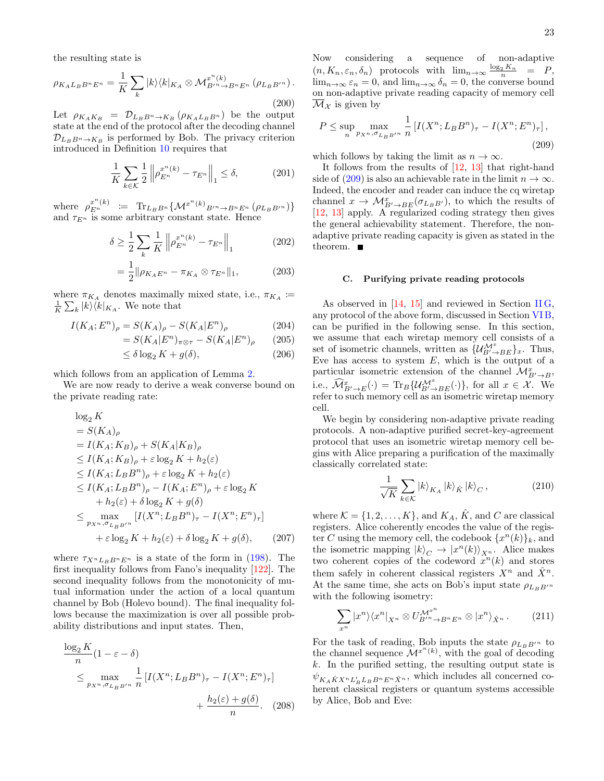$$
\rho_{K_A L_B B^n E^n} = \frac{1}{K} \sum_k |k\rangle\langle k|_{K_A} \otimes \mathcal{M}_{B'^n \to B^n E^n}^{x^n(k)} (\rho_{L_B B'^n}).
$$
\n(200)

Let  $\rho_{K_A K_B} = \mathcal{D}_{L_B B^n \to K_B}(\rho_{K_A L_B B^n})$  be the output state at the end of the protocol after the decoding channel  $\mathcal{D}_{L_{B}B^{n}\to K_{B}}$  is performed by Bob. The privacy criterion introduced in Definition [10](#page-21-1) requires that

$$
\frac{1}{K} \sum_{k \in \mathcal{K}} \frac{1}{2} \left\| \rho_{E^n}^{x^n(k)} - \tau_{E^n} \right\|_1 \le \delta, \tag{201}
$$

where  $\rho_{E^n}^{x^n(k)} := \text{Tr}_{L_B B^n} \{ \mathcal{M}^{x^n(k)}_{B'^n \to B^n E^n} (\rho_{L_B B'^n}) \}$ and  $\tau_{E^n}$  is some arbitrary constant state. Hence

$$
\delta \ge \frac{1}{2} \sum_{k} \frac{1}{K} \left\| \rho_{E^{n}}^{x^{n}(k)} - \tau_{E^{n}} \right\|_{1}
$$
 (202)

$$
= \frac{1}{2} \|\rho_{K_A E^n} - \pi_{K_A} \otimes \tau_{E^n} \|_1, \tag{203}
$$

where  $\pi_{K_A}$  denotes maximally mixed state, i.e.,  $\pi_{K_A}$  :=  $\frac{1}{K} \sum_{k} |k\rangle \langle k|_{K_A}$ . We note that

$$
I(K_A; E^n)_{\rho} = S(K_A)_{\rho} - S(K_A | E^n)_{\rho}
$$
 (204)

$$
=S(K_A|E^n)_{\pi\otimes\tau}-S(K_A|E^n)_{\rho}\qquad(205)
$$

$$
\leq \delta \log_2 K + g(\delta),\tag{206}
$$

which follows from an application of Lemma [2.](#page-6-3)

We are now ready to derive a weak converse bound on the private reading rate:

$$
\log_2 K
$$
  
=  $S(K_A)_{\rho}$   
=  $I(K_A; K_B)_{\rho} + S(K_A|K_B)_{\rho}$   
 $\leq I(K_A; K_B)_{\rho} + \varepsilon \log_2 K + h_2(\varepsilon)$   
 $\leq I(K_A; L_B B^n)_{\rho} + \varepsilon \log_2 K + h_2(\varepsilon)$   
 $\leq I(K_A; L_B B^n)_{\rho} - I(K_A; E^n)_{\rho} + \varepsilon \log_2 K$   
 $+ h_2(\varepsilon) + \delta \log_2 K + g(\delta)$   
 $\leq \max_{p_{X^n}, \sigma_{L_B B^n}} [I(X^n; L_B B^n)_{\tau} - I(X^n; E^n)_{\tau}]$   
 $+ \varepsilon \log_2 K + h_2(\varepsilon) + \delta \log_2 K + g(\delta),$  (207)

where  $\tau_{X^n L_B B^n E^n}$  is a state of the form in [\(198\)](#page-22-3). The first inequality follows from Fano's inequality [\[122\]](#page-34-17). The second inequality follows from the monotonicity of mutual information under the action of a local quantum channel by Bob (Holevo bound). The final inequality follows because the maximization is over all possible probability distributions and input states. Then,

$$
\frac{\log_2 K}{n} (1 - \varepsilon - \delta)
$$
\n
$$
\leq \max_{p_{X^n}, \sigma_{L_B B'^n}} \frac{1}{n} [I(X^n; L_B B^n)_\tau - I(X^n; E^n)_\tau]
$$
\n
$$
+ \frac{h_2(\varepsilon) + g(\delta)}{n}. \quad (208)
$$

Now considering a sequence of non-adaptive  $(n, K_n, \varepsilon_n, \delta_n)$  protocols with  $\lim_{n\to\infty} \frac{\log_2 K_n}{n} = P$ ,  $\lim_{n\to\infty} \varepsilon_n = 0$ , and  $\lim_{n\to\infty} \delta_n = 0$ , the converse bound on non-adaptive private reading capacity of memory cell  $\mathcal{M}_{\mathcal{X}}$  is given by

<span id="page-23-1"></span>
$$
P \le \sup_{n} \max_{p_{X^{n}}, \sigma_{L_{B}B^{/n}}} \frac{1}{n} \left[ I(X^{n}; L_{B}B^{n})_{\tau} - I(X^{n}; E^{n})_{\tau} \right],
$$
\n(209)

which follows by taking the limit as  $n \to \infty$ .

It follows from the results of [\[12,](#page-31-11) [13\]](#page-31-21) that right-hand side of [\(209\)](#page-23-1) is also an achievable rate in the limit  $n \to \infty$ . Indeed, the encoder and reader can induce the cq wiretap channel  $x \to \mathcal{M}_{B'\to BE}^x(\sigma_{L_B B'})$ , to which the results of [\[12,](#page-31-11) [13\]](#page-31-21) apply. A regularized coding strategy then gives the general achievability statement. Therefore, the nonadaptive private reading capacity is given as stated in the theorem.  $\blacksquare$ 

## <span id="page-23-0"></span>C. Purifying private reading protocols

As observed in  $[14, 15]$  $[14, 15]$  and reviewed in Section [II G,](#page-9-0) any protocol of the above form, discussed in Section [VI B,](#page-22-0) can be purified in the following sense. In this section, we assume that each wiretap memory cell consists of a set of isometric channels, written as  $\{\mathcal{U}_{B'\to BE}^{\mathcal{M}^x}\}_x$ . Thus, Eve has access to system  $E$ , which is the output of a particular isometric extension of the channel  $\mathcal{M}_{B'\to B}^x$ , i.e.,  $\widehat{\mathcal{M}}_{B'\to E}^{x}(\cdot) = \text{Tr}_{B}\{\mathcal{U}_{B'\to BE}^{\mathcal{M}^x}(\cdot)\},$  for all  $x \in \mathcal{X}$ . We refer to such memory cell as an isometric wiretap memory cell.

We begin by considering non-adaptive private reading protocols. A non-adaptive purified secret-key-agreement protocol that uses an isometric wiretap memory cell begins with Alice preparing a purification of the maximally classically correlated state:

$$
\frac{1}{\sqrt{K}}\sum_{k\in\mathcal{K}}|k\rangle_{K_A}|k\rangle_{\hat{K}}|k\rangle_C, \qquad (210)
$$

where  $\mathcal{K} = \{1, 2, \ldots, K\}$ , and  $K_A$ ,  $\hat{K}$ , and C are classical registers. Alice coherently encodes the value of the register C using the memory cell, the codebook  $\{x^n(k)\}_k$ , and the isometric mapping  $|k\rangle_C \rightarrow |x^n(k)\rangle_{X^n}$ . Alice makes two coherent copies of the codeword  $\hat{x}^n(k)$  and stores them safely in coherent classical registers  $X^n$  and  $\tilde{X}^n$ . At the same time, she acts on Bob's input state  $\rho_{L_B}B^{n}$ with the following isometry:

$$
\sum_{x^n} |x^n\rangle\langle x^n|_{X^n} \otimes U_{B'^n \to B^n E^n}^{\mathcal{A}^{x^n}} \otimes |x^n\rangle_{\hat{X}^n}.
$$
 (211)

For the task of reading, Bob inputs the state  $\rho_{L_B}B^{n}$  to the channel sequence  $\mathcal{M}^{x^n(k)}$ , with the goal of decoding  $k$ . In the purified setting, the resulting output state is  $\psi_{K_A \hat{K} X^n L'_B L_B B^n E^n \hat{X}^n}$ , which includes all concerned coherent classical registers or quantum systems accessible by Alice, Bob and Eve: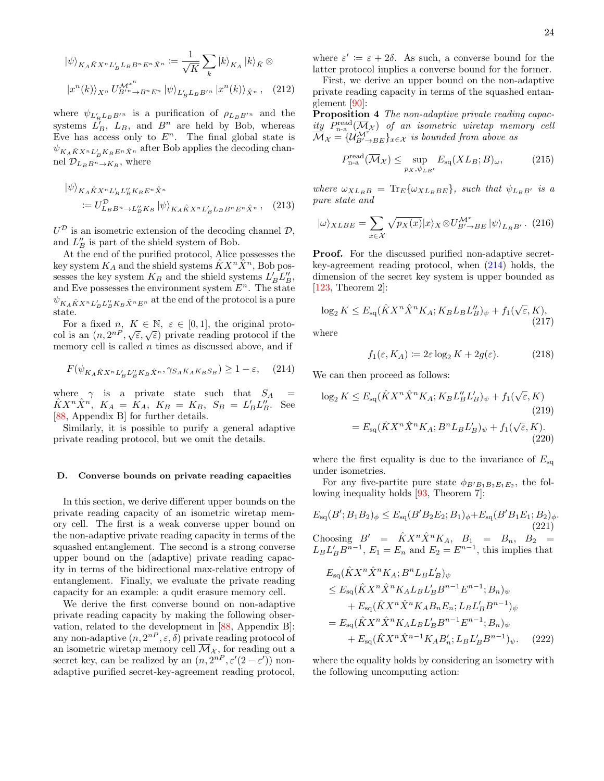$$
|\psi\rangle_{K_A \hat{K} X^n L'_B L_B B^n E^n \hat{X}^n} := \frac{1}{\sqrt{K}} \sum_k |k\rangle_{K_A} |k\rangle_{\hat{K}} \otimes
$$
  

$$
|x^n(k)\rangle_{X^n} U_{B'^n \to B^n E^n}^{\mathcal{M}^{n}} |\psi\rangle_{L'_B L_B B'^n} |x^n(k)\rangle_{\hat{X}^n}, \quad (212)
$$

where  $\psi_{L'_B L_B B'^n}$  is a purification of  $\rho_{L_B B'^n}$  and the systems  $\tilde{L}_B$ ,  $L_B$ , and  $B^n$  are held by Bob, whereas Eve has access only to  $E^n$ . The final global state is  $\psi_{K_A \hat{K} X^n L'_B K_B E^n \hat{X}^n}$  after Bob applies the decoding channel  $\mathcal{D}_{L_{B}B^{n}\to K_{B}}$ , where

$$
\begin{aligned} \vert \psi \rangle_{K_A \hat{K} X^n L'_B L''_B K_B E^n \hat{X}^n} \\ &\coloneqq U_{L_B B^n \to L''_B K_B}^{\mathcal{D}} \vert \psi \rangle_{K_A \hat{K} X^n L'_B L_B B^n E^n \hat{X}^n} \,, \end{aligned} \tag{213}
$$

 $U^{\mathcal{D}}$  is an isometric extension of the decoding channel  $\mathcal{D}$ , and  $L_B''$  is part of the shield system of Bob.

At the end of the purified protocol, Alice possesses the key system  $K_A$  and the shield systems  $\hat{K}X^n\hat{X}^n$ , Bob possesses the key system  $K_B$  and the shield systems  $L_B^\prime L_B^{\prime\prime}$ and Eve possesses the environment system  $E<sup>n</sup>$ . The state  $\psi_{K_A \hat{K} X^n L'_B L''_B K_B \hat{X}^n E^n}$  at the end of the protocol is a pure state.

For a fixed n,  $K \in \mathbb{N}$ ,  $\varepsilon \in [0,1]$ , the original protocol is an  $(n, 2^{nP}, \sqrt{\epsilon}, \sqrt{\epsilon})$  private reading protocol if the memory cell is called  $n$  times as discussed above, and if

<span id="page-24-2"></span>
$$
F(\psi_{K_A \hat{K} X^n L'_B L''_B K_B \hat{X}^n}, \gamma_{S_A K_A K_B S_B}) \ge 1 - \varepsilon, \quad (214)
$$

where  $\gamma$  is a private state such that  $S_A$  $\hat{K}X^{n}\hat{X}^{n}$ ,  $K_{A} = K_{A}$ ,  $K_{B} = K_{B}$ ,  $S_{B} = L'_{B}L''_{B}$ . See [\[88,](#page-33-24) Appendix B] for further details.

Similarly, it is possible to purify a general adaptive private reading protocol, but we omit the details.

#### <span id="page-24-0"></span>D. Converse bounds on private reading capacities

In this section, we derive different upper bounds on the private reading capacity of an isometric wiretap memory cell. The first is a weak converse upper bound on the non-adaptive private reading capacity in terms of the squashed entanglement. The second is a strong converse upper bound on the (adaptive) private reading capacity in terms of the bidirectional max-relative entropy of entanglement. Finally, we evaluate the private reading capacity for an example: a qudit erasure memory cell.

We derive the first converse bound on non-adaptive private reading capacity by making the following observation, related to the development in [\[88,](#page-33-24) Appendix B]: any non-adaptive  $(n, 2^n, \varepsilon, \delta)$  private reading protocol of an isometric wiretap memory cell  $\overline{\mathcal{M}}_{\mathcal{X}}$ , for reading out a secret key, can be realized by an  $(n, 2^{nP}, \varepsilon'(2 - \varepsilon'))$  nonadaptive purified secret-key-agreement reading protocol,

where  $\varepsilon' := \varepsilon + 2\delta$ . As such, a converse bound for the latter protocol implies a converse bound for the former.

First, we derive an upper bound on the non-adaptive private reading capacity in terms of the squashed entanglement [\[90\]](#page-33-26):

<span id="page-24-1"></span>Proposition 4 The non-adaptive private reading capac- $\frac{ity}{T}$   $\frac{P_{\text{nead}}(M_{\mathcal{X}})}{T}$  of an isometric wiretap memory cell  $\overline{\mathcal{M}}_{\mathcal{X}} = {\mathcal{U}_{B'\to BE}^{\mathcal{M}^x}}_{\mathcal{X} \to BE}$  is bounded from above as

$$
P_{\mathbf{n}\text{-a}}^{\text{read}}(\overline{\mathcal{M}}_{\mathcal{X}}) \le \sup_{p_{\mathcal{X}}, \psi_{LB'}} E_{\text{sq}}(XL_B; B)_{\omega},\tag{215}
$$

where  $\omega_{XL_{B}B} = \text{Tr}_{E}\{\omega_{XL_{B}BE}\}\text{, such that }\psi_{L_{B}B'}$  is a pure state and

<span id="page-24-5"></span>
$$
|\omega\rangle_{X L B E} = \sum_{x \in \mathcal{X}} \sqrt{p_X(x)} |x\rangle_X \otimes U_{B' \to BE}^{M^x} |\psi\rangle_{L_B B'}.
$$
 (216)

Proof. For the discussed purified non-adaptive secretkey-agreement reading protocol, when [\(214\)](#page-24-2) holds, the dimension of the secret key system is upper bounded as [\[123,](#page-34-18) Theorem 2]:

$$
\log_2 K \le E_{\text{sq}}(\hat{K}X^n \hat{X}^n K_A; K_B L_B L_B'')_{\psi} + f_1(\sqrt{\varepsilon}, K),
$$
\n(217)

where

<span id="page-24-6"></span>
$$
f_1(\varepsilon, K_A) := 2\varepsilon \log_2 K + 2g(\varepsilon). \tag{218}
$$

We can then proceed as follows:

$$
\log_2 K \le E_{\text{sq}}(\hat{K}X^n \hat{X}^n K_A; K_B L_B'' L_B')_{\psi} + f_1(\sqrt{\varepsilon}, K)
$$
\n(219)\n
$$
= E_{\text{sq}}(\hat{K}X^n \hat{X}^n K_A; B^n L_B L_B')_{\psi} + f_1(\sqrt{\varepsilon}, K).
$$
\n(220)

where the first equality is due to the invariance of  $E_{\rm{so}}$ under isometries.

For any five-partite pure state  $\phi_{B'B_1B_2E_1E_2}$ , the following inequality holds [\[93,](#page-33-29) Theorem 7]:

<span id="page-24-3"></span>
$$
E_{\text{sq}}(B';B_1B_2)_{\phi} \le E_{\text{sq}}(B'B_2E_2;B_1)_{\phi} + E_{\text{sq}}(B'B_1E_1;B_2)_{\phi}.
$$
\n(221)\n\nChoosing  $B' = \hat{K}X^n\hat{X}^nK_A$ ,  $B_1 = B_n$ ,  $B_2 = L_B L'_B B^{n-1}$ ,  $E_1 = E_n$  and  $E_2 = E^{n-1}$ , this implies that

<span id="page-24-4"></span>
$$
E_{\text{sq}}(\hat{K}X^{n}\hat{X}^{n}K_{A};B^{n}L_{B}L'_{B})_{\psi}
$$
  
\n
$$
\leq E_{\text{sq}}(\hat{K}X^{n}\hat{X}^{n}K_{A}L_{B}L'_{B}B^{n-1}E^{n-1};B_{n})_{\psi}
$$
  
\n
$$
+ E_{\text{sq}}(\hat{K}X^{n}\hat{X}^{n}K_{A}B_{n}E_{n};L_{B}L'_{B}B^{n-1})_{\psi}
$$
  
\n
$$
= E_{\text{sq}}(\hat{K}X^{n}\hat{X}^{n}K_{A}L_{B}L'_{B}B^{n-1}E^{n-1};B_{n})_{\psi}
$$
  
\n
$$
+ E_{\text{sq}}(\hat{K}X^{n}\hat{X}^{n-1}K_{A}B'_{n};L_{B}L'_{B}B^{n-1})_{\psi}. \quad (222)
$$

where the equality holds by considering an isometry with the following uncomputing action: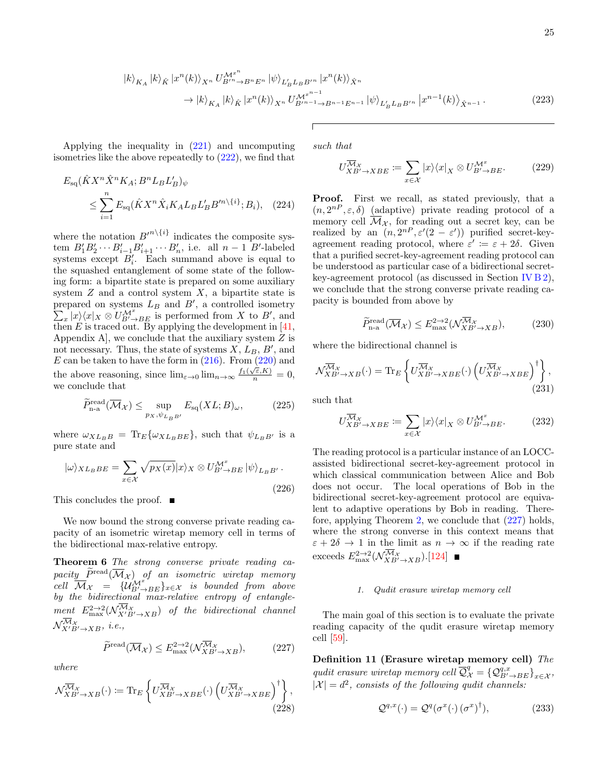$$
|k\rangle_{K_{A}} |k\rangle_{\hat{K}} |x^{n}(k)\rangle_{X^{n}} U^{\mathcal{M}^{x^{n}}}_{B^{n}\to B^{n}E^{n}} |\psi\rangle_{L'_{B}L_{B}B^{n}} |x^{n}(k)\rangle_{\hat{X}^{n}} \rightarrow |k\rangle_{K_{A}} |k\rangle_{\hat{K}} |x^{n}(k)\rangle_{X^{n}} U^{\mathcal{M}^{x^{n-1}}}_{B^{n-1}\to B^{n-1}E^{n-1}} |\psi\rangle_{L'_{B}L_{B}B^{n}} |x^{n-1}(k)\rangle_{\hat{X}^{n-1}}.
$$
\n(223)

Applying the inequality in [\(221\)](#page-24-3) and uncomputing isometries like the above repeatedly to [\(222\)](#page-24-4), we find that

$$
E_{\text{sq}}(\hat{K}X^n \hat{X}^n K_A; B^n L_B L'_B)_{\psi}
$$
  
\$\leq \sum\_{i=1}^n E\_{\text{sq}}(\hat{K}X^n \hat{X}\_i K\_A L\_B L'\_B B'^{n \setminus \{i\}}; B\_i), \quad (224)\$

where the notation  $B'^{n \setminus \{i\}}$  indicates the composite system  $B_1' B_2' \cdots B_{i-1}' B_{i+1}' \cdots B_n'$ , i.e. all  $n-1$  B'-labeled systems except  $B_i'$ . Each summand above is equal to the squashed entanglement of some state of the following form: a bipartite state is prepared on some auxiliary system  $Z$  and a control system  $X$ , a bipartite state is prepared on systems  $L_B$  and  $B'$ , a controlled isometry  $\sum_{x} |x\rangle\langle x|_X \otimes U_{B'\to BE}^{\mathcal{M}^x}$  is performed from X to B', and then  $E$  is traced out. By applying the development in [\[41,](#page-32-9) Appendix A, we conclude that the auxiliary system  $Z$  is not necessary. Thus, the state of systems  $X, L_B, B'$ , and  $E$  can be taken to have the form in  $(216)$ . From  $(220)$  and the above reasoning, since  $\lim_{\varepsilon \to 0} \lim_{n \to \infty} \frac{f_1(\sqrt{\varepsilon}, K)}{n} = 0$ , we conclude that

$$
\widetilde{P}_{n-a}^{\text{read}}(\overline{\mathcal{M}}_{\mathcal{X}}) \le \sup_{p_{X}, \psi_{L_{B}B'}} E_{\text{sq}}(XL;B)_{\omega},\tag{225}
$$

where  $\omega_{XL_BB} = \text{Tr}_E\{\omega_{XL_BBE}\}\$ , such that  $\psi_{L_BB'}$  is a pure state and

$$
|\omega\rangle_{XL_BBE} = \sum_{x \in \mathcal{X}} \sqrt{p_X(x)} |x\rangle_X \otimes U_{B' \to BE}^{\mathcal{M}^x} | \psi\rangle_{LBB'}.
$$
\n(226)

This concludes the proof. ■

We now bound the strong converse private reading capacity of an isometric wiretap memory cell in terms of the bidirectional max-relative entropy.

Theorem 6 The strong converse private reading capacity  $\widetilde{P}^{\text{read}}(\overline{\mathcal{M}}_{\mathcal{X}})$  of an isometric wiretap memory cell  $\overline{\mathcal{M}}_{\mathcal{X}} = \{ \mathcal{U}_{B' \to BE}^{\mathcal{M}^x} \}_{x \in \mathcal{X}}$  is bounded from above by the bidirectional max-relative entropy of entangle- $\begin{split} \mathit{m}_{\text{ent}}\quad E_{\text{max}}^{2\to2}(\mathcal{N}_{X'B'\to XB}^{\mathcal{M}_\mathcal{X}}) \quad & \text{of \ the \ bidirectional \ channel} \end{split}$  $\mathcal{N}_{X^{\prime}B^{\prime}\rightarrow XB}^{\overline{\mathcal{M}}_{\mathcal{X}}}$ , i.e.,

<span id="page-25-1"></span>
$$
\widetilde{P}^{\text{read}}(\overline{\mathcal{M}}_{\mathcal{X}}) \le E_{\text{max}}^{2 \to 2}(\mathcal{N}_{XB' \to XB}^{\overline{\mathcal{M}}_{\mathcal{X}}}),\tag{227}
$$

where

<span id="page-25-2"></span>
$$
\mathcal{N}_{XB'\to XB'}^{\overline{\mathcal{M}}_{\mathcal{X}}}(\cdot) \coloneqq \text{Tr}_{E} \left\{ U_{XB'\to XBE}^{\overline{\mathcal{M}}_{\mathcal{X}}}(\cdot) \left( U_{XB'\to XBE}^{\overline{\mathcal{M}}_{\mathcal{X}}} \right)^{\dagger} \right\},\tag{228}
$$

such that

$$
U_{XB'\to XBE}^{\overline{\mathcal{M}}_{\mathcal{X}}} := \sum_{x \in \mathcal{X}} |x\rangle \langle x|_X \otimes U_{B'\to BE}^{\mathcal{M}^x}.
$$
 (229)

Proof. First we recall, as stated previously, that a  $(n, 2^{n}, \varepsilon, \delta)$  (adaptive) private reading protocol of a memory cell  $\overline{\mathcal{M}}_{\mathcal{X}}$ , for reading out a secret key, can be realized by an  $(n, 2^{nP}, \varepsilon'(2-\varepsilon'))$  purified secret-keyagreement reading protocol, where  $\varepsilon' \coloneqq \varepsilon + 2\delta$ . Given that a purified secret-key-agreement reading protocol can be understood as particular case of a bidirectional secretkey-agreement protocol (as discussed in Section [IV B 2\)](#page-16-0), we conclude that the strong converse private reading capacity is bounded from above by

$$
\widetilde{P}_{\text{n-a}}^{\text{read}}(\overline{\mathcal{M}}_{\mathcal{X}}) \le E_{\text{max}}^{2 \to 2}(\mathcal{N}_{XB' \to XB}^{\overline{\mathcal{M}}_{\mathcal{X}}}),\tag{230}
$$

where the bidirectional channel is

$$
\mathcal{N}_{XB'\to XB}^{\overline{\mathcal{M}}_X}(\cdot) = \text{Tr}_E \left\{ U_{XB'\to XBE}^{\overline{\mathcal{M}}_X}(\cdot) \left( U_{XB'\to XBE}^{\overline{\mathcal{M}}_X} \right)^{\dagger} \right\},\tag{231}
$$

such that

$$
U_{XB'\to XBE}^{\overline{\mathcal{M}}_{\mathcal{X}}} := \sum_{x \in \mathcal{X}} |x\rangle \langle x|_X \otimes U_{B'\to BE}^{\mathcal{M}^x}.
$$
 (232)

The reading protocol is a particular instance of an LOCCassisted bidirectional secret-key-agreement protocol in which classical communication between Alice and Bob does not occur. The local operations of Bob in the bidirectional secret-key-agreement protocol are equivalent to adaptive operations by Bob in reading. Therefore, applying Theorem [2,](#page-17-5) we conclude that [\(227\)](#page-25-1) holds, where the strong converse in this context means that  $\varepsilon + 2\delta \to 1$  in the limit as  $n \to \infty$  if the reading rate exceeds  $E_{\text{max}}^{2\rightarrow2}(\mathcal{N}_{XB'\rightarrow XB}^{\mathcal{M}_{\mathcal{X}}})$ .[\[124\]](#page-34-19)

#### <span id="page-25-0"></span>1. Qudit erasure wiretap memory cell

The main goal of this section is to evaluate the private reading capacity of the qudit erasure wiretap memory cell [\[59\]](#page-32-27).

Definition 11 (Erasure wiretap memory cell) The qudit erasure wiretap memory cell  $\overline{Q}_{\mathcal{X}}^q = \{Q_{B'\to BE}^{q,x}\}_{x \in \mathcal{X}}$ ,  $|\mathcal{X}| = d^2$ , consists of the following qudit channels:

$$
\mathcal{Q}^{q,x}(\cdot) = \mathcal{Q}^q(\sigma^x(\cdot) \left(\sigma^x\right)^\dagger),\tag{233}
$$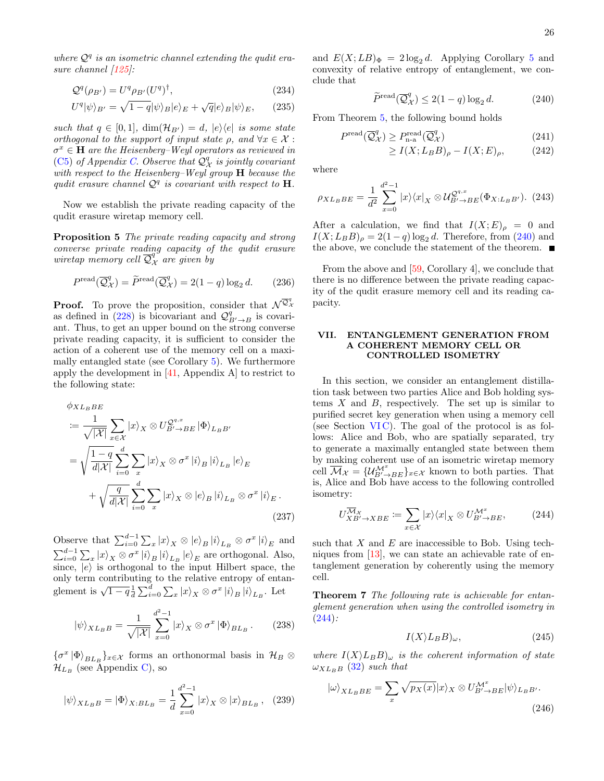where  $Q^q$  is an isometric channel extending the qudit era-sure channel [\[125\]](#page-34-20):

$$
\mathcal{Q}^q(\rho_{B'}) = U^q \rho_{B'} (U^q)^\dagger, \tag{234}
$$

$$
U^{q}|\psi\rangle_{B'} = \sqrt{1-q}|\psi\rangle_{B}|e\rangle_{E} + \sqrt{q}|e\rangle_{B}|\psi\rangle_{E}, \qquad (235)
$$

such that  $q \in [0,1]$ ,  $\dim(\mathcal{H}_{B'}) = d$ ,  $|e\rangle\langle e|$  is some state orthogonal to the support of input state  $\rho$ , and  $\forall x \in \mathcal{X}$ :  $\sigma^x \in \mathbf{H}$  are the Heisenberg–Weyl operators as reviewed in [\(C5\)](#page-31-22) of Appendix [C.](#page-30-0) Observe that  $\mathcal{Q}_{\mathcal{X}}^q$  is jointly covariant with respect to the Heisenberg–Weyl group H because the qudit erasure channel  $Q^q$  is covariant with respect to **H**.

Now we establish the private reading capacity of the qudit erasure wiretap memory cell.

Proposition 5 The private reading capacity and strong converse private reading capacity of the qudit erasure wiretap memory cell  $\overline{Q}_{\mathcal{X}}^{q}$  are given by

$$
P^{\text{read}}(\overline{Q}_{\mathcal{X}}^{q}) = \widetilde{P}^{\text{read}}(\overline{Q}_{\mathcal{X}}^{q}) = 2(1-q)\log_2 d. \tag{236}
$$

**Proof.** To prove the proposition, consider that  $\mathcal{N}^{\overline{Q}_{\mathcal{X}}^{q}}$ as defined in [\(228\)](#page-25-2) is bicovariant and  $\mathcal{Q}_{B'\to B}^q$  is covariant. Thus, to get an upper bound on the strong converse private reading capacity, it is sufficient to consider the action of a coherent use of the memory cell on a maximally entangled state (see Corollary [5\)](#page-20-1). We furthermore apply the development in  $[41,$  Appendix A $]$  to restrict to the following state:

$$
\phi_{XL_BBE}
$$
\n
$$
:= \frac{1}{\sqrt{|\mathcal{X}|}} \sum_{x \in \mathcal{X}} |x\rangle_X \otimes U_{B' \to BE}^{Q^{q,x}} |\Phi\rangle_{L_BB'}
$$
\n
$$
= \sqrt{\frac{1-q}{d|\mathcal{X}|}} \sum_{i=0}^d \sum_x |x\rangle_X \otimes \sigma^x |i\rangle_B |i\rangle_{L_B} |e\rangle_E
$$
\n
$$
+ \sqrt{\frac{q}{d|\mathcal{X}|}} \sum_{i=0}^d \sum_x |x\rangle_X \otimes |e\rangle_B |i\rangle_{L_B} \otimes \sigma^x |i\rangle_E.
$$
\n(237)

Observe that  $\sum_{i=0}^{d-1} \sum_x |x\rangle_X \otimes |e\rangle_B |i\rangle_{L_B} \otimes \sigma^x |i\rangle_E$  and  $\sum_{i=0}^{d-1} \sum_x |x\rangle_X \otimes \sigma^x |i\rangle_B |i\rangle_{L_B} |e\rangle_E$  are orthogonal. Also, since,  $|e\rangle$  is orthogonal to the input Hilbert space, the only term contributing to the relative entropy of entanglement is  $\sqrt{1-q} \frac{1}{d} \sum_{i=0}^d \sum_x |x\rangle_X \otimes \sigma^x |i\rangle_B |i\rangle_{L_B}$ . Let

$$
|\psi\rangle_{XL_BB} = \frac{1}{\sqrt{|\mathcal{X}|}} \sum_{x=0}^{d^2-1} |x\rangle_X \otimes \sigma^x |\Phi\rangle_{BL_B}.
$$
 (238)

 ${\lbrace \sigma^x | \Phi \rangle_{BL_B} }$ <sub> $x \in \mathcal{X}$ </sub> forms an orthonormal basis in  $\mathcal{H}_B$  ⊗  $\mathcal{H}_{L_B}$  (see Appendix [C\)](#page-30-0), so

$$
|\psi\rangle_{XL_BB} = |\Phi\rangle_{X:BL_B} = \frac{1}{d} \sum_{x=0}^{d^2-1} |x\rangle_X \otimes |x\rangle_{BL_B}, \quad (239)
$$

and  $E(X; LB)_{\Phi} = 2 \log_2 d$ . Applying Corollary [5](#page-20-1) and convexity of relative entropy of entanglement, we conclude that

<span id="page-26-1"></span>
$$
\widetilde{P}^{\text{read}}(\overline{Q}_{\mathcal{X}}^q) \le 2(1-q)\log_2 d. \tag{240}
$$

From Theorem [5,](#page-22-1) the following bound holds

$$
P^{\text{read}}(\overline{\mathcal{Q}}_{\mathcal{X}}^{q}) \ge P_{\text{n-a}}^{\text{read}}(\overline{\mathcal{Q}}_{\mathcal{X}}^{q})
$$
\n
$$
\ge I(X; L_{B}B)_{\rho} - I(X; E)_{\rho}, \qquad (242)
$$

where

$$
\rho_{XL_BBE} = \frac{1}{d^2} \sum_{x=0}^{d^2-1} |x\rangle\langle x|_X \otimes \mathcal{U}_{B'\to BE}^{\mathcal{Q}^{q,x}}(\Phi_{X:L_BB'})
$$
 (243)

After a calculation, we find that  $I(X;E)_{\rho} = 0$  and  $I(X;L_B B)$ <sub>*ρ*</sub> = 2(1 – *q*) log<sub>2</sub> *d*. Therefore, from [\(240\)](#page-26-1) and the above, we conclude the statement of the theorem.  $\blacksquare$ 

From the above and [\[59,](#page-32-27) Corollary 4], we conclude that there is no difference between the private reading capacity of the qudit erasure memory cell and its reading capacity.

## <span id="page-26-0"></span>VII. ENTANGLEMENT GENERATION FROM A COHERENT MEMORY CELL OR CONTROLLED ISOMETRY

In this section, we consider an entanglement distillation task between two parties Alice and Bob holding systems  $X$  and  $B$ , respectively. The set up is similar to purified secret key generation when using a memory cell (see Section  $VIC$ ). The goal of the protocol is as follows: Alice and Bob, who are spatially separated, try to generate a maximally entangled state between them by making coherent use of an isometric wiretap memory cell  $\overline{\mathcal{M}}_{\mathcal{X}} = {\mathcal{U}_{B'\to BE}^{\mathcal{M}^x}}_{B\in\mathcal{X}}$  known to both parties. That is, Alice and Bob have access to the following controlled isometry:

<span id="page-26-2"></span>
$$
U_{XB'\to XBE}^{\overline{\mathcal{M}}_{\mathcal{X}}} := \sum_{x \in \mathcal{X}} |x\rangle \langle x|_X \otimes U_{B'\to BE}^{\mathcal{M}^x},\tag{244}
$$

such that  $X$  and  $E$  are inaccessible to Bob. Using techniques from [\[13\]](#page-31-21), we can state an achievable rate of entanglement generation by coherently using the memory cell.

Theorem 7 The following rate is achievable for entanglement generation when using the controlled isometry in  $(244)$ :

$$
I(X \rangle L_B B)_{\omega}, \tag{245}
$$

where  $I(X|L_B B)_{\omega}$  is the coherent information of state  $\omega_{XL_{B}B}$  [\(32\)](#page-6-4) such that

$$
|\omega\rangle_{XL_BBE} = \sum_{x} \sqrt{p_X(x)} |x\rangle_X \otimes U_{B'\to BE}^{\mathcal{M}^x} |\psi\rangle_{L_BB'}. \tag{246}
$$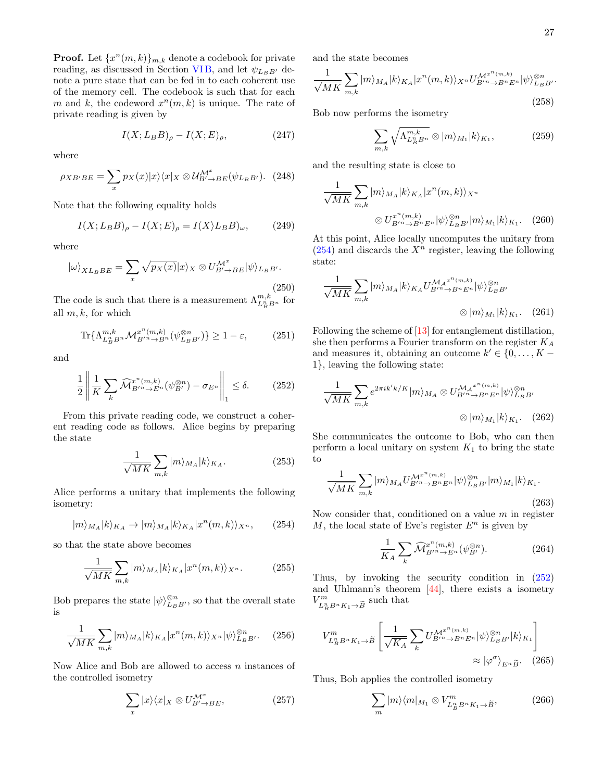**Proof.** Let  ${x<sup>n</sup>(m,k)}_{m,k}$  denote a codebook for private reading, as discussed in Section VIB, and let  $\psi_{L_B B}$  denote a pure state that can be fed in to each coherent use of the memory cell. The codebook is such that for each m and k, the codeword  $x^n(m, k)$  is unique. The rate of private reading is given by

$$
I(X; L_B B)_{\rho} - I(X; E)_{\rho}, \qquad (247)
$$

where

$$
\rho_{XB'BE} = \sum_{x} p_X(x) |x\rangle\langle x|_X \otimes \mathcal{U}_{B' \to BE}^{\mathcal{M}^x}(\psi_{L_B B'})
$$
 (248)

Note that the following equality holds

$$
I(X; L_B B)_{\rho} - I(X; E)_{\rho} = I(X/L_B B)_{\omega}, \qquad (249)
$$

where

$$
|\omega\rangle_{XL_BBE} = \sum_{x} \sqrt{p_X(x)} |x\rangle_X \otimes U_{B'\to BE}^{M^x} |\psi\rangle_{L_BB'}.
$$
\n(250)

The code is such that there is a measurement  $\Lambda^{m,k}_{L^n_B B^n}$  for all  $m, k$ , for which

$$
\text{Tr}\{\Lambda_{L_B^nB^n}^{m,k}\mathcal{M}_{B'^n\to B^n}^{x^n(m,k)}(\psi_{L_BB'}^{\otimes n})\} \ge 1-\varepsilon,\qquad(251)
$$

and

<span id="page-27-1"></span>
$$
\frac{1}{2} \left\| \frac{1}{K} \sum_{k} \widehat{\mathcal{M}}_{B^{\prime n} \to E^{n}}^{x^{n}(m,k)} (\psi_{B^{\prime}}^{\otimes n}) - \sigma_{E^{n}} \right\|_{1} \leq \delta. \tag{252}
$$

From this private reading code, we construct a coherent reading code as follows. Alice begins by preparing the state

$$
\frac{1}{\sqrt{MK}} \sum_{m,k} |m\rangle_{M_A} |k\rangle_{K_A}.\tag{253}
$$

Alice performs a unitary that implements the following isometry:

<span id="page-27-0"></span>
$$
|m\rangle_{M_A}|k\rangle_{K_A} \to |m\rangle_{M_A}|k\rangle_{K_A}|x^n(m,k)\rangle_{X^n}, \qquad (254)
$$

so that the state above becomes

$$
\frac{1}{\sqrt{MK}} \sum_{m,k} |m\rangle_{M_A} |k\rangle_{K_A} |x^n(m,k)\rangle_{X^n}.
$$
 (255)

Bob prepares the state  $|\psi\rangle_{L_B}^{\otimes n}$ , so that the overall state is

$$
\frac{1}{\sqrt{MK}} \sum_{m,k} |m\rangle_{M_A} |k\rangle_{K_A} |x^n(m,k)\rangle_{X^n} |\psi\rangle_{L_B}^{\otimes n} B^n. \tag{256}
$$

Now Alice and Bob are allowed to access  $n$  instances of the controlled isometry

$$
\sum_{x} |x\rangle\langle x|_{X} \otimes U^{\mathcal{M}^{x}}_{B' \to BE}, \tag{257}
$$

and the state becomes

$$
\frac{1}{\sqrt{MK}}\sum_{m,k}|m\rangle_{M_A}|k\rangle_{K_A}|x^n(m,k)\rangle_{X^n}U_{B'^n\to B^nE^n}^{\mathcal{M}^{n^m(m,k)}}|\psi\rangle_{L_B}^{\otimes n}y. \tag{258}
$$

Bob now performs the isometry

$$
\sum_{m,k} \sqrt{\Lambda_{L_B^n B^n}^{m,k}} \otimes |m\rangle_{M_1} |k\rangle_{K_1},\tag{259}
$$

and the resulting state is close to

$$
\frac{1}{\sqrt{MK}} \sum_{m,k} |m\rangle_{M_A} |k\rangle_{K_A} |x^n(m,k)\rangle_{X^n}
$$

$$
\otimes U_{B^{\prime n} \to B^n E^n}^{\,x^n(m,k)} |\psi\rangle_{L_B}^{\otimes n} |\omega|_{M_1} |k\rangle_{K_1}.
$$
 (260)

At this point, Alice locally uncomputes the unitary from  $(254)$  and discards the  $X<sup>n</sup>$  register, leaving the following state:

$$
\frac{1}{\sqrt{MK}} \sum_{m,k} |m\rangle_{M_A} |k\rangle_{K_A} U_{B^{\prime n} \to B^n E^n}^{M_A x^n(m,k)} |\psi\rangle_{L_B B^{\prime}}^{\otimes n}
$$

$$
\otimes |m\rangle_{M_1} |k\rangle_{K_1}.
$$
 (261)

Following the scheme of [\[13\]](#page-31-21) for entanglement distillation, she then performs a Fourier transform on the register  $K_A$ and measures it, obtaining an outcome  $k' \in \{0, \ldots, K - \}$ 1}, leaving the following state:

$$
\frac{1}{\sqrt{MK}} \sum_{m,k} e^{2\pi i k' k/K} |m\rangle_{M_A} \otimes U_{B^{\prime n} \to B^n E^n}^{\mathcal{M}_A x^{n(m,k)}} |\psi\rangle_{L_B B^{\prime}}^{\otimes n}
$$

$$
\otimes |m\rangle_{M_1} |k\rangle_{K_1}.
$$
 (262)

She communicates the outcome to Bob, who can then perform a local unitary on system  $K_1$  to bring the state to

$$
\frac{1}{\sqrt{MK}}\sum_{m,k}|m\rangle_{M_A}U_{B^{\prime n}\to B^n E^n}^{\mathcal{M}^{n}(m,k)}|\psi\rangle_{L_B B^{\prime}}^{\otimes n}|m\rangle_{M_1}|k\rangle_{K_1}.
$$
\n(263)

Now consider that, conditioned on a value  $m$  in register M, the local state of Eve's register  $E^n$  is given by

$$
\frac{1}{K_A} \sum_{k} \widehat{\mathcal{M}}_{B'^n \to E^n}^{x^n(m,k)} (\psi_{B'}^{\otimes n}). \tag{264}
$$

Thus, by invoking the security condition in [\(252\)](#page-27-1) and Uhlmann's theorem [\[44\]](#page-32-12), there exists a isometry  $V^m_{L^n_B B^n K_1 \to \widetilde{B}}$  such that

$$
V_{L_B^n B^n K_1 \to \tilde{B}}^m \left[ \frac{1}{\sqrt{K_A}} \sum_k U_{B'^n \to B^n E^n}^{\mathcal{M}^{x^n(m,k)}} |\psi\rangle_{L_B B'}^{\otimes n} |k\rangle_{K_1} \right] \approx |\varphi^{\sigma}\rangle_{E^n \tilde{B}}.
$$
 (265)

Thus, Bob applies the controlled isometry

$$
\sum_{m} |m\rangle\langle m|_{M_1} \otimes V^m_{L_B^n B^n K_1 \to \widetilde{B}},\tag{266}
$$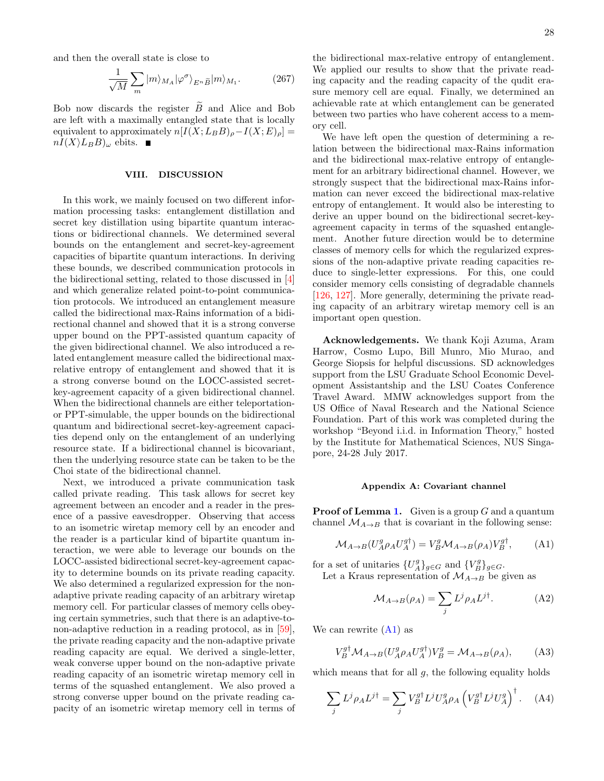and then the overall state is close to

$$
\frac{1}{\sqrt{M}}\sum_{m}|m\rangle_{M_{A}}|\varphi^{\sigma}\rangle_{E^{n}\widetilde{B}}|m\rangle_{M_{1}}.\tag{267}
$$

Bob now discards the register  $\tilde{B}$  and Alice and Bob are left with a maximally entangled state that is locally equivalent to approximately  $n[I(X;L_B B)_{\rho}-I(X; E)_{\rho}] =$  $nI(X|L_BB)_{\omega}$  ebits.

#### <span id="page-28-0"></span>VIII. DISCUSSION

In this work, we mainly focused on two different information processing tasks: entanglement distillation and secret key distillation using bipartite quantum interactions or bidirectional channels. We determined several bounds on the entanglement and secret-key-agreement capacities of bipartite quantum interactions. In deriving these bounds, we described communication protocols in the bidirectional setting, related to those discussed in [\[4\]](#page-31-4) and which generalize related point-to-point communication protocols. We introduced an entanglement measure called the bidirectional max-Rains information of a bidirectional channel and showed that it is a strong converse upper bound on the PPT-assisted quantum capacity of the given bidirectional channel. We also introduced a related entanglement measure called the bidirectional maxrelative entropy of entanglement and showed that it is a strong converse bound on the LOCC-assisted secretkey-agreement capacity of a given bidirectional channel. When the bidirectional channels are either teleportationor PPT-simulable, the upper bounds on the bidirectional quantum and bidirectional secret-key-agreement capacities depend only on the entanglement of an underlying resource state. If a bidirectional channel is bicovariant, then the underlying resource state can be taken to be the Choi state of the bidirectional channel.

Next, we introduced a private communication task called private reading. This task allows for secret key agreement between an encoder and a reader in the presence of a passive eavesdropper. Observing that access to an isometric wiretap memory cell by an encoder and the reader is a particular kind of bipartite quantum interaction, we were able to leverage our bounds on the LOCC-assisted bidirectional secret-key-agreement capacity to determine bounds on its private reading capacity. We also determined a regularized expression for the nonadaptive private reading capacity of an arbitrary wiretap memory cell. For particular classes of memory cells obeying certain symmetries, such that there is an adaptive-tonon-adaptive reduction in a reading protocol, as in [\[59\]](#page-32-27), the private reading capacity and the non-adaptive private reading capacity are equal. We derived a single-letter, weak converse upper bound on the non-adaptive private reading capacity of an isometric wiretap memory cell in terms of the squashed entanglement. We also proved a strong converse upper bound on the private reading capacity of an isometric wiretap memory cell in terms of

the bidirectional max-relative entropy of entanglement. We applied our results to show that the private reading capacity and the reading capacity of the qudit erasure memory cell are equal. Finally, we determined an achievable rate at which entanglement can be generated between two parties who have coherent access to a memory cell.

We have left open the question of determining a relation between the bidirectional max-Rains information and the bidirectional max-relative entropy of entanglement for an arbitrary bidirectional channel. However, we strongly suspect that the bidirectional max-Rains information can never exceed the bidirectional max-relative entropy of entanglement. It would also be interesting to derive an upper bound on the bidirectional secret-keyagreement capacity in terms of the squashed entanglement. Another future direction would be to determine classes of memory cells for which the regularized expressions of the non-adaptive private reading capacities reduce to single-letter expressions. For this, one could consider memory cells consisting of degradable channels [\[126,](#page-34-21) [127\]](#page-34-22). More generally, determining the private reading capacity of an arbitrary wiretap memory cell is an important open question.

Acknowledgements. We thank Koji Azuma, Aram Harrow, Cosmo Lupo, Bill Munro, Mio Murao, and George Siopsis for helpful discussions. SD acknowledges support from the LSU Graduate School Economic Development Assistantship and the LSU Coates Conference Travel Award. MMW acknowledges support from the US Office of Naval Research and the National Science Foundation. Part of this work was completed during the workshop "Beyond i.i.d. in Information Theory," hosted by the Institute for Mathematical Sciences, NUS Singapore, 24-28 July 2017.

#### <span id="page-28-1"></span>Appendix A: Covariant channel

**Proof of Lemma [1.](#page-5-3)** Given is a group  $G$  and a quantum channel  $\mathcal{M}_{A\rightarrow B}$  that is covariant in the following sense:

<span id="page-28-2"></span>
$$
\mathcal{M}_{A \to B} (U_A^g \rho_A U_A^{g\dagger}) = V_B^g \mathcal{M}_{A \to B} (\rho_A) V_B^{g\dagger}, \tag{A1}
$$

for a set of unitaries  $\{U_A^g\}_{g \in G}$  and  $\{V_B^g\}_{g \in G}$ .

Let a Kraus representation of  $\mathcal{M}_{A\rightarrow B}$  be given as

$$
\mathcal{M}_{A \to B}(\rho_A) = \sum_j L^j \rho_A L^{j\dagger}.
$$
 (A2)

We can rewrite  $(A1)$  as

$$
V_B^{g\dagger} \mathcal{M}_{A \to B} (U_A^g \rho_A U_A^{g\dagger}) V_B^g = \mathcal{M}_{A \to B} (\rho_A), \tag{A3}
$$

which means that for all  $g$ , the following equality holds

$$
\sum_{j} L^{j} \rho_{A} L^{j\dagger} = \sum_{j} V_{B}^{g\dagger} L^{j} U_{A}^{g} \rho_{A} \left( V_{B}^{g\dagger} L^{j} U_{A}^{g} \right)^{\dagger} . \quad (A4)
$$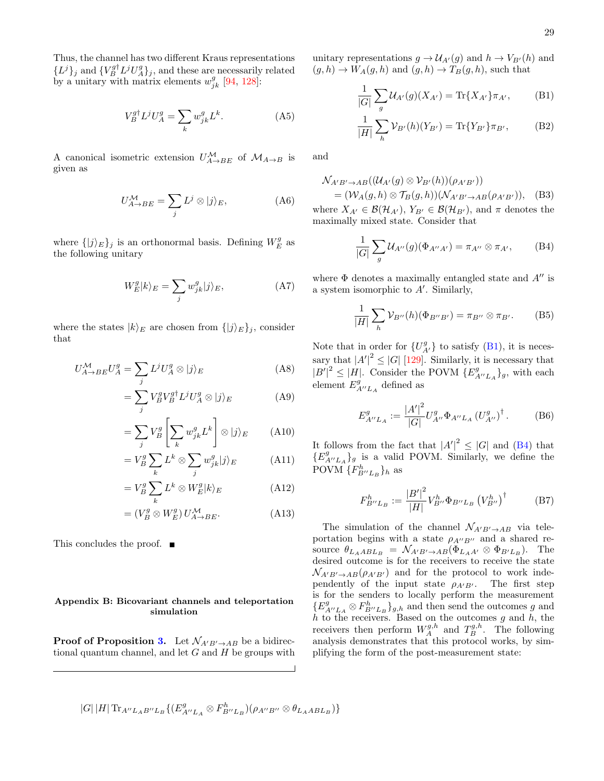Thus, the channel has two different Kraus representations  $\{L^{j}\}_j$  and  $\{V^{\mathfrak{gl}}_B L^{j} U^{\mathfrak{gl}}_A\}_j$ , and these are necessarily related by a unitary with matrix elements  $w_{jk}^{g}$  [\[94,](#page-33-31) [128\]](#page-34-23):

$$
V_B^{g\dagger} L^j U_A^g = \sum_k w_{jk}^g L^k. \tag{A5}
$$

A canonical isometric extension  $U^{\mathcal{M}}_{A\to BE}$  of  $\mathcal{M}_{A\to B}$  is given as

$$
U_{A\to BE}^{\mathcal{M}} = \sum_{j} L^{j} \otimes |j\rangle_{E}, \tag{A6}
$$

where  $\{|j\rangle_E\}_j$  is an orthonormal basis. Defining  $W_E^g$  as the following unitary

$$
W_E^g|k\rangle_E = \sum_j w_{jk}^g|j\rangle_E,\tag{A7}
$$

where the states  $|k\rangle_E$  are chosen from  $\{|j\rangle_E\}_j$ , consider that

$$
U_{A\to BE}^{\mathcal{M}}U_A^g = \sum_j L^j U_A^g \otimes |j\rangle_E \tag{A8}
$$

$$
= \sum_{j} V_{B}^{g} V_{B}^{g\dagger} L^{j} U_{A}^{g} \otimes |j\rangle_{E}
$$
 (A9)

$$
= \sum_{j} V_{B}^{g} \left[ \sum_{k} w_{jk}^{g} L^{k} \right] \otimes |j\rangle_{E} \qquad (A10)
$$

$$
= V_B^g \sum_k L^k \otimes \sum_j w_{jk}^g |j\rangle_E \tag{A11}
$$

$$
= V_B^g \sum_k L^k \otimes W_E^g |k\rangle_E \tag{A12}
$$

$$
= (V_B^g \otimes W_E^g) U_{A \to BE}^{\mathcal{M}}.
$$
 (A13)

This concludes the proof. ■

## <span id="page-29-0"></span>Appendix B: Bicovariant channels and teleportation simulation

**Proof of Proposition [3.](#page-18-3)** Let  $\mathcal{N}_{A'B'\to AB}$  be a bidirectional quantum channel, and let  $G$  and  $H$  be groups with unitary representations  $g \to \mathcal{U}_{A'}(g)$  and  $h \to V_{B'}(h)$  and  $(g, h) \to W_A(g, h)$  and  $(g, h) \to T_B(g, h)$ , such that

<span id="page-29-1"></span>
$$
\frac{1}{|G|} \sum_{g} \mathcal{U}_{A'}(g)(X_{A'}) = \text{Tr}\{X_{A'}\}\pi_{A'},\tag{B1}
$$

$$
\frac{1}{|H|} \sum_{h} \mathcal{V}_{B'}(h)(Y_{B'}) = \text{Tr}\{Y_{B'}\}\pi_{B'},\tag{B2}
$$

and

$$
\mathcal{N}_{A'B'\to AB}((\mathcal{U}_{A'}(g)\otimes \mathcal{V}_{B'}(h))(\rho_{A'B'}) )
$$
  
=  $(\mathcal{W}_A(g,h)\otimes \mathcal{T}_B(g,h))(\mathcal{N}_{A'B'\to AB}(\rho_{A'B'})),$  (B3)

where  $X_{A'} \in \mathcal{B}(\mathcal{H}_{A'})$ ,  $Y_{B'} \in \mathcal{B}(\mathcal{H}_{B'})$ , and  $\pi$  denotes the maximally mixed state. Consider that

<span id="page-29-2"></span>
$$
\frac{1}{|G|}\sum_{g} \mathcal{U}_{A^{\prime\prime}}(g)(\Phi_{A^{\prime\prime}A^{\prime}}) = \pi_{A^{\prime\prime}} \otimes \pi_{A^{\prime}},
$$
 (B4)

where  $\Phi$  denotes a maximally entangled state and  $A''$  is a system isomorphic to  $A'$ . Similarly,

$$
\frac{1}{|H|}\sum_{h} \mathcal{V}_{B^{\prime\prime}}(h)(\Phi_{B^{\prime\prime}B^{\prime}}) = \pi_{B^{\prime\prime}} \otimes \pi_{B^{\prime}}.
$$
 (B5)

Note that in order for  $\{U_{A'}^g\}$  to satisfy [\(B1\)](#page-29-1), it is necessary that  $|A'|^2 \leq |G|$  [\[129\]](#page-34-24). Similarly, it is necessary that  $|B'|^2 \leq |H|$ . Consider the POVM  $\{E_{A''L_A}^g\}_g$ , with each element  $E_{A''L_A}^g$  defined as

$$
E_{A''L_A}^g := \frac{|A'|^2}{|G|} U_{A''}^g \Phi_{A''L_A} (U_{A''}^g)^\dagger. \tag{B6}
$$

It follows from the fact that  $|A'|^2 \leq |G|$  and  $(B4)$  that  ${E^g_{A''L_A}}_g$  is a valid POVM. Similarly, we define the POVM  ${F_{B''L_B}^h}$  as

$$
F_{B''L_B}^h := \frac{|B'|^2}{|H|} V_{B''}^h \Phi_{B''L_B} (V_{B''}^h)^{\dagger}
$$
 (B7)

The simulation of the channel  $\mathcal{N}_{A'B'\to AB}$  via teleportation begins with a state  $\rho_{A''B''}$  and a shared resource  $\theta_{L_{A}ABL_{B}} = \mathcal{N}_{A'B'\rightarrow AB}(\Phi_{L_{A}A'} \otimes \Phi_{B'L_{B}}).$  The desired outcome is for the receivers to receive the state  $\mathcal{N}_{A'B'\rightarrow AB}(\rho_{A'B'})$  and for the protocol to work independently of the input state  $\rho_{A'B'}$ . The first step is for the senders to locally perform the measurement  $\{E_{A''L_A}^g\otimes F_{B''L_B}^h\}_{g,h}$  and then send the outcomes  $g$  and h to the receivers. Based on the outcomes  $g$  and  $h$ , the receivers then perform  $W_A^{g,h}$  and  $T_B^{g,h}$ . The following analysis demonstrates that this protocol works, by simplifying the form of the post-measurement state:

$$
|G|\,|H|\, {\rm Tr}_{A^{\prime\prime}L_A B^{\prime\prime}L_B}\{(E^g_{A^{\prime\prime}L_A}\otimes F^h_{B^{\prime\prime}L_B})(\rho_{A^{\prime\prime}B^{\prime\prime}}\otimes\theta_{L_A A B L_B})\}
$$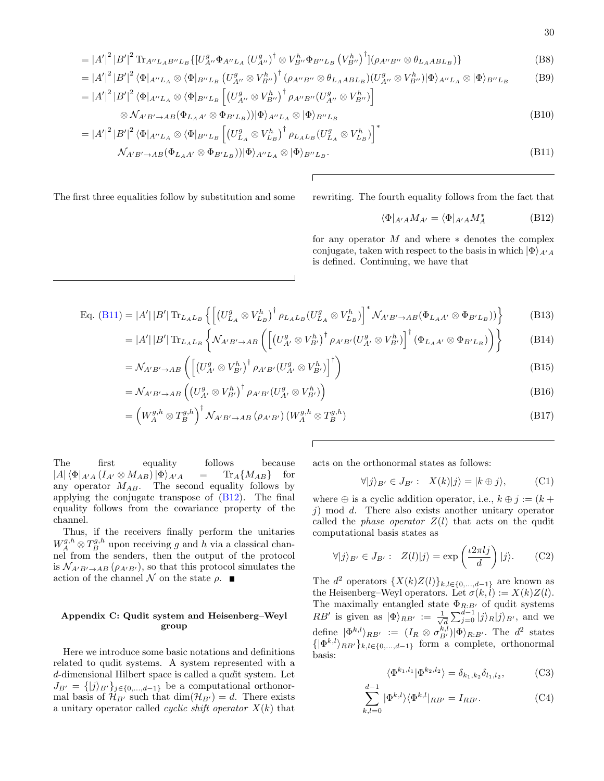<span id="page-30-1"></span>30

$$
= |A'|^2 |B'|^2 \operatorname{Tr}_{A''L_A B''L_B} \{ [U_{A''}^g \Phi_{A''L_A} (U_{A''}^g)^{\dagger} \otimes V_{B''}^h \Phi_{B''L_B} (V_{B''}^h)^{\dagger}](\rho_{A''B''} \otimes \theta_{L_A A B L_B}) \} \tag{B8}
$$

$$
=|A'|^2|B'|^2\langle\Phi|_{A''L_A}\otimes\langle\Phi|_{B''L_B}\left(U_{A''}^g\otimes V_{B''}^h\right)^{\dagger}(\rho_{A''B''}\otimes\theta_{L_AABL_B})(U_{A''}^g\otimes V_{B''}^h)|\Phi\rangle_{A''L_A}\otimes|\Phi\rangle_{B''L_B}
$$
(B9)  

$$
=|A'|^2|B'|^2\langle\Phi|_{A''L_A}\otimes\langle\Phi|_{B''L_B}\left[\left(U_{A''}^g\otimes V_{B''}^h\right)^{\dagger}\rho_{A''B''}\left(U_{A''}^g\otimes V_{B''}^h\right)\right]
$$

$$
= |A'| |B'| \langle \Phi | A'' L_A \otimes \langle \Phi | B'' L_B | (U''_{A''} \otimes V''_{B''}) \rho_{A'' B''} (U''_{A''} \otimes V''_{B''}) \rangle
$$
  

$$
\otimes \mathcal{N}_{A'B' \to AB} (\Phi_{L_A A'} \otimes \Phi_{B' L_B}) | \Phi \rangle_{A'' L_A} \otimes | \Phi \rangle_{B'' L_B}
$$
(B10)

$$
=|A'|^2|B'|^2\langle\Phi|_{A''L_A}\otimes\langle\Phi|_{B''L_B}\left[\left(U_{L_A}^g\otimes V_{L_B}^h\right)^{\dagger}\rho_{L_AL_B}\left(U_{L_A}^g\otimes V_{L_B}^h\right)\right]^*
$$
  

$$
\mathcal{N}_{A'B'\to AB}(\Phi_{L_AA'}\otimes\Phi_{B'L_B}))|\Phi\rangle_{A''L_A}\otimes|\Phi\rangle_{B''L_B}.
$$
 (B11)

The first three equalities follow by substitution and some rewriting. The fourth equality follows from the fact that

<span id="page-30-2"></span>
$$
\langle \Phi |_{A'A} M_{A'} = \langle \Phi |_{A'A} M_A^* \tag{B12}
$$

for any operator  $M$  and where  $*$  denotes the complex conjugate, taken with respect to the basis in which  $|\Phi\rangle_{A/A}$ is defined. Continuing, we have that

$$
\text{Eq. (B11)} = |A'||B'|\text{Tr}_{L_A L_B}\left\{ \left[ \left(U_{L_A}^g \otimes V_{L_B}^h \right)^\dagger \rho_{L_A L_B} \left(U_{L_A}^g \otimes V_{L_B}^h \right) \right]^* \mathcal{N}_{A'B' \to AB}(\Phi_{L_A A'} \otimes \Phi_{B'L_B}) \right) \right\}
$$
(B13)

$$
=|A'||B'|\operatorname{Tr}_{L_A L_B}\left\{\mathcal{N}_{A'B'\to AB}\left(\left[\left(U^g_{A'}\otimes V^h_{B'}\right)^{\dagger}\rho_{A'B'}(U^g_{A'}\otimes V^h_{B'})\right]^{\dagger}\left(\Phi_{L_A A'}\otimes\Phi_{B'L_B}\right)\right)\right\}\tag{B14}
$$

$$
= \mathcal{N}_{A'B'\to AB} \left( \left[ \left( U_{A'}^g \otimes V_{B'}^h \right)^{\dagger} \rho_{A'B'} \left( U_{A'}^g \otimes V_{B'}^h \right)^{\dagger} \right) \right) \tag{B15}
$$

$$
= \mathcal{N}_{A'B'\to AB} \left( \left( U_{A'}^g \otimes V_{B'}^h \right)^{\dagger} \rho_{A'B'} \left( U_{A'}^g \otimes V_{B'}^h \right) \right) \tag{B16}
$$

$$
= \left(W_A^{g,h} \otimes T_B^{g,h}\right)^{\dagger} \mathcal{N}_{A'B' \to AB} \left(\rho_{A'B'}\right) \left(W_A^{g,h} \otimes T_B^{g,h}\right) \tag{B17}
$$

The first equality follows because  $|A|\langle \Phi|_{A'A} (I_{A'} \otimes M_{AB})|\Phi\rangle_{A'A}$  = Tr<sub>A</sub>{ $M_{AB}$ } for any operator  $M_{AB}$ . The second equality follows by applying the conjugate transpose of [\(B12\)](#page-30-2). The final equality follows from the covariance property of the channel.

Thus, if the receivers finally perform the unitaries  $W_A^{g,h} \otimes T_B^{g,h}$  upon receiving g and h via a classical channel from the senders, then the output of the protocol is  $\mathcal{N}_{A'B'\rightarrow AB}(\rho_{A'B'})$ , so that this protocol simulates the action of the channel N on the state  $\rho$ .

## <span id="page-30-0"></span>Appendix C: Qudit system and Heisenberg–Weyl group

Here we introduce some basic notations and definitions related to qudit systems. A system represented with a d-dimensional Hilbert space is called a qudit system. Let  $J_{B'} = \{ |j\rangle_{B'}\}_{j\in\{0,\ldots,d-1\}}$  be a computational orthonormal basis of  $\mathcal{H}_{B'}$  such that  $\dim(\mathcal{H}_{B'}) = d$ . There exists a unitary operator called *cyclic shift operator*  $X(k)$  that acts on the orthonormal states as follows:

$$
\forall |j\rangle_{B'} \in J_{B'}: \quad X(k)|j\rangle = |k \oplus j\rangle, \tag{C1}
$$

where  $\oplus$  is a cyclic addition operator, i.e.,  $k \oplus j := (k +$  $j$ ) mod  $d$ . There also exists another unitary operator called the *phase operator*  $Z(l)$  that acts on the qudit computational basis states as

$$
\forall |j\rangle_{B'} \in J_{B'}: \quad Z(l)|j\rangle = \exp\left(\frac{\iota 2\pi l j}{d}\right)|j\rangle. \tag{C2}
$$

The  $d^2$  operators  $\{X(k)Z(l)\}_{k,l\in\{0,\ldots,d-1\}}$  are known as the Heisenberg–Weyl operators. Let  $\sigma(k, l) := X(k)Z(l)$ . The maximally entangled state  $\Phi_{R:B'}$  of qudit systems  $RB'$  is given as  $|\Phi\rangle_{RB'} := \frac{1}{\sqrt{2}}$  $\frac{1}{\overline{d}}\sum_{j=0}^{d-1}|j\rangle_R|j\rangle_{B'}$ , and we define  $|\Phi^{k,l}\rangle_{RB'} := (I_{R} \otimes \sigma_{B'}^{k,l})|\Phi\rangle_{R:B'}.$  The  $d^2$  states  $\{|\Phi^{k,l}\rangle_{RB'}\}_{k,l\in\{0,\ldots,d-1\}}$  form a complete, orthonormal basis:

$$
\langle \Phi^{k_1, l_1} | \Phi^{k_2, l_2} \rangle = \delta_{k_1, k_2} \delta_{l_1, l_2}, \quad (C3)
$$

$$
\sum_{k,l=0}^{d-1} |\Phi^{k,l}\rangle \langle \Phi^{k,l}|_{RB'} = I_{RB'}.
$$
 (C4)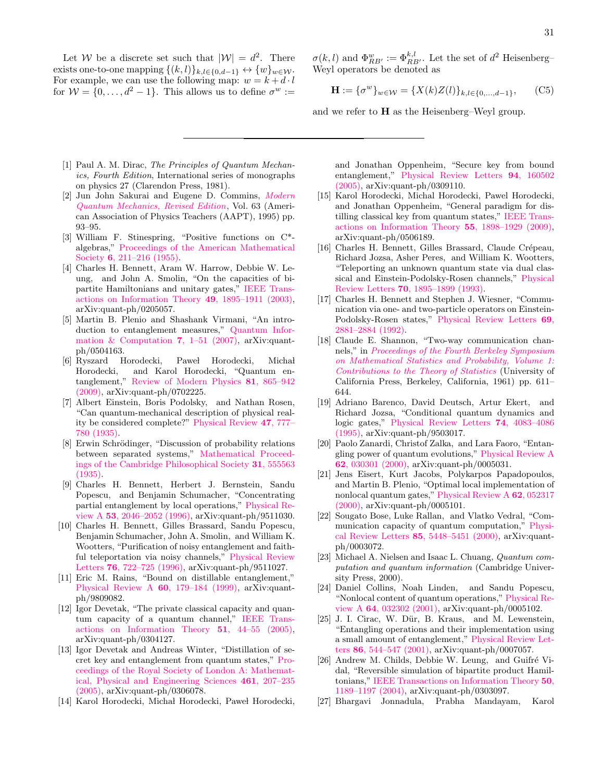Let W be a discrete set such that  $|\mathcal{W}| = d^2$ . There exists one-to-one mapping  $\{(k, l)\}_{k,l\in\{0,d-1\}} \leftrightarrow \{w\}_{w\in\mathcal{W}}$ . For example, we can use the following map:  $w = k + d \cdot l$ for  $W = \{0, ..., d^2 - 1\}$ . This allows us to define  $\sigma^w :=$ 

 $\sigma(k, l)$  and  $\Phi_{RB'}^w := \Phi_{RB'}^{k, l}$ . Let the set of  $d^2$  Heisenberg– Weyl operators be denoted as

<span id="page-31-22"></span>
$$
\mathbf{H} := \{\sigma^w\}_{w \in \mathcal{W}} = \{X(k)Z(l)\}_{k,l \in \{0,\dots,d-1\}},\tag{C5}
$$

<span id="page-31-0"></span>and we refer to  $H$  as the Heisenberg–Weyl group.

- <span id="page-31-1"></span>[1] Paul A. M. Dirac, The Principles of Quantum Mechanics, Fourth Edition, International series of monographs on physics 27 (Clarendon Press, 1981).
- <span id="page-31-2"></span>[2] Jun John Sakurai and Eugene D. Commins, [Modern](http://dx.doi.org/10.1119/1.17781) [Quantum Mechanics, Revised Edition](http://dx.doi.org/10.1119/1.17781), Vol. 63 (American Association of Physics Teachers (AAPT), 1995) pp. 93–95.
- <span id="page-31-3"></span>[3] William F. Stinespring, "Positive functions on C\* algebras," [Proceedings of the American Mathematical](http://dx.doi.org/10.2307/2032342) Society 6[, 211–216 \(1955\).](http://dx.doi.org/10.2307/2032342)
- <span id="page-31-4"></span>[4] Charles H. Bennett, Aram W. Harrow, Debbie W. Leung, and John A. Smolin, "On the capacities of bipartite Hamiltonians and unitary gates," [IEEE Trans](http://dx.doi.org/10.1109/TIT.2003.814935)[actions on Information Theory](http://dx.doi.org/10.1109/TIT.2003.814935) 49, 1895–1911 (2003), arXiv:quant-ph/0205057.
- <span id="page-31-5"></span>[5] Martin B. Plenio and Shashank Virmani, "An introduction to entanglement measures," [Quantum Infor](http://dl.acm.org/citation.cfm?id=2011706.2011707)[mation & Computation](http://dl.acm.org/citation.cfm?id=2011706.2011707) 7, 1–51 (2007), arXiv:quantph/0504163.
- <span id="page-31-6"></span>[6] Ryszard Horodecki, Paweł Horodecki, Michał Horodecki, and Karol Horodecki, "Quantum entanglement," [Review of Modern Physics](http://dx.doi.org/10.1103/RevModPhys.81.865) 81, 865–942 [\(2009\),](http://dx.doi.org/10.1103/RevModPhys.81.865) arXiv:quant-ph/0702225.
- <span id="page-31-7"></span>[7] Albert Einstein, Boris Podolsky, and Nathan Rosen, "Can quantum-mechanical description of physical reality be considered complete?" [Physical Review](http://dx.doi.org/10.1103/PhysRev.47.777) 47, 777– [780 \(1935\).](http://dx.doi.org/10.1103/PhysRev.47.777)
- <span id="page-31-8"></span>[8] Erwin Schrödinger, "Discussion of probability relations between separated systems," [Mathematical Proceed](http://dx.doi.org/10.1017/S0305004100013554)[ings of the Cambridge Philosophical Society](http://dx.doi.org/10.1017/S0305004100013554) 31, 555563 [\(1935\).](http://dx.doi.org/10.1017/S0305004100013554)
- <span id="page-31-9"></span>[9] Charles H. Bennett, Herbert J. Bernstein, Sandu Popescu, and Benjamin Schumacher, "Concentrating partial entanglement by local operations," [Physical Re](http://dx.doi.org/ 10.1103/PhysRevA.53.2046)view A 53[, 2046–2052 \(1996\),](http://dx.doi.org/ 10.1103/PhysRevA.53.2046) arXiv:quant-ph/9511030.
- [10] Charles H. Bennett, Gilles Brassard, Sandu Popescu, Benjamin Schumacher, John A. Smolin, and William K. Wootters, "Purification of noisy entanglement and faithful teleportation via noisy channels," [Physical Review](http://dx.doi.org/10.1103/PhysRevLett.78.2031) Letters 76[, 722–725 \(1996\),](http://dx.doi.org/10.1103/PhysRevLett.78.2031) arXiv:quant-ph/9511027.
- <span id="page-31-10"></span>[11] Eric M. Rains, "Bound on distillable entanglement," [Physical Review A](http://dx.doi.org/10.1103/PhysRevA.60.179)  $60$ , 179–184 (1999), arXiv:quantph/9809082.
- <span id="page-31-11"></span>[12] Igor Devetak, "The private classical capacity and quantum capacity of a quantum channel," [IEEE Trans](http://dx.doi.org/10.1109/TIT.2004.839515)[actions on Information Theory](http://dx.doi.org/10.1109/TIT.2004.839515) 51, 44–55 (2005), arXiv:quant-ph/0304127.
- <span id="page-31-21"></span>[13] Igor Devetak and Andreas Winter, "Distillation of secret key and entanglement from quantum states," [Pro](http://dx.doi.org/ 10.1098/rspa.2004.1372)[ceedings of the Royal Society of London A: Mathemat](http://dx.doi.org/ 10.1098/rspa.2004.1372)[ical, Physical and Engineering Sciences](http://dx.doi.org/ 10.1098/rspa.2004.1372) 461, 207–235 [\(2005\),](http://dx.doi.org/ 10.1098/rspa.2004.1372) arXiv:quant-ph/0306078.
- <span id="page-31-19"></span>[14] Karol Horodecki, Michał Horodecki, Paweł Horodecki,

and Jonathan Oppenheim, "Secure key from bound entanglement," [Physical Review Letters](http://dx.doi.org/ 10.1103/PhysRevLett.94.160502) 94, 160502 [\(2005\),](http://dx.doi.org/ 10.1103/PhysRevLett.94.160502) arXiv:quant-ph/0309110.

- <span id="page-31-12"></span>[15] Karol Horodecki, Michal Horodecki, Pawel Horodecki, and Jonathan Oppenheim, "General paradigm for distilling classical key from quantum states," [IEEE Trans](http://dx.doi.org/10.1109/TIT.2008.2009798)[actions on Information Theory](http://dx.doi.org/10.1109/TIT.2008.2009798) 55, 1898–1929 (2009), arXiv:quant-ph/0506189.
- <span id="page-31-13"></span>[16] Charles H. Bennett, Gilles Brassard, Claude Crépeau, Richard Jozsa, Asher Peres, and William K. Wootters, "Teleporting an unknown quantum state via dual classical and Einstein-Podolsky-Rosen channels," [Physical](http://dx.doi.org/10.1103/PhysRevLett.70.1895) Review Letters 70[, 1895–1899 \(1993\).](http://dx.doi.org/10.1103/PhysRevLett.70.1895)
- <span id="page-31-14"></span>[17] Charles H. Bennett and Stephen J. Wiesner, "Communication via one- and two-particle operators on Einstein-Podolsky-Rosen states," [Physical Review Letters](http://dx.doi.org/ 10.1103/PhysRevLett.69.2881) 69, [2881–2884 \(1992\).](http://dx.doi.org/ 10.1103/PhysRevLett.69.2881)
- <span id="page-31-15"></span>[18] Claude E. Shannon, "Two-way communication channels," in [Proceedings of the Fourth Berkeley Symposium](https://projecteuclid.org/euclid.bsmsp/1200512185) [on Mathematical Statistics and Probability, Volume 1:](https://projecteuclid.org/euclid.bsmsp/1200512185) [Contributions to the Theory of Statistics](https://projecteuclid.org/euclid.bsmsp/1200512185) (University of California Press, Berkeley, California, 1961) pp. 611– 644.
- <span id="page-31-16"></span>[19] Adriano Barenco, David Deutsch, Artur Ekert, and Richard Jozsa, "Conditional quantum dynamics and logic gates," [Physical Review Letters](http://dx.doi.org/10.1103/physrevlett.74.4083) 74, 4083–4086 [\(1995\),](http://dx.doi.org/10.1103/physrevlett.74.4083) arXiv:quant-ph/9503017.
- <span id="page-31-17"></span>[20] Paolo Zanardi, Christof Zalka, and Lara Faoro, "Entangling power of quantum evolutions," [Physical Review A](http://dx.doi.org/10.1103/PhysRevA.62.030301) 62[, 030301 \(2000\),](http://dx.doi.org/10.1103/PhysRevA.62.030301) arXiv:quant-ph/0005031.
- [21] Jens Eisert, Kurt Jacobs, Polykarpos Papadopoulos, and Martin B. Plenio, "Optimal local implementation of nonlocal quantum gates," [Physical Review A](http://dx.doi.org/10.1103/PhysRevA.62.052317) 62, 052317 [\(2000\),](http://dx.doi.org/10.1103/PhysRevA.62.052317) arXiv:quant-ph/0005101.
- <span id="page-31-18"></span>[22] Sougato Bose, Luke Rallan, and Vlatko Vedral, "Communication capacity of quantum computation," [Physi](http://dx.doi.org/10.1103/physrevlett.85.5448)cal Review Letters 85[, 5448–5451 \(2000\),](http://dx.doi.org/10.1103/physrevlett.85.5448) arXiv:quantph/0003072.
- [23] Michael A. Nielsen and Isaac L. Chuang, *Quantum com*putation and quantum information (Cambridge University Press, 2000).
- [24] Daniel Collins, Noah Linden, and Sandu Popescu, "Nonlocal content of quantum operations," [Physical Re](http://dx.doi.org/10.1103/PhysRevA.64.032302)view A 64[, 032302 \(2001\),](http://dx.doi.org/10.1103/PhysRevA.64.032302) arXiv:quant-ph/0005102.
- <span id="page-31-20"></span>[25] J. I. Cirac, W. Dür, B. Kraus, and M. Lewenstein, "Entangling operations and their implementation using a small amount of entanglement," [Physical Review Let](http://dx.doi.org/ 10.1103/PhysRevLett.86.544)ters 86[, 544–547 \(2001\),](http://dx.doi.org/ 10.1103/PhysRevLett.86.544) arXiv:quant-ph/0007057.
- [26] Andrew M. Childs, Debbie W. Leung, and Guifré Vidal, "Reversible simulation of bipartite product Hamiltonians," [IEEE Transactions on Information Theory](http://dx.doi.org/10.1109/tit.2004.828069) 50, [1189–1197 \(2004\),](http://dx.doi.org/10.1109/tit.2004.828069) arXiv:quant-ph/0303097.
- [27] Bhargavi Jonnadula, Prabha Mandayam, Karol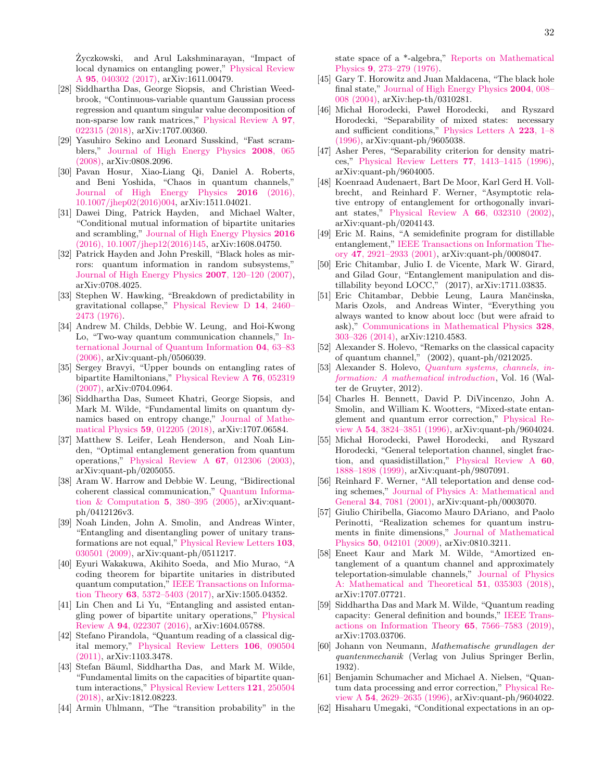Zyczkowski, and Arul Lakshminarayan, "Impact of local dynamics on entangling power," [Physical Review](http://dx.doi.org/10.1103/PhysRevA.95.040302) A 95[, 040302 \(2017\),](http://dx.doi.org/10.1103/PhysRevA.95.040302) arXiv:1611.00479.

- <span id="page-32-0"></span>[28] Siddhartha Das, George Siopsis, and Christian Weedbrook, "Continuous-variable quantum Gaussian process regression and quantum singular value decomposition of non-sparse low rank matrices," [Physical Review A](http://dx.doi.org/10.1103/PhysRevA.97.022315) 97, [022315 \(2018\),](http://dx.doi.org/10.1103/PhysRevA.97.022315) arXiv:1707.00360.
- <span id="page-32-1"></span>[29] Yasuhiro Sekino and Leonard Susskind, "Fast scramblers," [Journal of High Energy Physics](http://dx.doi.org/10.1088/1126-6708/2008/10/065) 2008, 065 [\(2008\),](http://dx.doi.org/10.1088/1126-6708/2008/10/065) arXiv:0808.2096.
- [30] Pavan Hosur, Xiao-Liang Qi, Daniel A. Roberts, and Beni Yoshida, "Chaos in quantum channels," [Journal of High Energy Physics](http://dx.doi.org/10.1007/jhep02(2016)004) 2016 (2016), [10.1007/jhep02\(2016\)004,](http://dx.doi.org/10.1007/jhep02(2016)004) arXiv:1511.04021.
- <span id="page-32-2"></span>[31] Dawei Ding, Patrick Hayden, and Michael Walter, "Conditional mutual information of bipartite unitaries and scrambling," [Journal of High Energy Physics](http://dx.doi.org/ 10.1007/jhep12(2016)145) 2016 [\(2016\), 10.1007/jhep12\(2016\)145,](http://dx.doi.org/ 10.1007/jhep12(2016)145) arXiv:1608.04750.
- <span id="page-32-3"></span>[32] Patrick Hayden and John Preskill, "Black holes as mirrors: quantum information in random subsystems," [Journal of High Energy Physics](http://dx.doi.org/ 10.1088/1126-6708/2007/09/120) 2007, 120–120 (2007), arXiv:0708.4025.
- <span id="page-32-4"></span>[33] Stephen W. Hawking, "Breakdown of predictability in gravitational collapse," [Physical Review D](http://dx.doi.org/ 10.1103/PhysRevD.14.2460) 14, 2460– [2473 \(1976\).](http://dx.doi.org/ 10.1103/PhysRevD.14.2460)
- <span id="page-32-5"></span>[34] Andrew M. Childs, Debbie W. Leung, and Hoi-Kwong Lo, "Two-way quantum communication channels," [In](http://dx.doi.org/ 10.1142/s0219749906001621)[ternational Journal of Quantum Information](http://dx.doi.org/ 10.1142/s0219749906001621) 04, 63–83 [\(2006\),](http://dx.doi.org/ 10.1142/s0219749906001621) arXiv:quant-ph/0506039.
- <span id="page-32-6"></span>[35] Sergey Bravyi, "Upper bounds on entangling rates of bipartite Hamiltonians," [Physical Review A](http://dx.doi.org/ 10.1103/PhysRevA.76.052319) 76, 052319 [\(2007\),](http://dx.doi.org/ 10.1103/PhysRevA.76.052319) arXiv:0704.0964.
- <span id="page-32-7"></span>[36] Siddhartha Das, Sumeet Khatri, George Siopsis, and Mark M. Wilde, "Fundamental limits on quantum dynamics based on entropy change," [Journal of Mathe](http://dx.doi.org/ 10.1063/1.4997044)matical Physics 59[, 012205 \(2018\),](http://dx.doi.org/ 10.1063/1.4997044) arXiv:1707.06584.
- <span id="page-32-8"></span>[37] Matthew S. Leifer, Leah Henderson, and Noah Linden, "Optimal entanglement generation from quantum operations," [Physical Review A](http://dx.doi.org/ 10.1103/physreva.67.012306) 67, 012306 (2003), arXiv:quant-ph/0205055.
- [38] Aram W. Harrow and Debbie W. Leung, "Bidirectional coherent classical communication," [Quantum Informa](http://dl.acm.org/citation.cfm?id=2011645.2011653)[tion & Computation](http://dl.acm.org/citation.cfm?id=2011645.2011653) 5, 380–395 (2005), arXiv:quantph/0412126v3.
- [39] Noah Linden, John A. Smolin, and Andreas Winter, "Entangling and disentangling power of unitary transformations are not equal," [Physical Review Letters](http://dx.doi.org/10.1103/PhysRevLett.103.030501) 103, [030501 \(2009\),](http://dx.doi.org/10.1103/PhysRevLett.103.030501) arXiv:quant-ph/0511217.
- [40] Eyuri Wakakuwa, Akihito Soeda, and Mio Murao, "A coding theorem for bipartite unitaries in distributed quantum computation," [IEEE Transactions on Informa](http://dx.doi.org/10.1109/tit.2017.2709754)tion Theory 63[, 5372–5403 \(2017\),](http://dx.doi.org/10.1109/tit.2017.2709754) arXiv:1505.04352.
- <span id="page-32-9"></span>[41] Lin Chen and Li Yu, "Entangling and assisted entangling power of bipartite unitary operations," [Physical](http://dx.doi.org/ 10.1103/PhysRevA.94.022307) Review A 94[, 022307 \(2016\),](http://dx.doi.org/ 10.1103/PhysRevA.94.022307) arXiv:1604.05788.
- <span id="page-32-10"></span>[42] Stefano Pirandola, "Quantum reading of a classical digital memory," [Physical Review Letters](http://dx.doi.org/ 10.1103/PhysRevLett.106.090504) 106, 090504 [\(2011\),](http://dx.doi.org/ 10.1103/PhysRevLett.106.090504) arXiv:1103.3478.
- <span id="page-32-11"></span>[43] Stefan Bäuml, Siddhartha Das, and Mark M. Wilde, "Fundamental limits on the capacities of bipartite quantum interactions," [Physical Review Letters](http://dx.doi.org/10.1103/PhysRevLett.121.250504) 121, 250504 [\(2018\),](http://dx.doi.org/10.1103/PhysRevLett.121.250504) arXiv:1812.08223.
- <span id="page-32-12"></span>[44] Armin Uhlmann, "The "transition probability" in the

state space of a \*-algebra," [Reports on Mathematical](http://dx.doi.org/10.1016/0034-4877(76)90060-4) Physics 9[, 273–279 \(1976\).](http://dx.doi.org/10.1016/0034-4877(76)90060-4)

- <span id="page-32-13"></span>[45] Gary T. Horowitz and Juan Maldacena, "The black hole final state," [Journal of High Energy Physics](http://dx.doi.org/10.1088/1126-6708/2004/02/008) 2004, 008– [008 \(2004\),](http://dx.doi.org/10.1088/1126-6708/2004/02/008) arXiv:hep-th/0310281.
- <span id="page-32-14"></span>[46] Michał Horodecki, Paweł Horodecki, and Ryszard Horodecki, "Separability of mixed states: necessary and sufficient conditions," [Physics Letters A](http://dx.doi.org/10.1016/s0375-9601(96)00706-2) 223, 1–8 [\(1996\),](http://dx.doi.org/10.1016/s0375-9601(96)00706-2) arXiv:quant-ph/9605038.
- <span id="page-32-15"></span>[47] Asher Peres, "Separability criterion for density matrices," [Physical Review Letters](http://dx.doi.org/ 10.1103/PhysRevLett.77.1413) 77, 1413–1415 (1996), arXiv:quant-ph/9604005.
- <span id="page-32-16"></span>[48] Koenraad Audenaert, Bart De Moor, Karl Gerd H. Vollbrecht, and Reinhard F. Werner, "Asymptotic relative entropy of entanglement for orthogonally invariant states," [Physical Review A](http://dx.doi.org/ 10.1103/PhysRevA.66.032310) 66, 032310 (2002), arXiv:quant-ph/0204143.
- <span id="page-32-17"></span>[49] Eric M. Rains, "A semidefinite program for distillable entanglement," [IEEE Transactions on Information The](http://dx.doi.org/10.1109/18.959270)ory 47[, 2921–2933 \(2001\),](http://dx.doi.org/10.1109/18.959270) arXiv:quant-ph/0008047.
- <span id="page-32-18"></span>[50] Eric Chitambar, Julio I. de Vicente, Mark W. Girard, and Gilad Gour, "Entanglement manipulation and distillability beyond LOCC," (2017), arXiv:1711.03835.
- <span id="page-32-19"></span>[51] Eric Chitambar, Debbie Leung, Laura Mančinska, Maris Ozols, and Andreas Winter, "Everything you always wanted to know about locc (but were afraid to ask)," [Communications in Mathematical Physics](http://dx.doi.org/10.1007/s00220-014-1953-9) 328, [303–326 \(2014\),](http://dx.doi.org/10.1007/s00220-014-1953-9) arXiv:1210.4583.
- <span id="page-32-20"></span>[52] Alexander S. Holevo, "Remarks on the classical capacity of quantum channel," (2002), quant-ph/0212025.
- <span id="page-32-21"></span>[53] Alexander S. Holevo, [Quantum systems, channels, in](https://www.degruyter.com/view/product/180320)[formation: A mathematical introduction](https://www.degruyter.com/view/product/180320), Vol. 16 (Walter de Gruyter, 2012).
- <span id="page-32-22"></span>[54] Charles H. Bennett, David P. DiVincenzo, John A. Smolin, and William K. Wootters, "Mixed-state entanglement and quantum error correction," [Physical Re](http://dx.doi.org/ 10.1103/PhysRevA.54.3824)view A 54[, 3824–3851 \(1996\),](http://dx.doi.org/ 10.1103/PhysRevA.54.3824) arXiv:quant-ph/9604024.
- <span id="page-32-23"></span>[55] Michał Horodecki, Paweł Horodecki, and Ryszard Horodecki, "General teleportation channel, singlet fraction, and quasidistillation," [Physical Review A](http://dx.doi.org/10.1103/PhysRevA.60.1888) 60, [1888–1898 \(1999\),](http://dx.doi.org/10.1103/PhysRevA.60.1888) arXiv:quant-ph/9807091.
- <span id="page-32-24"></span>[56] Reinhard F. Werner, "All teleportation and dense coding schemes," [Journal of Physics A: Mathematical and](http://dx.doi.org/ 10.1088/0305-4470/34/35/332) General 34[, 7081 \(2001\),](http://dx.doi.org/ 10.1088/0305-4470/34/35/332) arXiv:quant-ph/0003070.
- <span id="page-32-25"></span>[57] Giulio Chiribella, Giacomo Mauro DAriano, and Paolo Perinotti, "Realization schemes for quantum instruments in finite dimensions," [Journal of Mathematical](http://dx.doi.org/ 10.1063/1.3105923) Physics 50[, 042101 \(2009\),](http://dx.doi.org/ 10.1063/1.3105923) arXiv:0810.3211.
- <span id="page-32-26"></span>[58] Eneet Kaur and Mark M. Wilde, "Amortized entanglement of a quantum channel and approximately teleportation-simulable channels," [Journal of Physics](http://iopscience.iop.org/10.1088/1751-8121/aa9da7) [A: Mathematical and Theoretical](http://iopscience.iop.org/10.1088/1751-8121/aa9da7) 51, 035303 (2018), arXiv:1707.07721.
- <span id="page-32-27"></span>[59] Siddhartha Das and Mark M. Wilde, "Quantum reading capacity: General definition and bounds," [IEEE Trans](http://dx.doi.org/ 10.1109/TIT.2019.2929925)[actions on Information Theory](http://dx.doi.org/ 10.1109/TIT.2019.2929925) 65, 7566–7583 (2019), arXiv:1703.03706.
- <span id="page-32-28"></span>[60] Johann von Neumann, Mathematische grundlagen der quantenmechanik (Verlag von Julius Springer Berlin, 1932).
- <span id="page-32-29"></span>[61] Benjamin Schumacher and Michael A. Nielsen, "Quantum data processing and error correction," [Physical Re](http://dx.doi.org/10.1103/PhysRevA.54.2629)view A 54[, 2629–2635 \(1996\),](http://dx.doi.org/10.1103/PhysRevA.54.2629) arXiv:quant-ph/9604022.
- <span id="page-32-30"></span>[62] Hisaharu Umegaki, "Conditional expectations in an op-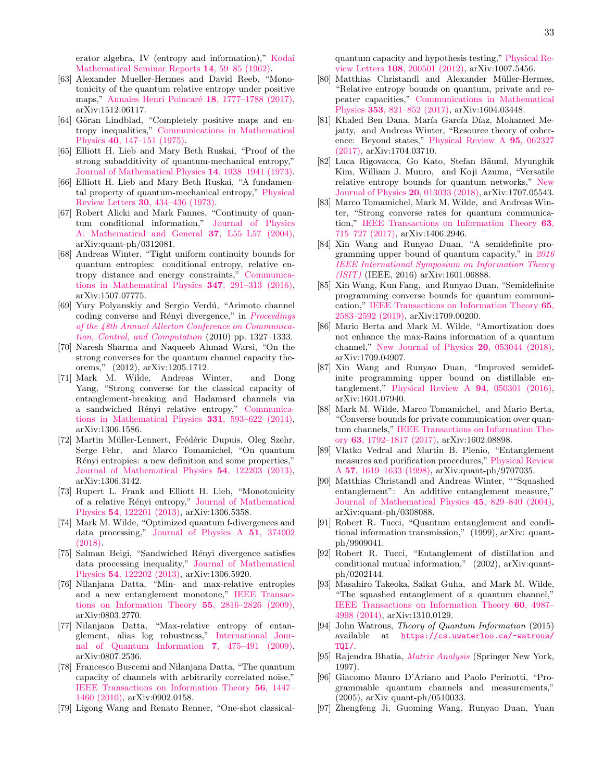erator algebra, IV (entropy and information)," [Kodai](http://dx.doi.org/10.2996/kmj/1138844604) [Mathematical Seminar Reports](http://dx.doi.org/10.2996/kmj/1138844604) 14, 59–85 (1962).

- <span id="page-33-0"></span>[63] Alexander Mueller-Hermes and David Reeb, "Monotonicity of the quantum relative entropy under positive maps," Annales Henri Poincaré 18, 1777–1788 (2017), arXiv:1512.06117.
- <span id="page-33-1"></span>[64] Göran Lindblad, "Completely positive maps and entropy inequalities," [Communications in Mathematical](http://dx.doi.org/ 10.1007/BF01609396) Physics 40[, 147–151 \(1975\).](http://dx.doi.org/ 10.1007/BF01609396)
- <span id="page-33-2"></span>[65] Elliott H. Lieb and Mary Beth Ruskai, "Proof of the strong subadditivity of quantum-mechanical entropy," [Journal of Mathematical Physics](http://dx.doi.org/10.1063/1.1666274) 14, 1938–1941 (1973).
- <span id="page-33-3"></span>[66] Elliott H. Lieb and Mary Beth Ruskai, "A fundamental property of quantum-mechanical entropy," [Physical](http://dx.doi.org/ 10.1103/PhysRevLett.30.434) Review Letters 30[, 434–436 \(1973\).](http://dx.doi.org/ 10.1103/PhysRevLett.30.434)
- <span id="page-33-4"></span>[67] Robert Alicki and Mark Fannes, "Continuity of quantum conditional information," [Journal of Physics](http://dx.doi.org/ 10.1088/0305-4470/37/5/L01) [A: Mathematical and General](http://dx.doi.org/ 10.1088/0305-4470/37/5/L01)  $37$ , L55-L57 (2004), arXiv:quant-ph/0312081.
- <span id="page-33-5"></span>[68] Andreas Winter, "Tight uniform continuity bounds for quantum entropies: conditional entropy, relative entropy distance and energy constraints," [Communica](http://dx.doi.org/ 10.1007/s00220-016-2609-8)[tions in Mathematical Physics](http://dx.doi.org/ 10.1007/s00220-016-2609-8) 347, 291–313 (2016), arXiv:1507.07775.
- <span id="page-33-6"></span>[69] Yury Polyanskiy and Sergio Verdú, "Arimoto channel coding converse and Rényi divergence," in [Proceedings](http://dx.doi.org/ 10.1109/ALLERTON.2010.5707067) [of the 48th Annual Allerton Conference on Communica](http://dx.doi.org/ 10.1109/ALLERTON.2010.5707067)[tion, Control, and Computation](http://dx.doi.org/ 10.1109/ALLERTON.2010.5707067) (2010) pp. 1327–1333.
- <span id="page-33-7"></span>[70] Naresh Sharma and Naqueeb Ahmad Warsi, "On the strong converses for the quantum channel capacity theorems," (2012), arXiv:1205.1712.
- <span id="page-33-8"></span>[71] Mark M. Wilde, Andreas Winter, and Dong Yang, "Strong converse for the classical capacity of entanglement-breaking and Hadamard channels via a sandwiched Rényi relative entropy," [Communica](http://dx.doi.org/ 10.1007/s00220-014-2122-x)[tions in Mathematical Physics](http://dx.doi.org/ 10.1007/s00220-014-2122-x) 331, 593–622 (2014), arXiv:1306.1586.
- <span id="page-33-9"></span>[72] Martin Müller-Lennert, Frédéric Dupuis, Oleg Szehr, Serge Fehr, and Marco Tomamichel, "On quantum Rényi entropies: a new definition and some properties," [Journal of Mathematical Physics](http://dx.doi.org/ 10.1063/1.4838856) 54, 122203 (2013), arXiv:1306.3142.
- <span id="page-33-10"></span>[73] Rupert L. Frank and Elliott H. Lieb, "Monotonicity of a relative R´enyi entropy," [Journal of Mathematical](http://dx.doi.org/ 10.1063/1.4838835) Physics 54[, 122201 \(2013\),](http://dx.doi.org/ 10.1063/1.4838835) arXiv:1306.5358.
- <span id="page-33-11"></span>[74] Mark M. Wilde, "Optimized quantum f-divergences and data processing," [Journal of Physics A](http://dx.doi.org/ 10.1088/1751-8121/aad5a1) 51, 374002 [\(2018\).](http://dx.doi.org/ 10.1088/1751-8121/aad5a1)
- <span id="page-33-12"></span>[75] Salman Beigi, "Sandwiched Rényi divergence satisfies data processing inequality," [Journal of Mathematical](http://dx.doi.org/10.1063/1.4838855) Physics 54[, 122202 \(2013\),](http://dx.doi.org/10.1063/1.4838855) arXiv:1306.5920.
- <span id="page-33-13"></span>[76] Nilanjana Datta, "Min- and max-relative entropies and a new entanglement monotone," [IEEE Transac](http://dx.doi.org/10.1109/TIT.2009.2018325)[tions on Information Theory](http://dx.doi.org/10.1109/TIT.2009.2018325) 55, 2816–2826 (2009), arXiv:0803.2770.
- <span id="page-33-14"></span>[77] Nilanjana Datta, "Max-relative entropy of entanglement, alias log robustness," [International Jour](http://dx.doi.org/10.1142/S0219749909005298)[nal of Quantum Information](http://dx.doi.org/10.1142/S0219749909005298) 7, 475–491 (2009), arXiv:0807.2536.
- <span id="page-33-15"></span>[78] Francesco Buscemi and Nilanjana Datta, "The quantum capacity of channels with arbitrarily correlated noise," [IEEE Transactions on Information Theory](http://dx.doi.org/10.1109/TIT.2009.2039166) 56, 1447– [1460 \(2010\),](http://dx.doi.org/10.1109/TIT.2009.2039166) arXiv:0902.0158.
- <span id="page-33-16"></span>[79] Ligong Wang and Renato Renner, "One-shot classical-

quantum capacity and hypothesis testing," [Physical Re](http://dx.doi.org/ 10.1103/PhysRevLett.108.200501)view Letters 108[, 200501 \(2012\),](http://dx.doi.org/ 10.1103/PhysRevLett.108.200501) arXiv:1007.5456.

- <span id="page-33-17"></span>[80] Matthias Christandl and Alexander Müller-Hermes, "Relative entropy bounds on quantum, private and repeater capacities," [Communications in Mathematical](http://dx.doi.org/10.1007/s00220-017-2885-y) Physics 353[, 821–852 \(2017\),](http://dx.doi.org/10.1007/s00220-017-2885-y) arXiv:1604.03448.
- <span id="page-33-30"></span>[81] Khaled Ben Dana, María García Díaz, Mohamed Mejatty, and Andreas Winter, "Resource theory of coherence: Beyond states," [Physical Review A](http://dx.doi.org/ 10.1103/PhysRevA.95.062327) 95, 062327 [\(2017\),](http://dx.doi.org/ 10.1103/PhysRevA.95.062327) arXiv:1704.03710.
- <span id="page-33-18"></span>[82] Luca Rigovacca, Go Kato, Stefan Bäuml, Myunghik Kim, William J. Munro, and Koji Azuma, "Versatile relative entropy bounds for quantum networks," [New](http://dx.doi.org/10.1088/1367-2630/aa9fcf) [Journal of Physics](http://dx.doi.org/10.1088/1367-2630/aa9fcf) 20, 013033 (2018), arXiv:1707.05543.
- <span id="page-33-19"></span>[83] Marco Tomamichel, Mark M. Wilde, and Andreas Winter, "Strong converse rates for quantum communication," [IEEE Transactions on Information Theory](http://dx.doi.org/ 10.1109/tit.2016.2615847) 63, [715–727 \(2017\),](http://dx.doi.org/ 10.1109/tit.2016.2615847) arXiv:1406.2946.
- <span id="page-33-20"></span>[84] Xin Wang and Runyao Duan, "A semidefinite programming upper bound of quantum capacity," in [2016](http://dx.doi.org/ 10.1109/isit.2016.7541587) [IEEE International Symposium on Information Theory](http://dx.doi.org/ 10.1109/isit.2016.7541587) [\(ISIT\)](http://dx.doi.org/ 10.1109/isit.2016.7541587) (IEEE, 2016) arXiv:1601.06888.
- <span id="page-33-21"></span>[85] Xin Wang, Kun Fang, and Runyao Duan, "Semidefinite programming converse bounds for quantum communication," [IEEE Transactions on Information Theory](http://dx.doi.org/10.1109/TIT.2018.2874031) 65, [2583–2592 \(2019\),](http://dx.doi.org/10.1109/TIT.2018.2874031) arXiv:1709.00200.
- <span id="page-33-22"></span>[86] Mario Berta and Mark M. Wilde, "Amortization does not enhance the max-Rains information of a quantum channel," [New Journal of Physics](http://dx.doi.org/10.1088/1367-2630/aac153) 20, 053044 (2018), arXiv:1709.04907.
- <span id="page-33-23"></span>[87] Xin Wang and Runyao Duan, "Improved semidefinite programming upper bound on distillable entanglement," [Physical Review A](http://dx.doi.org/10.1103/physreva.94.050301) 94, 050301 (2016), arXiv:1601.07940.
- <span id="page-33-24"></span>[88] Mark M. Wilde, Marco Tomamichel, and Mario Berta, "Converse bounds for private communication over quantum channels," [IEEE Transactions on Information The](http://dx.doi.org/ 10.1109/TIT.2017.2648825)ory 63[, 1792–1817 \(2017\),](http://dx.doi.org/ 10.1109/TIT.2017.2648825) arXiv:1602.08898.
- <span id="page-33-25"></span>[89] Vlatko Vedral and Martin B. Plenio, "Entanglement measures and purification procedures," [Physical Review](http://dx.doi.org/ 10.1103/PhysRevA.57.1619) A 57[, 1619–1633 \(1998\),](http://dx.doi.org/ 10.1103/PhysRevA.57.1619) arXiv:quant-ph/9707035.
- <span id="page-33-26"></span>[90] Matthias Christandl and Andreas Winter, ""Squashed entanglement": An additive entanglement measure," [Journal of Mathematical Physics](http://dx.doi.org/10.1063/1.1643788) 45, 829–840 (2004), arXiv:quant-ph/0308088.
- <span id="page-33-27"></span>[91] Robert R. Tucci, "Quantum entanglement and conditional information transmission," (1999), arXiv: quantph/9909041.
- <span id="page-33-28"></span>[92] Robert R. Tucci, "Entanglement of distillation and conditional mutual information," (2002), arXiv:quantph/0202144.
- <span id="page-33-29"></span>[93] Masahiro Takeoka, Saikat Guha, and Mark M. Wilde, "The squashed entanglement of a quantum channel," [IEEE Transactions on Information Theory](http://dx.doi.org/ 10.1109/TIT.2014.2330313) 60, 4987– [4998 \(2014\),](http://dx.doi.org/ 10.1109/TIT.2014.2330313) arXiv:1310.0129.
- <span id="page-33-31"></span>[94] John Watrous, Theory of Quantum Information (2015) available at [https://cs.uwaterloo.ca/~watrous/](https://cs.uwaterloo.ca/~watrous/TQI/) [TQI/](https://cs.uwaterloo.ca/~watrous/TQI/).
- <span id="page-33-32"></span>[95] Rajendra Bhatia, [Matrix Analysis](http://dx.doi.org/10.1007/978-1-4612-0653-8) (Springer New York, 1997).
- <span id="page-33-33"></span>[96] Giacomo Mauro D'Ariano and Paolo Perinotti, "Programmable quantum channels and measurements," (2005), arXiv quant-ph/0510033.
- [97] Zhengfeng Ji, Guoming Wang, Runyao Duan, Yuan